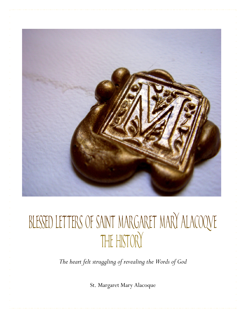

# BLESSED LETTERS OF SAINT MARGARET MARY ALACOQVE

*The heart felt struggling of revealing the Words of God* 

St. Margaret Mary Alacoque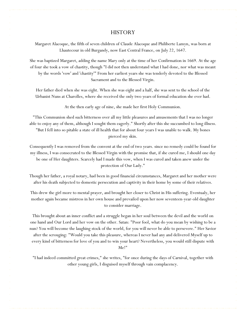## **HISTORY**

Margaret Alacoque, the fifth of seven children of Claude Alacoque and Philiberte Lamyn, was born at Lhautecour in old Burgandy, now East Central France, on July 22, 1647.

She was baptized Margaret, adding the name Mary only at the time of her Confirmation in 1669. At the age of four she took a vow of chastity, though "I did not then understand what I had done, nor what was meant by the words 'vow' and 'chastity'" From her earliest years she was tenderly devoted to the Blessed Sacrament and to the Blessed Virgin.

Her father died when she was eight. When she was eight and a half, she was sent to the school of the Urbanist Nuns at Charolles, where she received the only two years of formal education she ever had.

At the then early age of nine, she made her first Holy Communion.

"This Communion shed such bitterness over all my little pleasures and amusements that I was no longer able to enjoy any of them, although I sought them eagerly." Shortly after this she succumbed to long illness. "But I fell into so pitable a state of ill health that for about four years I was unable to walk. My bones pierced my skin.

Consequently I was removed from the convent at the end of two years. since no remedy could be found for my illness, I was consecrated to the Blessed Virgin with the promise that, if she cured me, I should one day be one of Her daughters. Scarcely had I made this vow, when I was cured and taken anew under the protection of Our Lady."

Though her father, a royal notary, had been in good financial circumstances, Margaret and her mother were after his death subjected to domestic persecution and captivity in their home by some of their relatives.

This drew the girl more to mental prayer, and brought her closer to Christ in His suffering. Eventualy, her mother again became mistress in her own house and prevailed upon her now seventeen-year-old daughter to consider marriage.

This brought about an inner conflict and a struggle began in her soul between the devil and the world on one hand and Our Lord and her vow on the other. Satan: "Poor fool, what do you mean by wishing to be a nun? You will become the laughing stock of the world, for you will never be able to persevere." Her Savior after the scrouging: "Would you take this pleasure, whereas I never had any and delivered Myself up to every kind of bitterness for love of you and to win your heart? Nevertheless, you would still dispute with Me!"

"I had indeed committed great crimes," she writes, "for once during the days of Carnival, together with other young girls, I disguised myself through vain complacency.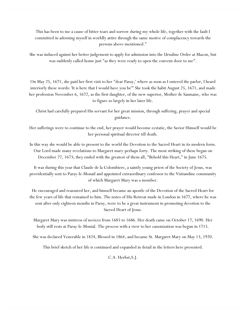This has been to me a cause of bitter tears and sorrow during my whole life, together with the fault I committed in adorning myself in worldly attire through the same motive of complacency towards the persons above mentioned."

She was induced against her better judgement to apply for admission into the Ursuline Order at Macon, but was suddenly called home just "as they were ready to open the convent door to me".

On May 25, 1671, she paid her first visit to her "dear Paray,' where as soon as I entered the parlor, I heard interiorly these words: 'It is here that I would have you be'" She took the habit August 25, 1671, and made her profession November 6, 1672, as the first daughter, of the new superior, Mother de Saumaise, who was to figure so largely in her later life.

Christ had carefully prepared His servant for her great mission, through suffering, prayer and special guidance.

Her sufferings were to continue to the end, her prayer would become ecstatic, the Savior Himself would be her personal spiritual director till death.

In this way she would be able to present to the world the Devotion to the Sacred Heart in its modern form. Our Lord made many revelations to Margaret mary-perhaps forty. The most striking of these began on December 27, 1673; they ended with the greatest of them all, "Behold this Heart," in June 1675.

It was during this year that Claude de la Colombiere, a saintly young priest of the Society of Jesus, was providentially sent to Paray-le-Monail and appointed extraordinary confessor to the Visitandine community of which Margaret Mary was a member.

He encouraged and reassured her, and himself became an apostle of the Devotion of the Sacred Heart for the few years of life that remained to him. The notes of His Retreat made in London in 1677, where he was sent after only eighteen months in Paray, were to be a great instrument in promoting devotion to the Sacred Heart of Jesus.

Margaret Mary was mistress of novices from 1685 to 1686. Her death came on October 17, 1690. Her body still rests at Paray-le-Monial. The process with a view to her canonization was begun in 1715.

She was declared Venerable in 1824, Blessed in 1864, and became St. Margaret Mary on May 13, 1920.

This brief sketch of her life is continued and expanded in detail in the letters here presented.

C.A. Herbst,S.J.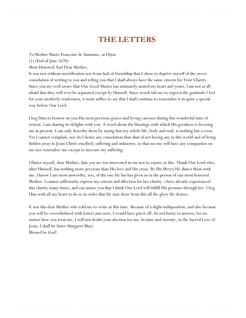# **THE LETTERS**

To Mother Marie-Francoise de Saumaise, at Dijon

(1) (End of June 1678)

Most Honored And Dear Mother,

It was not without mortification nor from lack of friendship that I chose to deprive myself of the sweet consolation of writing to you and telling you that I shall always have the same esteem for Your Charity. Since you are well aware that Our Good Master has intimately united my heart and yours, I am not at all afraid that they will ever be separated except by Himself. Since words fail me to express the gratitude I feel for your motherly tenderness, it must suffice to say that I shall continue to remember it in quite a special way before Our Lord.

I beg Him to bestow on you His most precious graces and loving caresses during this wonderful time of retreat. I am sharing its delights with you. A word about the blessings with which His goodness is favoring me at present. I can only describe them by saying that my whole life, body and soul, is nothing but a cross. Yet I cannot complain, nor do I desire any consolation than that of not having any in this world and of living hidden away in Jesus Christ crucified, suffering and unknown, so that no one will have any compassion on me nor remember me except to increase my suffering.

I flatter myself, dear Mother, that you are too interested in me not to rejoice at this. Thank Our Lord who, after Himself, has nothing more precious than His love and His cross. By His Mercy He shares them with me. I know I am most unworthy, too, of the one He has has given us in the person of our most honored Mother. I cannot sufficiently express my esteem and affection for her charity. i have already experienced this charity many times, and can assure you that I think Our Lord will fulfill His promise through her. I beg Him with all my heart to do so in order that He may draw from this all the glory He desires.

It was this dear Mother who told me to write at this time. Because of a slight indisposition, and also because you will be overwhelmed with letters just now, I would have put it off. do not hurry to answer; for no matter how you treat me, I will not doubt your afection for me. In time and eternity, in the Sacred Love of Jesus, I shall be Sister Margaret Mary Blessed be God!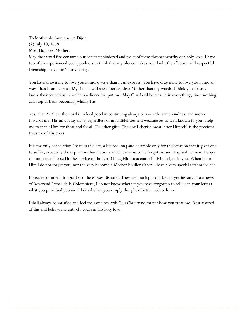To Mother de Saumaise, at Dijon (2) July 10, 1678 Most Honored Mother,

May the sacred fire consume our hearts unhindered and make of them thrones worthy of a holy love. I have too often experienced your goodness to think that my silence makes you doubt the affection and respectful friendship I have for Your Charity.

You have drawn me to love you in more ways than I can express. You have drawn me to love you in more ways than I can express. My silence will speak better, dear Mother than my words. I think you already know the occupation to which obedience has put me. May Our Lord be blessed in everything, since nothing can stop us from becoming wholly His.

Yes, dear Mother, the Lord is indeed good in continuing always to show the same kindness and mercy towards me, His unworthy slave, regardless of my infidelities and weaknesses so well known to you. Help me to thank Him for these and for all His other gifts. The one I cherish most, after Himself, is the precious treasure of His cross.

It is the only consolation I have in this life, a life too long and desirable only for the occation that it gives one to suffer, especially those precious humilations which cause us to be forgotton and despised by men. Happy the souls thus blessed in the service of the Lord! I beg Him to accomplish His designs in you. When before Him i do not forget you, nor the very honorable Mother Boulier either. I have a very special esteem for her.

Please recommend to Our Lord the Misses Bisfrand. They are much put out by not getting any more news of Reverend Father de la Colombiere, I do not know whether you have forgotten to tell us in your letters what you promised you would or whether you simply thought it better not to do so.

I shall always be satisfied and feel the same towards You Charity no matter how you treat me. Rest assured of this and believe me entirely yours in His holy love.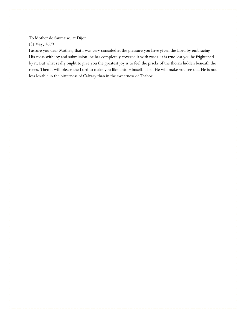To Mother de Saumaise, at Dijon (3) May, 1679

I assure you dear Mother, that I was very consoled at the pleasure you have given the Lord by embracing His cross with joy and submission. he has completely covered it with roses, it is true lest you be frightened by it. But what really ought to give you the greatest joy is to feel the pricks of the thorns hidden beneath the roses. Then it will please the Lord to make you like unto Himself. Then He will make you see that He is not less lovable in the bitterness of Calvary than in the sweetness of Thabor.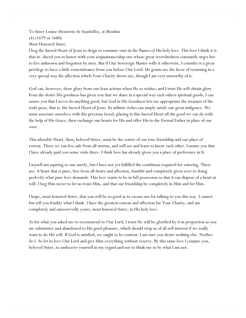To Sister Louise-Henriette de Soudeilles, at Moulins (4) (1679 or 1680) Most Honored Sister,

I beg the Sacred Heart of Jesus to deign to consume ours in the flames of His holy love. This love I think it is that in- duced you to honor with your acquaintanceship one whose great wretchedness constantly urges her to live unknown and forgotten by men. But if Our Sovereign Master wills it otherwise, I consider it a great privilege to have a little remembrance from you before Our Lord. He grants me the favor of returning in a very special way the affection which Your Charity shows me, though I am very unworthy of it.

God can, however, draw glory from our least actions when He so wishes, and I trust He will obtain glory from the desire His goodness has given you that we share in a special way each others spiritual goods, I can assure you that I never do anything good, but God in His Goodness lets me appropriate the treasure of the truly poor, that is, the Sacred Heart of Jesus. Its infinite riches can amply satisfy our great indigence. We must associate ourselves with this precious Good, placing in this Sacred Heart all the good we can do with the help of His Grace, then exchange our hearts for His and offer His to the Eternal Father in place of our own.

This adorable Heart, then, beloved Sister, must be the center of our true friendship and our place of retreat. There we can live safe from all storms, and will see and learn to know each other. I assure you that I have already paid you some visits there. I think love has already given you a place of preference in It.

I myself am aspiring to one surely, but I have not yet fulfilled the conditions required for entering. These are: A heart that is pure, free from all desire and affection, humble and completely given over to doing perfectly what pure love demands. This love wants to be in full possession so that it can dispose of a heart at will. I beg Him never to let us resist Him, and that our friendship be completely in Him and for Him.

I hope, most honored Sister, that you will be so good as to excuse me for talking to you this way. I cannot but tell you frankly what I think. I have the greatest esteem and affection for Your Charity, and am completely and unreservedly yours, most honored Sister, in His holy love.

As for what you asked me to recommend to Our Lord, I trust He will be glorified by it in proportion as you are submissive and abandoned to His good pleasure, which should strip us of all self interest if we really want to do His will. If God is satisfied, we ought to be content. I am sure you desire nothing else. Neither do I. So let us love Our Lord and give Him everything without reserve. By this same love I conjure you, beloved Sister, to undeceive yourself in my regard and not to think me to be what I am not.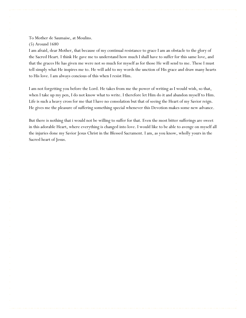To Mother de Saumaise, at Moulins.

(5) Around 1680

I am afraid, dear Mother, that because of my continual resistance to grace I am an obstacle to the glory of the Sacred Heart. I think He gave me to understand how much I shall have to suffer for this same love, and that the graces He has given me were not so much for myself as for those He will send to me. These I must tell simply what He inspires me to. He will add to my words the unction of His grace and draw many hearts to His love. I am always concious of this when I resist Him.

I am not forgetting you before the Lord. He takes from me the power of writing as I would wish, so that, when I take up my pen, I do not know what to write. I therefore let Him do it and abandon myself to Him. Life is such a heavy cross for me that I have no consolation but that of seeing the Heart of my Savior reign. He gives me the pleasure of suffering something special whenever this Devotion makes some new advance.

But there is nothing that i would not be willing to suffer for that. Even the most bitter sufferings are sweet in this adorable Heart, where everything is changed into love. I would like to be able to avenge on myself all the injuries done my Savior Jesus Christ in the Blessed Sacrament. I am, as you know, wholly yours in the Sacred heart of Jesus.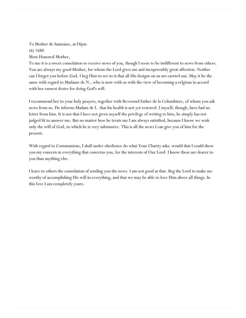To Mother de Saumaise, at Dijon (6) 1680 Most Honored Mother,

To me it is a sweet consolation to receive news of you, though I seem to be indifferent to news from others. You are always my good Mother, for whom the Lord gives me and inexpressibly great affection. Neither can I forget you before God. I beg Him to see to it that all His designs on us are carried out. May it be the same with regard to Madame de N., who is now with us with the view of becoming a relgious in accord with her earnest desire for doing God's will.

I recommend her to your holy prayers, together with Reverend Father de la Colombiere, of whom you ask news from us. He informs Madam de L. that his health is not yet restored. I myself, though, have had no letter from him. It is not that I have not given myself the privilege of writing to him; he simply has not judged fit to answer me. But no matter how he treats me I am always satisified, because I know we wish only the will of God, to which he is very submissive. This is all the news I can give you of him for the present.

With regard to Communions, I shall under obedience do what Your Charity asks. would that I could show you my concern in everything that concerns you, for the interests of Our Lord. I know these are dearer to you than anything else.

I leave to others the consolation of sending you the news. I am not good at that. Beg the Lord to make me worthy of accomplishing His will in everything, and that we may be able to love Him above all things. In this love I am completely yours.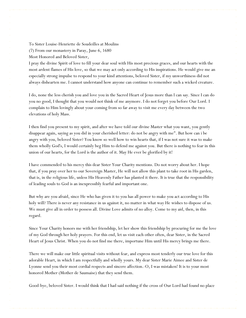To Sister Louise-Henriette de Soudeilles at Moulins

(7) From our monastery in Paray, June 6, 1680

Most Honored and Beloved Sister,

I pray the divine Spirit of love to fill your dear soul with His most precious graces, and our hearts with the most ardent flames of His love, so that we may act only according to His inspirations. He would give me an especially strong impulse to respond to your kind attentions, beloved Sister, if my unworthiness did not always dishearten me. I cannot understand how anyone can continue to remember such a wicked creature.

I do, none the less cherish you and love you in the Sacred Heart of Jesus more than I can say. Since I can do you no good, I thought that you would not think of me anymore. I do not forget you before Our Lord. I complain to Him lovingly about your coming from so far away to visit me every day between the two elevations of holy Mass.

I then find you present to my spirit, and after we have told our divine Master what you want, you gently disappear again, saying as you did in your cherished letter: do not be angry with me". But how can i be angry with you, beloved Sister? You know so well how to win hearts that, if I was not sure it was to make them wholly God's, I would certainly beg Him to defend me against you. But there is nothing to fear in this union of our hearts, for the Lord is the author of it. May He ever be glorified by it!

I have commended to his mercy this dear Sister Your Charity mentions. Do not worry about her. I hope that, if you pray over her to our Sovereign Master, He will not allow this plant to take root in His garden, that is, in the religious life, unless His Heavenly Father has planted it there. It is true that the responsibility of leading souls to God is an inexpressibly fearful and important one.

But why are you afraid, since He who has given it to you has all power to make you act according to His holy will? There is never any resistance in us against it, no matter in what way He wishes to dispose of us. We must give all in order to possess all. Divine Love admits of no alloy. Come to my aid, then, in this regard.

Since Your Charity honors me with her friendship, let her show this friendship by procuring for me the love of my God through her holy prayers. For this end, let us visit each other often, dear Sister, in the Sacred Heart of Jesus Christ. When you do not find me there, importune Him until His mercy brings me there.

There we will make our little spiritual visits without fear, and express most tenderly our true love for this adorable Heart, in which I am respectfully and wholly yours. My dear Sister Marie Aimee and Sister de Lyonne send you their most cordial respects and sincere affection.-O, I was mistaken! It is to your most honored Mother (Mother de Saumaise) that they send them.

Good-bye, beloved Sister. I would think that I had said nothing if the cross of Our Lord had found no place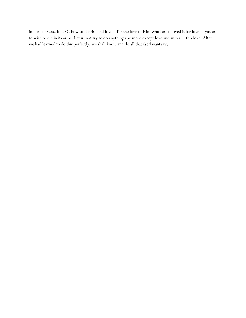in our conversation. O, how to cherish and love it for the love of Him who has so loved it for love of you as to wish to die in its arms. Let us not try to do anything any more except love and suffer in this love. After we had learned to do this perfectly, we shall know and do all that God wants us.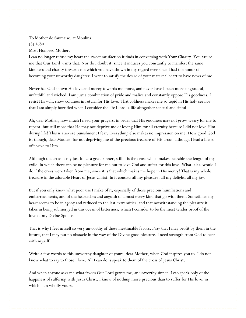To Mother de Saumaise, at Moulins (8) 1680 Most Honored Mother,

I can no longer refuse my heart the sweet satisfaction it finds in conversing with Your Charity. You assure me that Our Lord wants that. Nor do I doubt it, since it induces you constantly to manifest the same kindness and charity towards me which you have shown in my regard ever since I had the honor of becoming your unworthy daughter. I want to satisfy the desire of your maternal heart to have news of me.

Never has God shown His love and mercy towards me more, and never have I been more ungrateful, unfaithful and wicked. I am just a combination of pride and malice and constantly oppose His goodness. I resist His will, show coldness in return for His love. That coldness makes me so tepid in His holy service that I am simply horrified when I consider the life I lead, a life altogether sensual and sinful.

Ah, dear Mother, how much I need your prayers, in order that His goodness may not grow weary for me to repent, but still more that He may not deprive me of loving Him for all eternity because I did not love Him during life! This is a severe punishment I fear. Everything else makes no impression on me. How good God is, though, dear Mother, for not depriving me of the precious treasure of His cross, although I lead a life so offensive to Him.

Although the cross is my just lot as a great sinner, still it is the cross which makes bearable the length of my exile, in which there can be no pleasure for me but to love God and suffer for this love. What, alas, would I do if the cross were taken from me, since it is that which makes me hope in His mercy! That is my whole treasure in the adorable Heart of Jesus Christ. In it consists all my pleasure, all my delight, all my joy.

But if you only knew what poor use I make of it, especially of those precious humiliations and embarrassments, and of the heartaches and anguish of almost every kind that go with them. Sometimes my heart seems to be in agony and reduced to the last extremities, and that notwithstanding the pleasure it takes in being submerged in this ocean of bitterness, which I consider to be the most tender proof of the love of my Divine Spouse.

That is why I feel myself so very unworthy of these inestimable favors. Pray that I may profit by them in the future, that I may put no obstacle in the way of the Divine good pleasure. I need strength from God to bear with myself.

Write a few words to this unworthy daughter of yours, dear Mother, when God inspires you to. I do not know what to say to those I love. All I can do is speak to them of the cross of Jesus Christ.

And when anyone asks me what favors Our Lord grants me, an unworthy sinner, I can speak only of the happiness of suffering with Jesus Christ. I know of nothing more precious than to suffer for His love, in which I am wholly yours.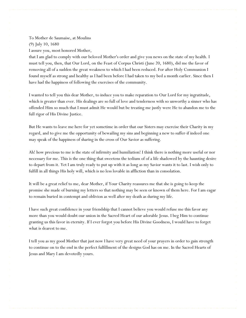To Mother de Saumaise, at Moulins (9) July 10, 1680

I assure you, most honored Mother,

that I am glad to comply with our beloved Mother's order and give you news on the state of my health. I must tell you, then, that Our Lord, on the Feast of Corpus Christi (June 20, 1680), did me the favor of removing all of a sudden the great weakness to which I had been reduced. For after Holy Communion I found myself as strong and healthy as I had been before I had taken to my bed a month earlier. Since then I have had the happiness of following the exercises of the community.

I wanted to tell you this dear Mother, to induce you to make reparation to Our Lord for my ingratitude, which is greater than ever. His dealings are so full of love and tenderness with so unworthy a sinner who has offended Him so much that I must admit He would but be treating me justly were He to abandon me to the full rigor of His Divine Justice.

But He wants to leave me here for yet sometime in order that our Sisters may exercise their Charity in my regard, and to give me the opportunity of bewailing my sins and beginning a new to suffer-if indeed one may speak of the happiness of sharing in the cross of Our Savior as suffering.

Ah! how precious to me is the state of infirmity and humiliation! I think there is nothing more useful or nor necessary for me. This is the one thing that sweetens the tedium of of a life shadowed by the haunting desire to depart from it. Yet I am truly ready to put up with it as long as my Savior wants it to last. I wish only to fulfill in all things His holy will, which is no less lovable in affliction than in consolation.

It will be a great relief to me, dear Mother, if Your Charity reassures me that she is going to keep the promise she made of burning my letters so that nothing may be seen or known of them here. For I am eagar to remain buried in contempt and oblivion as well after my death as during my life.

I have such great confidence in your friendship that I cannot believe you would refuse me this favor any more than you would doubt our union in the Sacred Heart of our adorable Jesus. I beg Him to continue granting us this favor in eternity. If I ever forgot you before His Divine Goodness, I would have to forget what is dearest to me.

I tell you as my good Mother that just now I have very great need of your prayers in order to gain strength to continue on to the end in the perfect fulfillment of the designs God has on me. In the Sacred Hearts of Jesus and Mary I am devotedly yours.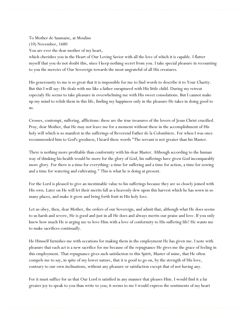To Mother de Saumaise, at Moulins

(10) November, 1680

You are ever the dear mother of my heart,

which cherishes you in the Heart of Our Loving Savior with all the love of which it is capable. I flatter myself that you do not doubt this, since I keep nothing secret from you. I take special pleasure in recounting to you the mercies of Our Sovereign towards the most ungrateful of all His creatures.

His generousity to me is so great that it is impossible for me to find words to describe it to Your Charity. But this I will say: He deals with me like a father enraptured with His little child. During my retreat especialy He seems to take pleasure in oveewhelming me with His sweet consolations. But I cannot make up my mind to relish them in this life, finding my happiness only in the pleasure He takes in doing good to us.

Crosses, contempt, suffering, afflictions: these are the true treasures of the lovers of Jesus Christ crucified. Pray, dear Mother, that He may not leave me for a moment without these in the accomplishment of His holy will which is so manifest in the sufferings of Reverend Father de la Colombiere. For when I was once recommended him to God's goodness, I heard these words "The servant is not greater than his Master.

There is nothing more profitable than conformity with his dear Master. Although according to the human way of thinking his health would be more for the glory of God, his sufferings have given God incomparably more glory. For there is a time for everything: a time for suffering and a time for action, a time for sowing and a time for watering and cultivating." This is what he is doing at present.

For the Lord is pleased to give an inestimable value to his sufferings because they are so closely joined with His own. Later on He will let their merits fall as a heavenly dew upon this harvest which he has sown in so many places, and make it grow and bring forth fruit in His holy love.

Let us obey, then, dear Mother, the orders of our Sovereign, and admit that, although what He does seems to us harsh and severe, He is good and just in all He does and always merits our praise and love. If you only knew how much He is urging me to love Him with a love of conformity to His suffering life! He wants me to make sacrifices continually.

He Himself furnishes me with occations for making them in the employment He has given me. I note with pleasure that each act is a new sacrifice for me because of the repugnance He gives me the grace of feeling in this employment. That repugnance gives such satisfaction to this Spirit, Master of mine, that He often compels me to say, in spite of my lower nature, that it is good to go on, by the strength of His love, contrary to our own inclinations, without any pleasure or satisfaction except that of not having any.

For it must suffice for us that Our Lord is satisfied in any manner that pleases Him. I would find it a far greater joy to speak to you than write to you; it seems to me I would express the sentiments of my heart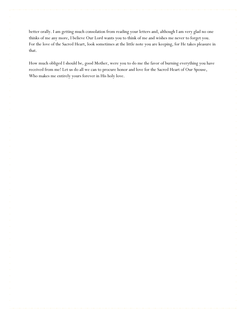better orally. I am getting much consolation from reading your letters and, although I am very glad no one thinks of me any more, I believe Our Lord wants you to think of me and wishes me never to forget you. For the love of the Sacred Heart, look sometimes at the little note you are keeping, for He takes pleasure in that.

How much obliged I should be, good Mother, were you to do me the favor of burning everything you have received from me! Let us do all we can to procure honor and love for the Sacred Heart of Our Spouse, Who makes me entirely yours forever in His holy love.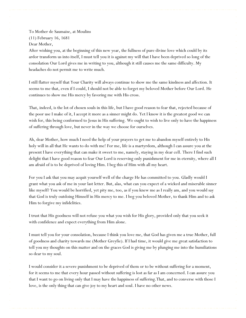To Mother de Saumaise, at Moulins (11) February 16, 1681 Dear Mother,

After wishing you, at the beginning of this new year, the fullness of pure divine love which could by its ardor transform us into itself, I must tell you it is against my will that I have been deprived so long of the consolation Our Lord gives me in writing to you, although it still causes me the same difficulty. My headaches do not permit me to write much.

I still flatter myself that Your Charity will always continue to show me the same kindness and affection. It seems to me that, even if I could, I should not be able to forget my beloved Mother before Our Lord. He continues to show me His mercy by favoring me with His cross.

That, indeed, is the lot of chosen souls in this life, but I have good reason to fear that, rejected because of the poor use I make of it, I accept it more as a sinner might do. Yet I know it is the greatest good we can wish for, this being conformed to Jesus in His suffering. We ought to wish to live only to have the happiness of suffering through love, but never in the way we choose for ourselves.

Ah, dear Mother, how much I need the help of your prayers to get me to abandon myself entirely to His holy will in all that He wants to do with me! For me, life is a martyrdom, although I can assure you at the present I have everything that can make it sweet to me, namely, staying in my dear cell. There I find such delight that I have good reason to fear Our Lord is reserving only punishment for me in eternity, where all I am afraid of is to be deprived of loving Him. I beg this of Him with all my heart.

For you I ask that you may acquit yourself well of the charge He has committed to you. Gladly would I grant what you ask of me in your last letter. But, alas, what can you expect of a wicked and miserable sinner like myself? You would be horrified, yet pity me, too, as if you knew me as I really am, and you would say that God is truly outdoing Himself in His mercy to me. I beg you beloved Mother, to thank Him and to ask Him to forgive my infidelities.

I trust that His goodness will not refuse you what you wish for His glory, provided only that you seek it with confidence and expect everything from Him alone.

I must tell you for your consolation, because I think you love me, that God has given me a true Mother, full of goodness and charity towards me (Mother Greyfie). If I had time, it would give me great satisfaction to tell you my thoughts on this matter and on the graces God is giving me by plunging me into the humiliations so dear to my soul.

I would consider it a severe punishment to be deprived of them or to be without suffering for a moment, for it seems to me that every hour passed without suffering is lost as far as I am concerned. I can assure you that I want to go on living only that I may have the happiness of suffering.That, and to converse with those I love, is the only thing that can give joy to my heart and soul. I have no other news.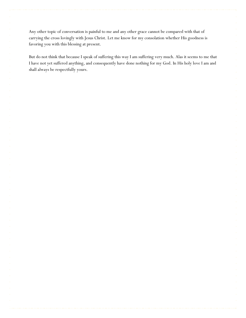Any other topic of conversation is painful to me and any other grace cannot be compared with that of carrying the cross lovingly with Jesus Christ. Let me know for my consolation whether His goodness is favoring you with this blessing at present.

But do not think that because I speak of suffering this way I am suffering very much. Alas it seems to me that I have not yet suffered anything, and consequently have done nothing for my God. In His holy love I am and shall always be respectfully yours.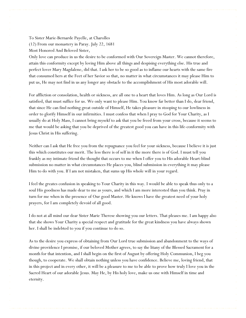To Sister Marie-Bernarde Payelle, at Charolles (12) From our monastery in Paray. July 22, 1681

Most Honored And Beloved Sister,

Only love can produce in us the desire to be conformed with Our Sovereign Master. We cannot therefore, attain this conformity except by loving Him above all things and despising everything else. His true and perfect lover Mary Magdalene, did that. I ask her to be so good as to inflame our hearts with the same fire that consumed hers at the Feet of her Savior so that, no matter in what circumstances it may please Him to put us, He may not find in us any longer any obstacle to the accomplishment of His most adorable will.

For affliction or consolation, health or sickness, are all one to a heart that loves Him. As long as Our Lord is satisfied, that must suffice for us. We only want to please Him. You know far better than I do, dear friend, that since He can find nothing great outside of Himself, He takes pleasure in stooping to our lowliness in order to glorify Himself in our infirmities. I must confess that when I pray to God for Your Charity, as I usually do at Holy Mass, I cannot bring mysekf to ask that you be freed from your cross, because it seems to me that would be asking that you be deprived of the greatest good you can have in this life-conformity with Jesus Christ in His suffering.

Neither can I ask that He free you from the repugnance you feel for your sickness, because I believe it is just this which constitutes our merit. The less there is of self in it the more there is of God. I must tell you frankly as my intimate friend the thought that occurs to me when I offer you to His adorable Heart-blind submission no matter in what circumstances He places you, blind submission in everything it may please Him to do with you. If I am not mistaken, that sums up His whole will in your regard.

I feel the greates confusion in speaking to Your Charity in this way. I would be able to speak thus only to a soul His goodness has made dear to me as yours, and which I am more interested than you think. Pray in turn for me when in the presence of Our good Master. He knows I have the greatest need of your holy prayers, for I am completely devoid of all good.

I do not at all mind our dear Sister Marie Therese showing you our letters. That pleases me. I am happy also that she shows Your Charity a special respect and gratitude for the great kindness you have always shown her. I shall be indebted to you if you continue to do so.

As to the desire you express of obtaining from Our Lord true submission and abandonment to the ways of divine providence I promise, if our beloved Mother agrees, to say the litany of the Blessed Sacrament for a month for that intention, and I shall begin on the first of August by offering Holy Communion, I beg you though, to cooperate. We shall obtain nothing unless you have confidence. Believe me, loving friend, that in this project and in every other, it will be a pleasure to me to be able to prove how truly I love you in the Sacred Heart of our adorable Jesus. May He, by His holy love, make us one with Himself in time and eternity.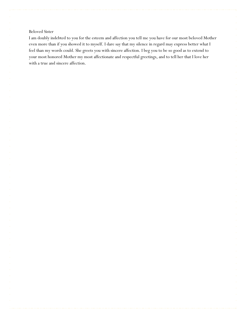### Beloved Sister

I am doubly indebted to you for the esteem and affection you tell me you have for our most beloved Mother even more than if you showed it to myself. I dare say that my silence in regard may express better what I feel than my words could. She greets you with sincere affection. I beg you to be so good as to extend to your most honored Mother my most affectionate and respectful greetings, and to tell her that I love her with a true and sincere affection.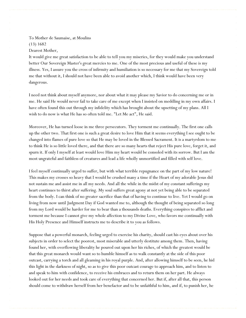# To Mother de Saumaise, at Moulins (13) 1682 Dearest Mother,

It would give me great satisfaction to be able to tell you my miseries, for they would make you understand better Our Sovereign Master's great mercies to me. One of the most precious and useful of these is my illness. Yes, I assure you the cross of infirmity and humiliation is so necessary for me that my Sovereign told me that without it, I should not have been able to avoid another which, I think would have been very dangerous.

I need not think about myself anymore, nor about what it may please my Savior to do concerning me or in me. He said He would never fail to take care of me except when I insisted on meddling in my own affairs. I have often found this out through my infidelity which has brought about the upsetting of my plans. All I wish to do now is what He has so often told me. "Let Me act", He said.

Moreover, He has turned loose in me three persecutors. They torment me continually. The first one calls up the other two. That first one is such a great desire to love Him that it seems everything I see ought to be changed into flames of pure love so that He may be loved in the Blessed Sacrament. It is a martyrdom to me to think He is so little loved there, and that there are so many hearts that reject His pure love, forget it, and spurn it. If only I myself at least would love Him my heart would be consoled with its sorrow. But I am the most ungrateful and faithless of creatures and lead a life wholly unmortified and filled with self love.

I feel myself continually urged to suffer, but with what terrible repugnance on the part of my low nature! This makes my crosses so heavy that I would be crushed many a time if the Heart of my adorable Jesus did not sustain me and assist me in all my needs. And all the while in the midst of my constant sufferings my heart continues to thirst after suffering. My soul suffers great agony at not yet being able to be separated from the body. I can think of no greater sacrifice than that of having to continue to live. Yet I would go on living from now until Judgment Day if God wanted me to, although the thought of being separated so long from my Lord would be harder for me to bear than a thousands deaths. Everything conspires to afflict and torment me because I cannot give my whole affection to my Divine Love, who favors me continually with His Holy Presence and Himself instructs me to describe it to you as follows.

Suppose that a powerful monarch, feeling urged to exercise his charity, should cast his eyes about over his subjects in order to select the poorest, most miserable and utterly destitute among them. Then, having found her, with overflowing liberality he poured out upon her his riches, of which the greatest would be that this great monarch would want so to humble himself as to walk constantly at the side of this poor outcast, carrying a torch and all gleaming in his royal purple. And, after allowing himself to be seen, he hid this light in the darkness of night, so as to give this poor outcast courage to approach him, and to listen to and speak to him with confidence, to receive his embraces and to return them on her part. He always looked out for her needs and took care of everything that concerned her. But if, after all that, this person should come to withdraw herself from her benefactor and to be unfaithful to him, and if, to punish her, he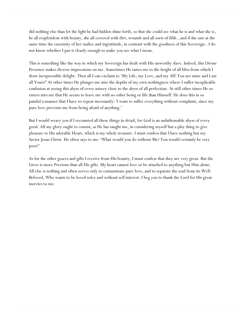did nothing else than let the light he had hidden shine forth, so that she could see what he is and what she is, he all resplendent with beauty, she all covered with dirt, wounds and all sorts of filth...and if she saw at the same time the enormity of her malice and ingratitude, in contrast with the goodness of this Sovereign.. I do not know whether I put it clearly enough to make you see what I mean.

This is something like the way in which my Sovereign has dealt with His unworthy slave. Indeed, this Divine Presence makes diverse impressions on me. Sometimes He raises me to the height of all bliss from which I draw inexpressible delight. Then all I can exclaim is: 'My Life, my Love, and my All! You are mine and I am all Yours!' At other times He plunges me into the depths of my own nothingness where I suffer inexplicable confusion at seeing this abyss of every misery close to the abyss of all perfection. At still other times He so enters into me that He seems to leave me with no other being or life than Himself. He does this in so painful a manner that I have to repeat incessantly: 'I want to suffer everything without complaint, since my pure love prevents me from being afraid of anything.'

But I would weary you if I recounted all these things in detail, for God is an unfathomable abyss of every good. All my glory ought to consist, as He has taught me, in considering myself but a play thing to give pleasure to His adorable Heart, which is my whole treasure. I must confess that I have nothing but my Savior Jesus Christ. He often says to me: 'What would you do without Me? You would certainly be very poor!'

As for the other graces and gifts I receive from His bounty, I must confess that they are very great. But the Giver is more Precious than all His gifts. My heart cannot love or be attached to anything but Him alone. All else is nothing and often serves only to contaminate pure love, and to separate the soul from its Well-Beloved, Who wants to be loved soley and without self interest. I beg you to thank the Lord for His great mercies to me.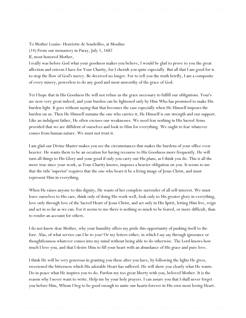To Mother Louise- Henriette de Soudeilles, at Moulins

(14) From our monastery in Paray, July 1, 1682

If, most honored Mother,

I really was before God what your goodness makes you believe, I would be glad to prove to you the great affection and esteem I have for Your Charity, for I cherish you quite especially. But all that I am good for is to stop the flow of God's mercy. Be deceived no longer. For to tell you the truth briefly, I am a composite of every misery, powerless to do any good and most unworthy of the grace of God.

Yet I hope that in His Goodness He will not refuse us the grace necessary to fulfill our obligations. Your's are now very great indeed, and your burden can be lightened only by Him Who has promised to make His burden light. It goes without saying that that becomes the case especially when He Himself imposes the burden on us. Then He Himself sustains the one who carries it, He Himself is our strength and our support. Like an indulgent father, He often excuses our weaknesses. We need fear nothing in His Sacred Arms provided that we are diffident of ourselves and look to Him for everything. We ought to fear whatever comes from human nature. We must not trust it.

I am glad our Divine Master makes you see the circumstances that makes the burdens of your office even heavier. He wants them to be an occation for having recourse to His Goodness more frequently. He will turn all things to His Glory and your good if only you carry out His plans, as I think you do. This is all the more true since your work, as Your Charity knows, imposes a heavier obligation on you. It seems to me that the title 'superior' requires that the one who bears it be a living image of Jesus Christ, and must represent Him in everything.

When He raises anyone to this dignity, He wants of her complete surrender of all self-interest. We must leave ourselves to His care, think only of doing His work well, look only to His greater glory in everything, love only through love of the Sacred Heart of Jesus Christ, and act only in His Spirit, letting Him live, reign and act in so far as we can. For it seems to me there is nothing so much to be feared, or more difficult, than to render an account for others.

I do not know dear Mother, why your humility offers my pride this opportunity of pushing itself to the fore. Alas, of what service can I be to you? Or my letters either, in which I say say through ignorance or thoughtlessness whatever comes into my mind without being able to do otherwise. The Lord knows how much I love you, and that I desire Him to fill your heart with an abundance of His grace and pure love.

I think He will be very generous in granting you these after you have, by following the lights He gives, sweetened the bitterness which His adorable Heart has suffered. He will show you clearly what He wants. Do in peace what He inspires you to do. Pardon my too great liberty with you, beloved Mother. It is the reason why I never want to write. Help me by your holy prayers. I can assure you that I shall never forget you before Him, Whom I beg to be good enough to unite our hearts forever in His own most loving Heart.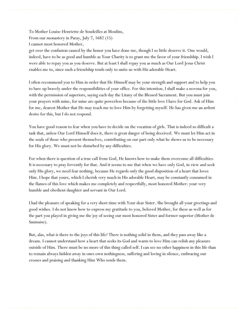To Mother Louise-Henriette de Soudeilles at Moulins, From our monastery in Paray, July 7, 1682 (15) I cannot most honored Mother,

get over the confusion caused by the honor you have done me, though I so little deserve it. One would, indeed, have to be as good and humble as Your Charity is to grant me the favor of your friendship. I wish I were able to repay you as you deserve. But at least I shall repay you as much as Our Lord Jesus Christ enables me to, since such a friendship tends only to unite us with His adorable Heart.

I often recommend you to Him in order that He Himself may be your strength and support and to help you to bare up bravely under the responsibilities of your office. For this intention, I shall make a novena for you, with the permission of superiors, saying each day the Litany of the Blessed Sacrament. But you must join your prayers with mine, for mine are quite powerless because of the little love I have for God. Ask of Him for me, dearest Mother that He may teach me to love Him by forgetting myself. He has given me an ardent desire for this, but I do not respond.

You have good reason to fear when you have to decide on the vocation of girls. That is indeed so difficult a task that, unless Our Lord Himself does it, there is great danger of being deceived. We must let Him act in the souls of those who present themselves, contributing on our part only what he shows us to be necessary for His glory. We must not be disturbed by any difficulties.

For when there is question of a true call from God, He knows how to make them overcome all difficulties. It is necessary to pray fervently for that. And it seems to me that when we have only God, in view and seek only His glory, we need fear nothing, because He regards only the good disposition of a heart that loves Him. I hope that yours, which I cherish very much in His adorable Heart, may be constantly consumed in the flames of this love which makes me completely and respectfully, most honored Mother: your very humble and obedient daughter and servant in Our Lord.

I had the pleasure of speaking for a very short time with Your dear Sister. She brought all your greetings and good wishes. I do not know how to express my gratitude to you, beloved Mother, for these as well as for the part you played in giving me the joy of seeing our most honored Sister and former superior (Mother de Saumaise).

But, alas, what is there to the joys of this life? There is nothing solid in them, and they pass away like a dream. I cannot understand how a heart that seeks its God and wants to love Him can relish any pleasure outside of Him. There must be no more of this thing called self. I can see no other happiness in this life than to remain always hidden away in ones own nothingness, suffering and loving in silence, embracing our crosses and praising and thanking Him Who sends them.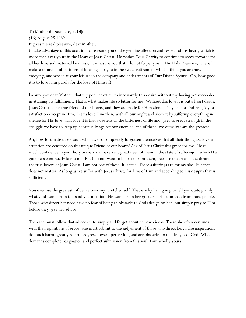To Mother de Saumaise, at Dijon

(16) August 25 1682.

It gives me real pleasure, dear Mother,

to take advantage of this occasion to reassure you of the genuine affection and respect of my heart, which is more than ever yours in the Heart of Jesus Christ. He wishes Your Charity to continue to show towards me all her love and maternal kindness. I can assure you that I do not forget you in His Holy Presence, where I make a thousand of petitions of blessings for you in the sweet retirement which I think you are now enjoying, and where at your leisure in the company and endearments of Our Divine Spouse. Oh, how good it is to love Him purely for the love of Himself!

I assure you dear Mother, that my poor heart burns incessantly this desire without my having yet succeeded in attaining its fulfillment. That is what makes life so bitter for me. Without this love it is but a heart death. Jesus Christ is the true friend of our hearts, and they are made for Him alone. They cannot find rest, joy or satisfaction except in Him. Let us love Him then, with all our might and show it by suffering everything in silence for His love. This love it is that sweetens all the bitterness of life and gives us great strength in the struggle we have to keep up continually against our enemies, and of these, we ourselves are the greatest.

Ah, how fortunate those souls who have so completely forgotten themselves that all their thoughts, love and attention are centered on this unique Friend of our hearts! Ask of Jesus Christ this grace for me. I have much confidence in your holy prayers and have very great need of them in the state of suffering in which His goodness continually keeps me. But I do not want to be freed from them, because the cross is the throne of the true lovers of Jesus Christ. I am not one of these, it is true. These sufferings are for my sins. But that does not matter. As long as we suffer with Jesus Christ, for love of Him and according to His designs that is sufficient.

You exercise the greatest influence over my wretched self. That is why I am going to tell you quite plainly what God wants from this soul you mention. He wants from her greater perfection than from most people. Those who direct her need have no fear of being an obstacle to Gods design on her, but simply pray to Him before they gave her advice.

Then she must follow that advice quite simply and forget about her own ideas. These she often confuses with the inspirations of grace. She must submit to the judgement of those who direct her. False inspirations do much harm, greatly retard progress toward perfection, and are obstacles to the designs of God, Who demands complete resignation and perfect submission from this soul. I am wholly yours.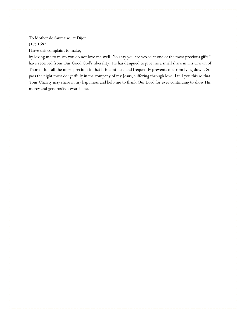To Mother de Saumaise, at Dijon (17) 1682

I have this complaint to make,

by loving me to much you do not love me well. You say you are vexed at one of the most precious gifts I have received from Our Good God's liberality. He has designed to give me a small share in His Crown of Thorns. It is all the more precious in that it is continual and frequently prevents me from lying down. So I pass the night most delightfully in the company of my Jesus, suffering through love. I tell you this so that Your Charity may share in my happiness and help me to thank Our Lord for ever continuing to show His mercy and generosity towards me.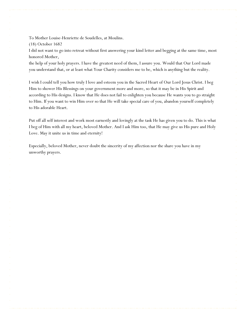To Mother Louise-Henriette de Soudelles, at Moulins.

(18) October 1682

I did not want to go into retreat without first answering your kind letter and begging at the same time, most honored Mother,

the help of your holy prayers. I have the greatest need of them, I assure you. Would that Our Lord made you understand that, or at least what Your Charity considers me to be, which is anything but the reality.

I wish I could tell you how truly I love and esteem you in the Sacred Heart of Our Lord Jesus Christ. I beg Him to shower His Blessings on your government more and more, so that it may be in His Spirit and according to His designs. I know that He does not fail to enlighten you because He wants you to go straight to Him. If you want to win Him over so that He will take special care of you, abandon yourself completely to His adorable Heart.

Put off all self interest and work most earnestly and lovingly at the task He has given you to do. This is what I beg of Him with all my heart, beloved Mother. And I ask Him too, that He may give us His pure and Holy Love. May it unite us in time and eternity!

Especially, beloved Mother, never doubt the sincerity of my affection nor the share you have in my unworthy prayers.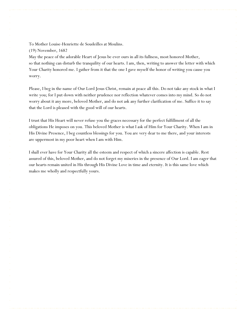To Mother Louise-Henriette de Soudeilles at Moulins.

(19) November, 1682

May the peace of the adorable Heart of Jesus be ever ours in all its fullness, most honored Mother, so that nothing can disturb the tranquility of our hearts. I am, then, writing to answer the letter with which Your Charity honored me. I gather from it that the one I gave myself the honor of writing you cause you worry.

Please, I beg in the name of Our Lord Jesus Christ, remain at peace all this. Do not take any stock in what I write you; for I put down with neither prudence nor reflection whatever comes into my mind. So do not worry about it any more, beloved Mother, and do not ask any further clarification of me. Suffice it to say that the Lord is pleased with the good will of our hearts.

I trust that His Heart will never refuse you the graces necessary for the perfect fulfillment of all the obligations He imposes on you. This beloved Mother is what I ask of Him for Your Charity. When I am in His Divine Presence, I beg countless blessings for you. You are very dear to me there, and your interests are uppermost in my poor heart when I am with Him.

I shall ever have for Your Charity all the esteem and respect of which a sincere affection is capable. Rest assured of this, beloved Mother, and do not forget my miseries in the presence of Our Lord. I am eager that our hearts remain united in His through His Divine Love in time and eternity. It is this same love which makes me wholly and respectfully yours.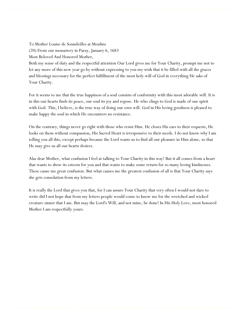To Mother Louise de Soundeilles at Moulins

(20) From our monastery in Paray, January 6, 1683

Most Beloved And Honored Mother,

Both my sense of duty and the respectful attention Our Lord gives me for Your Charity, prompt me not to let any more of this new year go by without expressing to you my wish that it be filled with all the graces and blessings necessary for the perfect fulfillment of the most holy will of God in everything He asks of Your Charity.

For it seems to me that the true happiness of a soul consists of conformity with this most adorable will. It is in this our hearts finds its peace, our soul its joy and repose. He who clings to God is made of one spirit with God. This, I believe, is the true way of doing our own will. God in His loving goodness is pleased to make happy the soul in which He encounters no resistance.

On the contrary, things never go right with those who resist Him. He closes His ears to their requests, He looks on them without compassion, His Sacred Heart is irresponsive to their needs. I do not know why I am telling you all this, except perhaps because the Lord wants us to find all our pleasure in Him alone, so that He may give us all our hearts desires.

Alas dear Mother, what confusion I feel at talking to Your Charity in this way! But it all comes from a heart that wants to show its esteem for you and that wants to make some return for so many loving kindnesses. These cause me great confusion. But what causes me the greatest confusion of all is that Your Charity says she gets consolation from my letters.

It is really the Lord that gives you that, for I can assure Your Charity that very often I would not dare to write did I not hope that from my letters people would come to know me for the wretched and wicked creature sinner that I am. But may the Lord's Will, and not mine, be done! In His Holy Love, most honored Mother I am respectfully yours.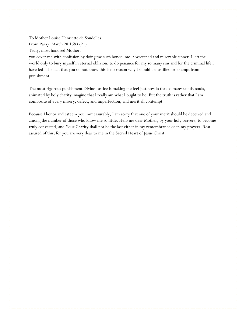To Mother Louise Henriette de Soudelles From Paray, March 28 1683 (21) Truly, most honored Mother,

you cover me with confusion by doing me such honor: me, a wretched and miserable sinner. I left the world only to bury myself in eternal oblivion, to do penance for my so many sins and for the criminal life I have led. The fact that you do not know this is no reason why I should be justified or exempt from punishment.

The most rigorous punishment Divine Justice is making me feel just now is that so many saintly souls, animated by holy charity imagine that I really am what I ought to be. But the truth is rather that I am composite of every misery, defect, and imperfection, and merit all contempt.

Because I honor and esteem you immeasurably, I am sorry that one of your merit should be deceived and among the number of those who know me so little. Help me dear Mother, by your holy prayers, to become truly converted, and Your Charity shall not be the last either in my remembrance or in my prayers. Rest assured of this, for you are very dear to me in the Sacred Heart of Jesus Christ.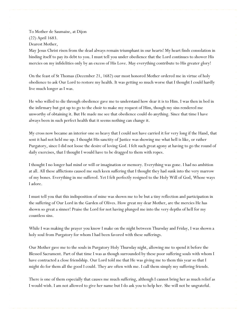To Mother de Saumaise, at Dijon (22) April 1683. Dearest Mother,

May Jesus Christ risen from the dead always remain triumphant in our hearts! My heart finds consolation in binding itself to pay its debt to you. I must tell you under obedience that the Lord continues to shower His mercies on my infidelities only by an excess of His Love. May everything contribute to His greater glory!

On the feast of St Thomas (December 21, 1682) our most honored Mother ordered me in virtue of holy obedience to ask Our Lord to restore my health. It was getting so much worse that I thought I could hardly live much longer as I was.

He who willed to die through obedience gave me to understand how dear it is to Him. I was then in bed in the infirmary but got up to go to the choir to make my request of Him, though my sins rendered me unworthy of obtaining it. But He made me see that obedience could do anything. Since that time I have always been in such perfect health that it seems nothing can change it.

My cross now became an interior one so heavy that I could not have carried it for very long if the Hand, that sent it had not held me up. I thought His sanctity of Justice was showing me what hell is like, or rather Purgatory, since I did not loose the desire of loving God. I felt such great agony at having to go the round of daily exercises, that I thought I would have to be dragged to them with ropes.

I thought I no longer had mind or will or imagination or memory. Everything was gone. I had no ambition at all. All these afflictions caused me such keen suffering that I thought they had sunk into the very marrow of my bones. Everything in me suffered. Yet I felt perfectly resigned to the Holy Will of God, Whose ways I adore.

I must tell you that this indisposition of mine was shown me to be but a tiny reflection and participation in the suffering of Our Lord in the Garden of Olives. How great my dear Mother, are the mercies He has shown so great a sinner! Praise the Lord for not having plunged me into the very depths of hell for my countless sins.

While I was making the prayer you know I make on the night between Thursday and Friday, I was shown a holy soul from Purgatory for whom I had been favored with these sufferings.

Our Mother gave me to the souls in Purgatory Holy Thursday night, allowing me to spend it before the Blessed Sacrament. Part of that time I was as though surrounded by these poor suffering souls with whom I have contracted a close friendship. Our Lord told me that He was giving me to them this year so that I might do for them all the good I could. They are often with me. I call them simply my suffering friends.

There is one of them especially that causes me much suffering, although I cannot bring her as much relief as I would wish. I am not allowed to give her name but I do ask you to help her. She will not be ungrateful.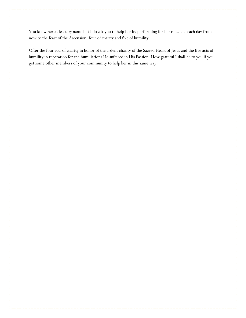You knew her at least by name but I do ask you to help her by performing for her nine acts each day from now to the feast of the Ascension, four of charity and five of humility.

Offer the four acts of charity in honor of the ardent charity of the Sacred Heart of Jesus and the five acts of humility in reparation for the humiliations He suffered in His Passion. How grateful I shall be to you if you get some other members of your community to help her in this same way.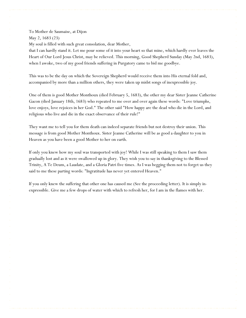To Mother de Saumaise, at Dijon May 2, 1683 (23) My soul is filled with such great consolation, dear Mother,

that I can hardly stand it. Let me pour some of it into your heart so that mine, which hardly ever leaves the Heart of Our Lord Jesus Christ, may be relieved. This morning, Good Shepherd Sunday (May 2nd, 1683), when I awoke, two of my good friends suffering in Purgatory came to bid me goodbye.

This was to be the day on which the Sovereign Shepherd would receive them into His eternal fold and, accompanied by more than a million others, they were taken up midst songs of inexpressible joy.

One of them is good Mother Monthoux (died February 5, 1683), the other my dear Sister Jeanne Catherine Gacon (died January 18th, 1683) who repeated to me over and over again these words: "Love triumphs, love enjoys, love rejoices in her God." The other said "How happy are the dead who die in the Lord, and religious who live and die in the exact observance of their rule!"

They want me to tell you for them death can indeed separate friends but not destroy their union. This message is from good Mother Monthoux. Sister Jeanne Catherine will be as good a daughter to you in Heaven as you have been a good Mother to her on earth.

If only you knew how my soul was transported with joy! While I was still speaking to them I saw them gradually lost and as it were swallowed up in glory. They wish you to say in thanksgiving to the Blessed Trinity, A Te Deum, a Laudate, and a Gloria Patri five times. As I was begging them not to forget us they said to me these parting words: "Ingratitude has never yet entered Heaven."

If you only knew the suffering that other one has caused me (See the proceeding letter). It is simply inexpressible. Give me a few drops of water with which to refresh her, for I am in the flames with her.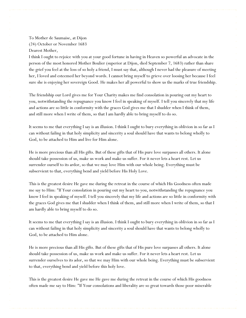To Mother de Saumaise, at Dijon (24) October or November 1683 Dearest Mother,

I think I ought to rejoice with you at your good fortune in having in Heaven so powerful an advocate in the person of the most honored Mother Boulier (superior at Dijon, died September 7, 1683) rather than share the grief you feel at the loss of so holy a friend, I must say that, although I never had the pleasure of meeting her, I loved and esteemed her beyond words. I cannot bring myself to grieve over loosing her because I feel sure she is enjoying her sovereign Good. He makes her all powerful to show us the marks of true friendship.

The friendship our Lord gives me for Your Charity makes me find consolation in pouring out my heart to you, notwithstanding the repugnance you know I feel in speaking of myself. I tell you sincerely that my life and actions are so little in conformity with the graces God gives me that I shudder when I think of them, and still more when I write of them, so that I am hardly able to bring myself to do so.

It seems to me that everything I say is an illusion. I think I ought to bury everything in oblivion in so far as I can without failing in that holy simplicity and sincerity a soul should have that wants to belong wholly to God, to be attached to Him and live for Him alone.

He is more precious than all His gifts. But of these gifts that of His pure love surpasses all others. It alone should take possession of us, make us work and make us suffer. For it never lets a heart rest. Let us surrender ourself to its ardor, so that we may love Him with our whole being. Everything must be subservient to that, everything bend and yield before His Holy Love.

This is the greatest desire He gave me during the retreat in the course of which His Goodness often made me say to Him: "If Your consolation in pouring out my heart to you, notwithstanding the repugnance you know I feel in speaking of myself. I tell you sincerely that my life and actions are so little in conformity with the graces God gives me that I shudder when I think of them, and still more when I write of them, so that I am hardly able to bring myself to do so.

It seems to me that everything I say is an illusion. I think I ought to bury everything in oblivion in so far as I can without failing in that holy simplicity and sincerity a soul should have that wants to belong wholly to God, to be attached to Him alone.

He is more precious than all His gifts. But of these gifts that of His pure love surpasses all others. It alone should take possession of us, make us work and make us suffer. For it never lets a heart rest. Let us surrender ourselves to its ador, so that we may Him with our whole being. Everything must be subservient to that, everything bend and yield before this holy love.

This is the greatest desire He gave me He gave me during the retreat in the course of which His goodness often made me say to Him: "If Your consolations and liberality are so great towards those poor miserable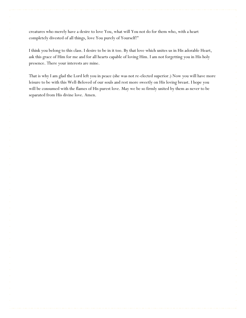creatures who merely have a desire to love You, what will You not do for them who, with a heart completely divested of all things, love You purely of Yourself!"

I think you belong to this class. I desire to be in it too. By that love which unites us in His adorable Heart, ask this grace of Him for me and for all hearts capable of loving Him. I am not forgetting you in His holy presence. There your interests are mine.

That is why I am glad the Lord left you in peace (she was not re-elected superior.) Now you will have more leisure to be with this Well-Beloved of our souls and rest more sweetly on His loving breast. I hope you will be consumed with the flames of His purest love. May we be so firmly united by them as never to be separated from His divine love. Amen.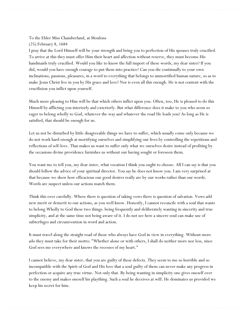To the Elder Miss Chamberland, at Moulons (25) February 8, 1684

I pray that the Lord Himself will be your strength and bring you to perfection of His spouses truly crucified. To arrive at this they must offer Him their heart and affection without reserve, they must become His handmaids truly crucified. Would you like to know the full import of these words, my dear sister? If you did, would you have enough courage to put them into practice? Can you die continually to your own inclinations, passions, pleasures, in a word to everything that belongs to unmortified human nature, so as to make Jesus Christ live in you by His grace and love? Nor is even all this enough. He is not content with the crucifixion you inflict upon yourself.

Much more pleasing to Him will be that which others inflict upon you. Often, too, He is pleased to do this Himself by afflicting you interiorly and exteriorly. But what difference does it make to you who seem so eager to belong wholly to God, whatever the way and whatever the road He leads you? As long as He is satisfied, that should be enough for us.

Let us not be disturbed by little disagreeable things we have to suffer, which usually come only because we do not work hard enough at mortifying ourselves and simplifying our lives by controlling the repetitions and reflections of self-love. That makes us want to suffer only what we ourselves desire instead of profiting by the occasions divine providence furnishes us without our having sought or foreseen them.

You want me to tell you, my dear sister, what vocation I think you ought to choose. All I can say is that you should follow the advice of your spiritual director. You say he does not know you. I am very surprised at that because we show how efficacious our good desires really are by our works rather than our words. Words are suspect unless our actions match them.

Think this over carefully. Where there is question of taking vows there is question of salvation. Vows add new merit or demerit to our actions, as you well know. Honestly, I cannot reconcile with a soul that wants to belong Wholly to God these two things: being frequently and deliberately wanting in sincerity and true simplicity, and at the same time not being aware of it. I do not see how a sincere soul can make use of subterfuges and circumvention in word and action.

It must travel along the straight road of those who always have God in view in everything. Without more ado they must take for their motto: "Whether alone or with others, I shall do neither more nor less, since God sees me everywhere and knows the recesses of my heart."

I cannot believe, my dear sister, that you are guilty of these defects. They seem to me so horrible and so incompatible with the Spirit of God and His love that a soul guilty of them can never make any progress in perfection or acquire any true virtue. Not only that. By being wanting in simplicity one gives oneself over to the enemy and makes oneself his plaything. Such a soul he deceives at will. He dominates us provided we keep his secret for him.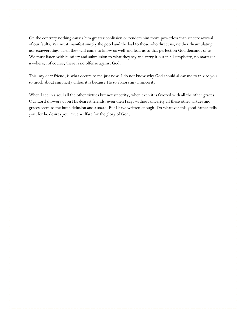On the contrary nothing causes him greater confusion or renders him more powerless than sincere avowal of our faults. We must manifest simply the good and the bad to those who direct us, neither dissimulating nor exaggerating. Then they will come to know us well and lead us to that perfection God demands of us. We must listen with humility and submission to what they say and carry it out in all simplicity, no matter it is-where,, of course, there is no offense against God.

This, my dear friend, is what occurs to me just now. I do not know why God should allow me to talk to you so much about simplicity unless it is because He so abhors any insincerity.

When I see in a soul all the other virtues but not sincerity, when even it is favored with all the other graces Our Lord showers upon His dearest friends, even then I say, without sincerity all these other virtues and graces seem to me but a delusion and a snare. But I have written enough. Do whatever this good Father tells you, for he desires your true welfare for the glory of God.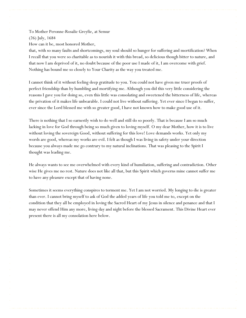To Mother Peronne-Rosalie Greyfie, at Semur (26) July, 1684

How can it be, most honored Mother,

that, with so many faults and shortcomings, my soul should so hunger for suffering and mortification? When I recall that you were so charitable as to nourish it with this bread, so delicious though bitter to nature, and that now I am deprived of it, no doubt because of the poor use I made of it, I am overcome with grief. Nothing has bound me so closely to Your Charity as the way you treated me.

I cannot think of it without feeling deep gratitude to you. You could not have given me truer proofs of perfect friendship than by humbling and mortifying me. Although you did this very little considering the reasons I gave you for doing so, even this little was consolating and sweetened the bitterness of life, whereas the privation of it makes life unbearable. I could not live without suffering. Yet ever since I began to suffer, ever since the Lord blessed me with so greater good, I have not known how to make good use of it.

There is nothing that I so earnestly wish to do well and still do so poorly. That is because I am so much lacking in love for God through being so much given to loving myself. O my dear Mother, how it is to live without loving the sovereign Good, without suffering for this love! Love demands works. Yet only my words are good, whereas my works are evil. I felt as though I was living in safety under your direction because you always made me go contrary to my natural inclinations. That was pleasing to the Spirit I thought was leading me.

He always wants to see me overwhelmed with every kind of humiliation, suffering and contradiction. Other wise He gives me no rest. Nature does not like all that, but this Spirit which governs mine cannot suffer me to have any pleasure except that of having none.

Sometimes it seems everything conspires to torment me. Yet I am not worried. My longing to die is greater than ever. I cannot bring myself to ask of God the added years of life you told me to, except on the condition that they all be employed in loving the Sacred Heart of my Jesus in silence and penance and that I may never offend Him any more, living day and night before the blessed Sacrament. This Divine Heart ever present there is all my consolation here below.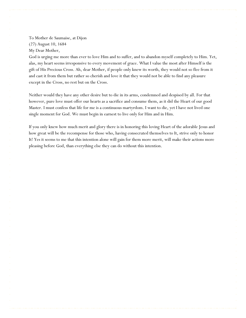To Mother de Saumaise, at Dijon (27) August 10, 1684 My Dear Mother,

God is urging me more than ever to love Him and to suffer, and to abandon myself completely to Him. Yet, alas, my heart seems irresponsive to every movement of grace. What I value the most after Himself is the gift of His Precious Cross. Ah, dear Mother, if people only knew its worth, they would not so flee from it and cast it from them but rather so cherish and love it that they would not be able to find any pleasure except in the Cross, no rest but on the Cross.

Neither would they have any other desire but to die in its arms, condemned and despised by all. For that however, pure love must offer our hearts as a sacrifice and consume them, as it did the Heart of our good Master. I must confess that life for me is a continuous martyrdom. I want to die, yet I have not lived one single moment for God. We must begin in earnest to live only for Him and in Him.

If you only knew how much merit and glory there is in honoring this loving Heart of the adorable Jesus and how great will be the recompense for those who, having consecrated themselves to It, strive only to honor It! Yes it seems to me that this intention alone will gain for them more merit, will make their actions more pleasing before God, than everything else they can do without this intention.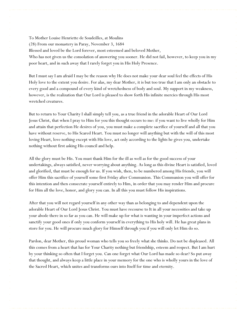To Mother Louise Henriette de Soudeilles, at Moulins (28) From our monastery in Paray, November 3, 1684 Blessed and loved be the Lord forever, most esteemed and beloved Mother, Who has not given us the consolation of answering you sooner. He did not fail, however, to keep you in my poor heart, and in such away that I rarely forget you in His Holy Presence.

But I must say I am afraid I may be the reason why He does not make your dear soul feel the effects of His Holy love to the extent you desire. For alas, my dear Mother, it is but too true that I am only an obstacle to every good and a compound of every kind of wretchedness of body and soul. My support in my weakness, however, is the realization that Our Lord is pleased to show forth His infinite mercies through His most wretched creatures.

But to return to Your Charity I shall simply tell you, as a true friend in the adorable Heart of Our Lord Jesus Christ, that when I pray to Him for you this thought occurs to me: if you want to live wholly for Him and attain that perfection He desires of you, you must make a complete sacrifice of yourself and all that you have without reserve, to His Scared Heart. You must no longer will anything but with the will of this most loving Heart, love nothing except with His love, act only according to the lights he gives you, undertake nothing without first asking His council and help.

All the glory must be His. You must thank Him for the ill as well as for the good success of your undertakings, always satisfied, never worrying about anything. As long as this divine Heart is satisfied, loved and glorified, that must be enough for us. If you wish, then, to be numbered among His friends, you will offer Him this sacrifice of yourself some first Friday after Communion. This Communion you will offer for this intention and then consecrate yourself entirely to Him, in order that you may render Him and procure for Him all the love, honor, and glory you can. In all this you must follow His inspirations.

After that you will not regard yourself in any other way than as belonging to and dependent upon the adorable Heart of Our Lord Jesus Christ. You must have recourse to It in all your necessities and take up your abode there in so far as you can. He will make up for what is wanting in your imperfect actions and sanctify your good ones if only you conform yourself in everything to His holy will. He has great plans in store for you. He will procure much glory for Himself through you if you will only let Him do so.

Pardon, dear Mother, this proud woman who tells you so freely what she thinks. Do not be displeased. All this comes from a heart that has for Your Charity nothing but friendship, esteem and respect. But I am hurt by your thinking so often that I forget you. Can one forget what Our Lord has made so dear? So put away that thought, and always keep a little place in your memory for the one who is wholly yours in the love of the Sacred Heart, which unites and transforms ours into Itself for time and eternity.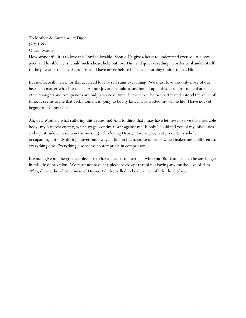## To Mother de Saumaise, at Dijon (29) 1685 O dear Mother

How wonderful it is to love this Lord so lovable! Should He give a heart to understand ever so little how good and lovable He is, could such a heart help but love Him and quit everything in order to abandon itself to the power of this love? I assure you I have never before felt such a burning desire to love Him.

But ineffectually, alas, for this accursed love of self ruins everything. We must love this only Love of our hearts no matter what it costs us. All our joy and happiness are bound up in this. It seems to me that all other thoughts and occupations are only a waste of time. I have never before better understood the value of time. It seems to me that each moment is going to be my last. I have wasted my whole life, I have not yet begun to love my God.

Ah, dear Mother, what suffering this causes me! And to think that I may have let myself serve this miserable body, my bitterest enemy, which wages continual war against me! If only I could tell you of my infidelities and ingratitude... (a sentence is missing). This loving Heart, I assure you, is at present my whole occupation, not only during prayer but always. I find in It a paradise of peace which makes me indifferent to everything else. Everything else seems contemptible in comparison.

It would give me the greatest pleasure to have a heart to heart talk with you. But that is not to be any longer in this life of privation. We must not have any pleasure except that of not having any for the love of Him Who, during the whole course of His mortal life, willed to be deprived of it for love of us.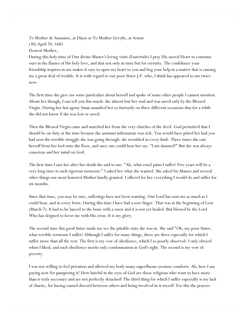To Mother de Saumaise, at Dijon or To Mother Greyfie, at Semur (30) April 20, 1685 Dearest Mother,

During this holy time of Our divine Master's loving visits (Eastertide) I pray His sacred Heart to consume ours in the flames of His holy love, and that not only in time but for eternity. The confidence your friendship inspires in me makes it easy to open my heart to you and beg your help in a matter that is causing me a great deal of trouble. It is with regard to our poor Sister J.F. who, I think has appeared to me twice now.

The first time she gave me some particulars about herself and spoke of some other people I cannot mention. About her though, I can tell you this much: she almost lost her soul and was saved only by the Blessed Virgin. During her last agony Satan assaulted her so furiously on three different occasions that for a while she did not know if she was lost or saved.

Then the Blessed Virgin came and snatched her from the very clutches of the devil. God permitted that I should be on duty at the time because the assistant infirmarian was sick. You would have pitied her had you had seen the terrible struggle she was going through: she trembled in every limb. Three times she cast herself from her bed onto the floor, and once one could hear her say: "I am damned!" But she was always conscious and her mind on God.

The first time I saw her after her death she said to me: "Ah, what cruel pains I suffer! Five years will be a very long time in such rigorous torments." I asked her what she wanted. She asked for Masses and several other things our most honored Mother kindly granted. I offered for her everything I would do and suffer for six months.

Since that time, you may be sure, sufferings have not been wanting. Our Lord has sent me as much as I could bear, and in every form. During this time I have had a sore finger. That was at the beginning of Lent (March 7). It had to be lanced to the bone with a razor and it is not yet healed. But blessed be the Lord Who has deigned to favor me with His cross. It is my glory.

The second time this good Sister made me see the pitiable state she was in. She said "Oh, my poor Sister, what terrible torments I suffer! Although I suffer for many things, there are three especially for which I suffer more than all the rest. The first is my vow of obedience, which I so poorly observed. I only obeyed when I liked, and such obedience merits only condemnation in God's sight. The second is my vow of poverty.

I was not willing to feel privation and allowed my body many superfluous creature comforts. Ah, how I am paying now for pampering it! How hateful in the eyes of God are those religious who want to have more than is truly necessary and are not perfectly detached! The third thing for which I suffer especially is my lack of charity, for having caused discord between others and being involved in it myself. For this the prayers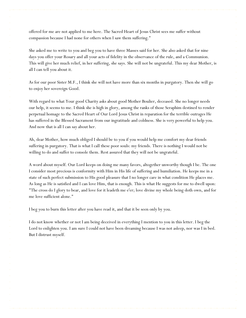offered for me are not applied to me here. The Sacred Heart of Jesus Christ sees me suffer without compassion because I had none for others when I saw them suffering."

She asked me to write to you and beg you to have three Masses said for her. She also asked that for nine days you offer your Rosary and all your acts of fidelity in the observance of the rule, and a Communion. This will give her much relief, in her suffering, she says. She will not be ungrateful. This my dear Mother, is all I can tell you about it.

As for our poor Sister M.F., I think she will not have more than six months in purgatory. Then she will go to enjoy her sovereign Good.

With regard to what Your good Charity asks about good Mother Boulier, deceased. She no longer needs our help, it seems to me. I think she is high in glory, among the ranks of those Seraphim destined to render perpetual homage to the Sacred Heart of Our Lord Jesus Christ in reparation for the terrible outrages He has suffered in the Blessed Sacrament from our ingratitude and coldness. She is very powerful to help you. And now that is all I can say about her.

Ah, dear Mother, how much obliged I should be to you if you would help me comfort my dear friends suffering in purgatory. That is what I call these poor souls: my friends. There is nothing I would not be willing to do and suffer to console them. Rest assured that they will not be ungrateful.

A word about myself. Our Lord keeps on doing me many favors, altogether unworthy though I be. The one I consider most precious is conformity with Him in His life of suffering and humiliation. He keeps me in a state of such perfect submission to His good pleasure that I no longer care in what condition He places me. As long as He is satisfied and I can love Him, that is enough. This is what He suggests for me to dwell upon: "The cross do I glory to bear, and love for it leadeth me e'er; love divine my whole being doth own, and for me love sufficient alone."

I beg you to burn this letter after you have read it, and that it be seen only by you.

I do not know whether or not I am being deceived in everything I mention to you in this letter. I beg the Lord to enlighten you. I am sure I could not have been dreaming because I was not asleep, nor was I in bed. But I distrust myself.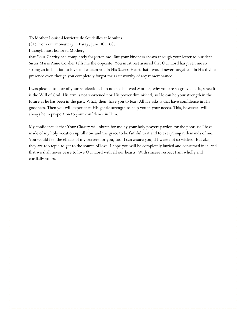To Mother Louise-Henriette de Soudeilles at Moulins

(31) From our monastery in Paray, June 30, 1685

I though most honored Mother,

that Your Charity had completely forgotten me. But your kindness shown through your letter to our dear Sister Marie Anne Cordier tells me the opposite. You must rest assured that Our Lord has given me so strong an inclination to love and esteem you in His Sacred Heart that I would never forget you in His divine presence even though you completely forgot me as unworthy of any remembrance.

I was pleased to hear of your re-election. I do not see beloved Mother, why you are so grieved at it, since it is the Will of God. His arm is not shortened nor His power diminished, so He can be your strength in the future as he has been in the past. What, then, have you to fear? All He asks is that have confidence in His goodness. Then you will experience His gentle strength to help you in your needs. This, however, will always be in proportion to your confidence in Him.

My confidence is that Your Charity will obtain for me by your holy prayers pardon for the poor use I have made of my holy vocation up till now and the grace to be faithful to it and to everything it demands of me. You would feel the effects of my prayers for you, too, I can assure you, if I were not so wicked. But alas, they are too tepid to get to the source of love. I hope you will be completely buried and consumed in it, and that we shall never cease to love Our Lord with all our hearts. With sincere respect I am wholly and cordially yours.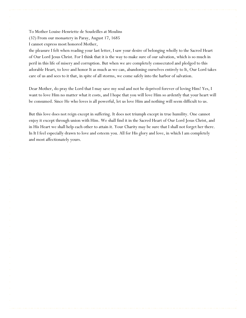To Mother Louise-Henriette de Soudeilles at Moulins

(32) From our monastery in Paray, August 17, 1685

I cannot express most honored Mother,

the pleasure I felt when reading your last letter, I saw your desire of belonging wholly to the Sacred Heart of Our Lord Jesus Christ. For I think that it is the way to make sure of our salvation, which is so much in peril in this life of misery and corruption. But when we are completely consecrated and pledged to this adorable Heart, to love and honor It as much as we can, abandoning ourselves entirely to It, Our Lord takes care of us and sees to it that, in spite of all storms, we come safely into the harbor of salvation.

Dear Mother, do pray the Lord that I may save my soul and not be deprived forever of loving Him! Yes, I want to love Him no matter what it costs, and I hope that you will love Him so ardently that your heart will be consumed. Since He who loves is all powerful, let us love Him and nothing will seem difficult to us.

But this love does not reign except in suffering. It does not triumph except in true humility. One cannot enjoy it except through union with Him. We shall find it in the Sacred Heart of Our Lord Jesus Christ, and in His Heart we shall help each other to attain it. Your Charity may be sure that I shall not forget her there. In It I feel especially drawn to love and esteem you. All for His glory and love, in which I am completely and most affectionately yours.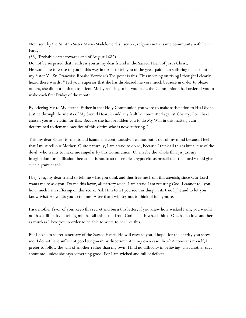Note sent by the Saint to Sister Marie-Madeleine des Escures, relgious in the same community with her in Paray.

(33) (Probable date: towards end of August 1685)

Do not be surprised that I address you as my dear friend in the Sacred Heart of Jesus Christ. He wants me to write to you in this way in order to tell you of the great pain I am suffering on account of my Sister V. (Sr. Francoise Rosalie Verchere) The point is this. This morning on rising I thought I clearly heard these words: "Tell your superior that she has displeased me very much because in order to please others, she did not hesitate to offend Me by refusing to let you make the Communion I had ordered you to make each first Friday of the month.

By offering Me to My eternal Father in that Holy Communion you were to make satisfaction to His Divine Justice through the merits of My Sacred Heart should any fault be committed against Charity. For I have chosen you as a victim for this. Because she has forbidden you to do My Will in this matter, I am determined to demand sacrifice of this victim who is now suffering."

This my dear Sister, torments and haunts me continuously. I cannot put it out of my mind because I feel that I must tell our Mother. Quite naturally, I am afraid to do so, because I think all this is but a ruse of the devil, who wants to make me singular by this Communion. Or maybe the whole thing is just my imagination, or an illusion, because it is not to so miserable a hypocrite as myself that the Lord would give such a grace as this.

I beg you, my dear friend to tell me what you think and thus free me from this anguish, since Our Lord wants me to ask you. Do me this favor, all flattery aside. I am afraid I am resisting God. I cannot tell you how much I am suffering on this score. Ask Him to let you see this thing in its true light and to let you know what He wants you to tell me. After that I will try not to think of it anymore.

I ask another favor of you: keep this secret and burn this letter. If you knew how wicked I am, you would not have difficulty in telling me that all this is not from God. That is what I think. One has to love another as much as I love you in order to be able to write to her like this.

But I do so in secret sanctuary of the Sacred Heart. He will reward you, I hope, for the charity you show me. I do not have sufficient good judgment or discernment in my own case. In what concerns myself, I prefer to follow the will of another rather than my own. I find no difficulty in believing what another says about me, unless she says something good. For I am wicked and full of defects.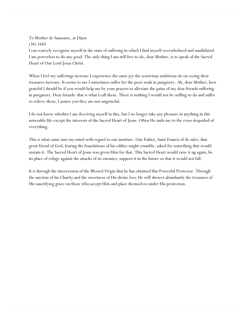To Mother de Saumaise, at Dijon (34) 1685

I can scarcely recognize myself in the state of suffering in which I find myself overwhelmed and annihilated. I am powerless to do any good. The only thing I am still free to do, dear Mother, is to speak of the Sacred Heart of Our Lord Jesus Christ.

When I feel my sufferings increase I experience the same joy the avaricious ambitious do on seeing their treasures increase. It seems to me I sometimes suffer for the poor souls in purgatory. Ah, dear Mother, how grateful I should be if you would help me by your prayers to alleviate the pains of my dear friends suffering in purgatory. Dear friends: that is what I call them. There is nothing I would not be willing to do and suffer to relieve them. I assure you they are not ungrateful.

I do not know whether I am deceiving myself in this, but I no longer take any pleasure in anything in this miserable life except the interests of the Sacred Heart of Jesus. Often He nails me to the cross despoiled of everything.

This is what came into my mind with regard to our institute. Our Father, Saint Francis of de sales, that great friend of God, fearing the foundations of his edifice might crumble, asked for something that would sustain it. The Sacred Heart of Jesus was given Him for that. This Sacred Heart would raise it up again, be its place of refuge against the attacks of its enemies, support it in the future so that it would not fall.

It is through the intercession of the Blessed Virgin that he has obtained this Powerful Protector. Through the unction of his Charity and the sweetness of His divine love He will shower abundantly the treasures of His sanctifying grace on those who accept Him and place themselves under His protection.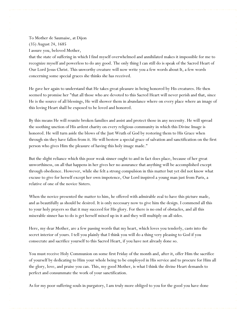To Mother de Saumaise, at Dijon (35) August 24, 1685 I assure you, beloved Mother,

that the state of suffering in which I find myself overwhelmed and annihilated makes it impossible for me to recognize myself and powerless to do any good. The only thing I can still do is speak of the Sacred Heart of Our Lord Jesus Christ. This unworthy creature will now write you a few words about It, a few words concerning some special graces she thinks she has received.

He gave her again to understand that He takes great pleasure in being honored by His creatures. He then seemed to promise her "that all those who are devoted to this Sacred Heart will never perish and that, since He is the source of all blessings, He will shower them in abundance where on every place where an image of this loving Heart shall be exposed to be loved and honored.

By this means He will reunite broken families and assist and protect those in any necessity. He will spread the soothing unction of His ardent charity on every religious community in which this Divine Image is honored. He will turn aside the blows of the Just Wrath of God by restoring them to His Grace when through sin they have fallen from it. He will bestow a special grace of salvation and sanctification on the first person who gives Him the pleasure of having this holy image made."

But the slight reliance which this poor weak sinner ought to and in fact does place, because of her great unworthiness, on all that happens in her gives her no assurance that anything will be accomplished except through obedience. However, while she felt a strong compulsion in this matter but yet did not know what excuse to give for herself except her own impotence, Our Lord inspired a young man just from Paris, a relative of one of the novice Sisters.

When the novice presented the matter to him, he offered with admirable zeal to have this picture made, and as beautifully as should be desired. It is only necessary now to give him the design. I commend all this to your holy prayers so that it may succeed for His glory. For there is no end of obstacles, and all this miserable sinner has to do is get herself mixed up in it and they will multiply on all sides.

Here, my dear Mother, are a few passing words that my heart, which loves you tenderly, casts into the secret interior of yours. I tell you plainly that I think you will do a thing very pleasing to God if you consecrate and sacrifice yourself to this Sacred Heart, if you have not already done so.

You must receive Holy Communion on some first Friday of the month and, after it, offer Him the sacrifice of yourself by dedicating to Him your whole being to be employed in His service and to procure for Him all the glory, love, and praise you can. This, my good Mother, is what I think the divine Heart demands to perfect and consummate the work of your sanctification.

As for my poor suffering souls in purgatory, I am truly more obliged to you for the good you have done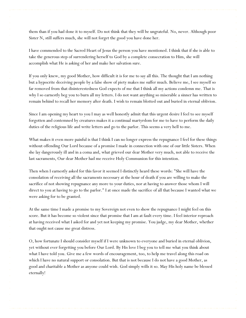them than if you had done it to myself. Do not think that they will be ungrateful. No, never. Although poor Sister N, still suffers much, she will not forget the good you have done her.

I have commended to the Sacred Heart of Jesus the person you have mentioned. I think that if she is able to take the generous step of surrendering herself to God by a complete consecration to Him, she will accomplish what He is asking of her and make her salvation sure.

If you only knew, my good Mother, how difficult it is for me to say all this. The thought that I am nothing but a hypocrite deceiving people by a false show of piety makes me suffer much. Believe me, I see myself so far removed from that disinterestedness God expects of me that I think all my actions condemn me. That is why I so earnestly beg you to burn all my letters. I do not want anything so miserable a sinner has written to remain behind to recall her memory after death. I wish to remain blotted out and buried in eternal oblivion.

Since I am opening my heart to you I may as well honestly admit that this urgent desire I feel to see myself forgotten and contemned by creatures makes it a continual martyrdom for me to have to perform the daily duties of the religious life and write letters and go to the parlor. This seems a very hell to me.

What makes it even more painful is that I think I can no longer express the repugnance I feel for these things without offending Our Lord because of a promise I made in connection with one of our little Sisters. When she lay dangerously ill and in a coma and, what grieved our dear Mother very much, not able to receive the last sacraments, Our dear Mother had me receive Holy Communion for this intention.

Then when I earnestly asked for this favor it seemed I distinctly heard these words: "She will have the consolation of receiving all the sacraments necessary at the hour of death if you are willing to make the sacrifice of not showing repugnance any more to your duties, nor at having to answer those whom I will direct to you at having to go to the parlor." I at once made the sacrifice of all that because I wanted what we were asking for to be granted.

At the same time I made a promise to my Sovereign not even to show the repugnance I might feel on this score. But it has become so violent since that promise that I am at fault every time. I feel interior reproach at having received what I asked for and yet not keeping my promise. You judge, my dear Mother, whether that ought not cause me great distress.

O, how fortunate I should consider myself if I were unknown to everyone and buried in eternal oblivion, yet without ever forgetting you before Our Lord. By His love I beg you to tell me what you think about what I have told you. Give me a few words of encouragement, too, to help me travel along this road on which I have no natural support or consolation. But that is not because I do not have a good Mother, as good and charitable a Mother as anyone could wish. God simply wills it so. May His holy name be blessed eternally!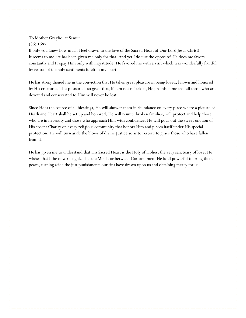To Mother Greyfie, at Semur (36) 1685

If only you knew how much I feel drawn to the love of the Sacred Heart of Our Lord Jesus Christ! It seems to me life has been given me only for that. And yet I do just the opposite! He does me favors constantly and I repay Him only with ingratitude. He favored me with a visit which was wonderfully fruitful by reason of the holy sentiments it left in my heart.

He has strengthened me in the conviction that He takes great pleasure in being loved, known and honored by His creatures. This pleasure is so great that, if I am not mistaken, He promised me that all those who are devoted and consecrated to Him will never be lost.

Since He is the source of all blessings, He will shower them in abundance on every place where a picture of His divine Heart shall be set up and honored. He will reunite broken families, will protect and help those who are in necessity and those who approach Him with confidence. He will pour out the sweet unction of His ardent Charity on every religious community that honors Him and places itself under His special protection. He will turn aside the blows of divine Justice so as to restore to grace those who have fallen from it.

He has given me to understand that His Sacred Heart is the Holy of Holies, the very sanctuary of love. He wishes that It be now recognized as the Mediator between God and men. He is all powerful to bring them peace, turning aside the just punishments our sins have drawn upon us and obtaining mercy for us.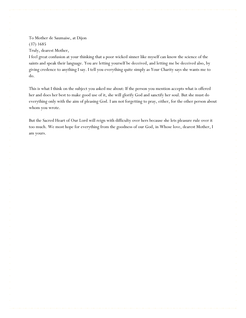To Mother de Saumaise, at Dijon (37) 1685 Truly, dearest Mother,

I feel great confusion at your thinking that a poor wicked sinner like myself can know the science of the saints and speak their language. You are letting yourself be deceived, and letting me be deceived also, by giving credence to anything I say. I tell you everything quite simply as Your Charity says she wants me to do.

This is what I think on the subject you asked me about: If the person you mention accepts what is offered her and does her best to make good use of it, she will glorify God and sanctify her soul. But she must do everything only with the aim of pleasing God. I am not forgetting to pray, either, for the other person about whom you wrote.

But the Sacred Heart of Our Lord will reign with difficulty over hers because she lets pleasure rule over it too much. We most hope for everything from the goodness of our God, in Whose love, dearest Mother, I am yours.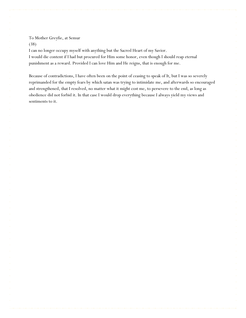To Mother Greyfie, at Semur (38)

I can no longer occupy myself with anything but the Sacred Heart of my Savior. I would die content if I had but procured for Him some honor, even though I should reap eternal punishment as a reward. Provided I can love Him and He reigns, that is enough for me.

Because of contradictions, I have often been on the point of ceasing to speak of It, but I was so severely reprimanded for the empty fears by which satan was trying to intimidate me, and afterwards so encouraged and strengthened, that I resolved, no matter what it might cost me, to persevere to the end, as long as obedience did not forbid it. In that case I would drop everything because I always yield my views and sentiments to it.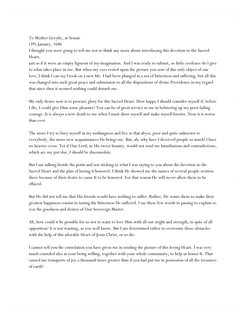To Mother Greyfie, at Semur

(39) January, 1686

I thought you were going to tell me not to think any more about introducing this devotion to the Sacred Heart,

just as if it were an empty figment of my imagination. And I was ready to submit, so little credence do I give to what takes place in me. But when my eyes rested upon the picture you sent of this only object of our love, I think I can say I took on a new life. I had been plunged in a sea of bitterness and suffering, but all this was changed into such great peace and submission to all the dispositions of divine Providence in my regard that since then it seemed nothing could disturb me.

My only desire now is to procure glory for this Sacred Heart. How happy I should consider myself if, before I die, I could give Him some pleasure! You can be of great service to me in bolstering up my poor failing courage. It is always a new death to me when I must show myself and make myself known. Now it is worse than ever.

The more I try to bury myself in my nothingness and live in that abyss, poor and quite unknown to everybody, the more new acquaintances He brings me. But, ah, why have I deceived people so much! I have no heavier cross. Yet if Our Lord, in His sweet bounty, would not send me humiliations and contradictions, which are my just due, I should be disconsolate.

But I am talking beside the point and not sticking to what I was saying to you about the devotion to the Sacred Heart and the plan of having it honored. I think He showed me the names of several people written there because of their desire to cause It to be honored. For that reason He will never allow them to be effaced.

But He did not tell me that His friends would have nothing to suffer. Rather, He wants them to make their greatest happiness consist in tasting the bitterness He suffered. I say these few words in passing to explain to you the goodness and desires of Our Sovereign Master.

Ah, how could it be possible for us not to want to love Him with all our might and strength, in spite of all opposition! It is not wanting, as you well know. But I am determined either to overcome these obstacles with the help of this adorable Heart of Jesus Christ, or to die.

I cannot tell you the consolation you have given me in sending the picture of this loving Heart. I was very much consoled also at your being willing, together with your whole community, to help us honor It. That caused me transports of joy a thousand times greater than if you had put me in possession of all the treasures of earth!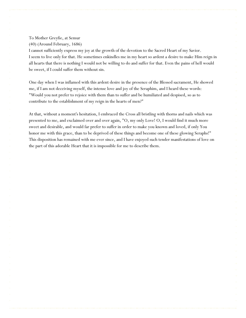To Mother Greyfie, at Semur

(40) (Around February, 1686)

I cannot sufficiently express my joy at the growth of the devotion to the Sacred Heart of my Savior. I seem to live only for that. He sometimes enkindles me in my heart so ardent a desire to make Him reign in all hearts that there is nothing I would not be willing to do and suffer for that. Even the pains of hell would be sweet, if I could suffer them without sin.

One day when I was inflamed with this ardent desire in the presence of the Blessed sacrament, He showed me, if I am not deceiving myself, the intense love and joy of the Seraphim, and I heard these words: "Would you not prefer to rejoice with them than to suffer and be humiliated and despised, so as to contribute to the establishment of my reign in the hearts of men?"

At that, without a moment's hesitation, I embraced the Cross all bristling with thorns and nails which was presented to me, and exclaimed over and over again, "O, my only Love! O, I would find it much more sweet and desirable, and would far prefer to suffer in order to make you known and loved, if only You honor me with this grace, than to be deprived of these things and become one of these glowing Seraphs!" This disposition has remained with me ever since, and I have enjoyed such tender manifestations of love on the part of this adorable Heart that it is impossible for me to describe them.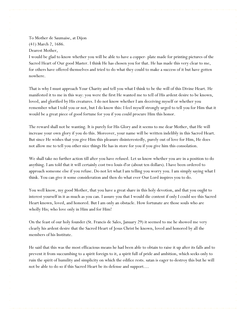To Mother de Saumaise, at Dijon (41) March 2, 1686. Dearest Mother,

I would be glad to know whether you will be able to have a copper- plate made for printing pictures of the Sacred Heart of Our good Master. I think He has chosen you for that. He has made this very clear to me, for others have offered themselves and tried to do what they could to make a success of it but have gotten nowhere.

That is why I must approach Your Charity and tell you what I think to be the will of this Divine Heart. He manifested it to me in this way: you were the first He wanted me to tell of His ardent desire to be known, loved, and glorified by His creatures. I do not know whether I am deceiving myself or whether you remember what I told you or not, but I do know this: I feel myself strongly urged to tell you for Him that it would be a great piece of good fortune for you if you could procure Him this honor.

The reward shall not be wanting. It is purely for His Glory and it seems to me dear Mother, that He will increase your own glory if you do this. Moreover, your name will be written indelibly in this Sacred Heart. But since He wishes that you give Him this pleasure disinterestedly, purely out of love for Him, He does not allow me to tell you other nice things He has in store for you if you give him this consolation.

We shall take no further action till after you have refused. Let us know whether you are in a position to do anything. I am told that it will certainly cost two louis d'or (about ten dollars). I have been ordered to approach someone else if you refuse. Do not let what I am telling you worry you. I am simply saying what I think. You can give it some consideration and then do what ever Our Lord inspires you to do.

You well know, my good Mother, that you have a great share in this holy devotion, and that you ought to interest yourself in it as much as you can. I assure you that I would die content if only I could see this Sacred Heart known, loved, and honored. But I am only an obstacle. How fortunate are those souls who are wholly His; who love only in Him and for Him!

On the feast of our holy founder (St. Francis de Sales, January 29) it seemed to me he showed me very clearly his ardent desire that the Sacred Heart of Jesus Christ be known, loved and honored by all the members of his Institute.

He said that this was the most efficacious means he had been able to obtain to raise it up after its falls and to prevent it from succumbing to a spirit foreign to it, a spirit full of pride and ambition, which seeks only to ruin the spirit of humility and simplicity on which the edifice rests. satan is eager to destroy this but he will not be able to do so if this Sacred Heart be its defense and support....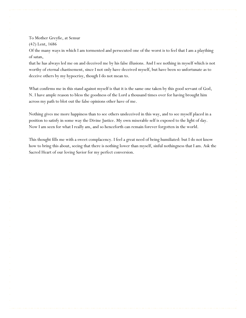To Mother Greyfie, at Semur

(42) Lent, 1686

Of the many ways in which I am tormented and persecuted one of the worst is to feel that I am a plaything of satan,

that he has always led me on and deceived me by his false illusions. And I see nothing in myself which is not worthy of eternal chastisement, since I not only have deceived myself, but have been so unfortunate as to deceive others by my hypocrisy, though I do not mean to.

What confirms me in this stand against myself is that it is the same one taken by this good servant of God, N. I have ample reason to bless the goodness of the Lord a thousand times over for having brought him across my path to blot out the false opinions other have of me.

Nothing gives me more happiness than to see others undeceived in this way, and to see myself placed in a position to satisfy in some way the Divine Justice. My own miserable self is exposed to the light of day. Now I am seen for what I really am, and so henceforth can remain forever forgotten in the world.

This thought fills me with a sweet complacency. I feel a great need of being humiliated: but I do not know how to bring this about, seeing that there is nothing lower than myself, sinful nothingness that I am. Ask the Sacred Heart of our loving Savior for my perfect conversion.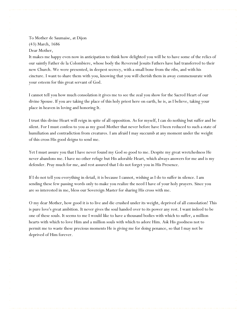To Mother de Saumaise, at Dijon (43) March, 1686 Dear Mother,

It makes me happy even now in anticipation to think how delighted you will be to have some of the relics of our saintly Father de la Colombiere, whose body the Reverend Jesuits Fathers have had transferred to their new Church. We were presented, in deepest secrecy, with a small bone from the ribs, and with his cincture. I want to share them with you, knowing that you will cherish them in away commensurate with your esteem for this great servant of God.

I cannot tell you how much consolation it gives me to see the zeal you show for the Sacred Heart of our divine Spouse. If you are taking the place of this holy priest here on earth, he is, as I believe, taking your place in heaven in loving and honoring It.

I trust this divine Heart will reign in spite of all opposition. As for myself, I can do nothing but suffer and be silent. For I must confess to you as my good Mother that never before have I been reduced to such a state of humiliation and contradiction from creatures. I am afraid I may succumb at any moment under the weight of this cross His good deigns to send me.

Yet I must assure you that I have never found my God so good to me. Despite my great wretchedness He never abandons me. I have no other refuge but His adorable Heart, which always answers for me and is my defender. Pray much for me, and rest assured that I do not forget you in His Presence.

If I do not tell you everything in detail, it is because I cannot, wishing as I do to suffer in silence. I am sending these few passing words only to make you realize the need I have of your holy prayers. Since you are so interested in me, bless our Sovereign Master for sharing His cross with me.

O my dear Mother, how good it is to live and die crushed under its weight, deprived of all consolation! This is pure love's great ambition. It never gives the soul handed over to its power any rest. I want indeed to be one of these souls. It seems to me I would like to have a thousand bodies with which to suffer, a million hearts with which to love Him and a million souls with which to adore Him. Ask His goodness not to permit me to waste these precious moments He is giving me for doing penance, so that I may not be deprived of Him forever.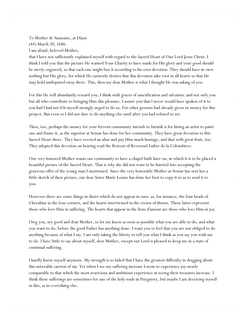To Mother de Saumaise, at Dijon (44) March 20, 1686. I am afraid, beloved Mother,

that I have not sufficiently explained myself with regard to the Sacred Heart of Our Lord Jesus Christ. I think I told you that the picture He wanted Your Charity to have made for His glory and your good should be nicely engraved, so that each one might buy it according to his own devotion. They should have in view nothing but His glory, for which He earnestly desires that this devotion take root in all hearts so that He may hold undisputed sway there. This, then my dear Mother is what I thought He was asking of you.

For this He will abundantly reward you, I think with graces of sanctification and salvation: and not only you but all who contribute to bringing Him this pleasure. I assure you that I never would have spoken of it to you had I had not felt myself strongly urged to do so. For other persons had already given us money for this project. But even so I did not dare to do anything else until after you had refused to act.

Then, too, perhaps the money for your fervent community intends to furnish is for hiring an artist to paint one and frame it, as the superior at Semur has done for her community. They have great devotion to this Sacred Heart there. They have erected an altar and pay Him much homage, and that with great fruit, too. They adopted this devotion on hearing read the Retreat of Reverend Father de la Colombiere.

Our very honored Mother wants our community to have a chapel built later on, in which it is to be placed a beautiful picture of the Sacred Heart. That is why she did not want to be hurried into accepting the generous offer of the young man I mentioned. Since the very honorable Mother at Semur has sent her a little sketch of their picture, our dear Sister Marie Louise has done her best to copy it so as to send it to you.

However there are some things in theirs which do not appear in ours: as, for instance, the four heads of Cherubim in the four corners, and the hearts intertwined in the crown of thorns. These latter represent those who love Him in suffering. The hearts that appear in the liens d'amour are those who love Him in joy.

I beg you, my good and dear Mother, to let me know as soon as possible what you are able to do, and what you want to do, before the good Father has anything done. I want you to feel that you are not obliged to do anything because of what I say. I am only taking the liberty to tell you what I think as you say you wish me to do. I have little to say about myself, dear Mother, except our Lord is pleased to keep me in a state of continual suffering.

I hardly know myself anymore. My strength is so failed that I have the greatest difficulty in dragging about this miserable carrion of sin. Yet when I see my suffering increase I seem to experience joy nearly comparable to that which the most avaricious and ambitious experience at seeing their treasures increase. I think these sufferings are sometimes for one of the holy souls in Purgatory, but maybe I am deceiving myself in this, as in everything else.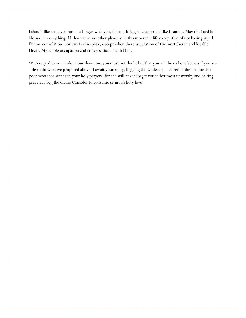I should like to stay a moment longer with you, but not being able to do as I like I cannot. May the Lord be blessed in everything! He leaves me no other pleasure in this miserable life except that of not having any. I find no consolation, nor can I even speak, except when there is question of His most Sacred and lovable Heart. My whole occupation and conversation is with Him.

With regard to your role in our devotion, you must not doubt but that you will be its benefactress if you are able to do what we proposed above. I await your reply, begging the while a special remembrance for this poor wretched sinner in your holy prayers, for she will never forget you in her most unworthy and halting prayers. I beg the divine Consoler to consume us in His holy love.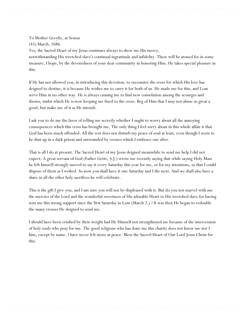To Mother Greyfie, at Semur

(45) March, 1686.

Yes, the Sacred Heart of my Jesus continues always to show me His mercy,

notwithstanding His wretched slave's continual ingratitude and infidelity. These will be atoned for in some measure, I hope, by the devotedness of your dear community in honoring Him. He takes special pleasure in this.

If He has not allowed you, in introducing this devotion, to encounter the cross for which His love has deigned to destine, it is because He wishes me to carry it for both of us. He made me for this, and I can serve Him in no other way. He is always causing me to find new consolation among the scourges and thorns, midst which He is now keeping me fixed to the cross. Beg of Him that I may not abuse so great a good, but make use of it as He intends.

I ask you to do me the favor of telling me secretly whether I ought to worry about all the annoying consequences which this cross has brought me. The only thing I feel sorry about in this whole affair is that God has been much offended. All the rest does not disturb my peace of soul at least, even though I seem to be shut up in a dark prison and surrounded by crosses which I embrace one after.

That is all I do at present. The Sacred Heart of my Jesus deigned meanwhile to send me help I did not expect. A great servant of God (Father Gette, S.J.) wrote me recently saying that while saying Holy Mass he felt himself strongly moved to say it every Saturday this year for me, or for my intentions, so that I could dispose of them as I wished. So now you shall have it one Saturday and I the next. And we shall also have a share in all the other holy sacrifices he will celebrate.

This is the gift I give you, and I am sure you will not be displeased with it. But do you not marvel with me the mercies of the Lord and the wonderful sweetness of His adorable Heart to His wretched slave for having sent me this strong support since the first Saturday in Lent (March 2,) ? It was then He began to redouble the many crosses He deigned to send me.

I should have been crushed by their weight had He Himself not strengthened me because of the intercession of holy souls who pray for me. The good religious who has done me this charity does not know me nor I him, except by name. I have never felt more at peace. Bless the Sacred Heart of Our Lord Jesus Christ for this.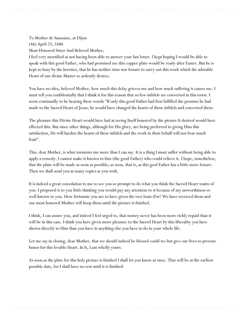To Mother de Saumaise, at Dijon (46) April 23, 1686 Most Honored Sister And Beloved Mother,

I feel very mortified at not having been able to answer your last letter. I kept hoping I would be able to speak with this good Father, who had promised me this copper plate would be ready after Easter. But he is kept so busy by the heretics, that he has neither time nor leisure to carry out this work which the adorable Heart of our divine Master so ardently desires.

You have no idea, beloved Mother, how much this delay grieves me and how much suffering it causes me. I must tell you confidentially that I think it for this reason that so few infidels are converted in this town. I seem continually to be hearing these words "If only this good Father had first fulfilled the promise he had made to the Sacred Heart of Jesus, he would have changed the hearts of those infidels and converted them.

The pleasure this Divine Heart would have had at seeing Itself honored by the picture It desired would have effected this. But since other things, although for His glory, are being preferred to giving Him this satisfaction, He will harden the hearts of these infidels and the work in their behalf will not bear much fruit".

This, dear Mother, is what torments me more than I can say. It is a thing I must suffer without being able to apply a remedy. I cannot make it known to him (the good Father) who could relieve it. I hope, nonetheless, that the plate will be made as soon as possible; as soon, that is, as this goof Father has a little more leisure. Then we shall send you as many copies as you wish.

It is indeed a great consolation to me to see you so prompt to do what you think the Sacred Heart wants of you. I proposed it to you little thinking you would pay any attention to it because of my unworthiness so well known to you. How fortunate you are to have given the two louis d'or! We have received them and our most honored Mother will keep them until the picture is finished.

I think, I can assure you, and indeed I feel urged to, that money never has been more richly repaid than it will be in this case. I think you have given more pleasure to the Sacred Heart by this liberality you have shown directly to Him than you have in anything else you have to do in your whole life.

Let me say in closing, dear Mother, that we should indeed be blessed could we but give our lives to procure honor for this lovable Heart. In It, I am wholly yours.

As soon as the plate for this holy picture is finished I shall let you know at once. That will be at the earliest possible date, for I shall have no rest until it is finished.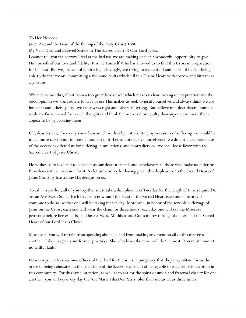## To Her Novices

(47) (Around the Feast of the finding of the Holy Cross) 1686.

My Very Dear and Beloved Sisters In The Sacred Heart of Our Lord Jesus.

I cannot tell you the sorrow I feel at the bad use we are making of such a wonderful opportunity to give Him proofs of our love and fidelity. It is He Himself Who has allowed us to find this Cross in preparation for Its feast. But we, instead of embracing it lovingly, are trying to shake it off and be rid of it. Not being able to do that we are committing a thousand faults which fill this Divine Heart with sorrow and bitterness against us.

Whence comes this, if not from a too great love of self which makes us fear loosing our reputation and the good opinion we want others to have of us? This makes us seek to justify ourselves and always think we are innocent and others guilty; we are always right and others all wrong. But believe me, dear sisters, humble souls are far removed from such thoughts and think themselves more guilty than anyone can make them appear to be by accusing them.

Oh, dear Sisters, if we only knew how much we lost by not profiting by occasions of suffering we would be much more careful not to loose a moment of it. Let us not deceive ourselves; if we do not make better use of the occasions offered us for suffering, humiliations, and contradictions, we shall loose favor with the Sacred Heart of Jesus Christ.

He wishes us to love and to consider as our dearest friends and benefactors all those who make us suffer or furnish us with an occasion for it. So let us be sorry for having given this displeasure to the Sacred Heart of Jesus Christ by frustrating His designs on us.

To ask His pardon, all of you together must take a discipline next Tuesday for the length of time required to say an Ave Maris Stella. Each day from now until the Feast of the Sacred Heart each one in turn will continue to do so, so that one will be taking it each day. Moreover, in honor of the terrible sufferings of Jesus on the Cross, each one will wear the chain for three hours. each day one will say the Miserere prostrate before her crucifix, and hear a Mass. All this to ask God's mercy through the merits of the Sacred Heart of our Lord Jesus Christ.

Moreover, you will refrain from speaking about.... and from making any mention all of this matter to another. Take up again your former practices. She who loves the most will do the most. You must commit no willful fault.

Between yourselves say nine offices of the dead for the souls in purgatory that they may obtain for us the grace of being reinstated in the friendship of the Sacred Heart and of being able to establish His devotion in this community. For this same intention, as well as to ask for the spirit of union and fraternal charity for one another, you will say every day the Ave Maria Filia Dei Patris, plus the Sanctus Deus three times.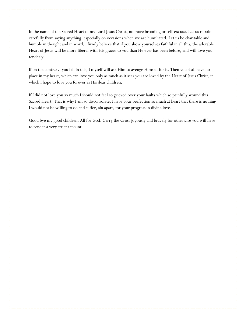In the name of the Sacred Heart of my Lord Jesus Christ, no more brooding or self-excuse. Let us refrain carefully from saying anything, especially on occasions when we are humiliated. Let us be charitable and humble in thought and in word. I firmly believe that if you show yourselves faithful in all this, the adorable Heart of Jesus will be more liberal with His graces to you than He ever has been before, and will love you tenderly.

If on the contrary, you fail in this, I myself will ask Him to avenge Himself for it. Then you shall have no place in my heart, which can love you only as much as it sees you are loved by the Heart of Jesus Christ, in which I hope to love you forever as His dear children.

If I did not love you so much I should not feel so grieved over your faults which so painfully wound this Sacred Heart. That is why I am so disconsolate. I have your perfection so much at heart that there is nothing I would not be willing to do and suffer, sin apart, for your progress in divine love.

Good bye my good children. All for God. Carry the Cross joyously and bravely for otherwise you will have to render a very strict account.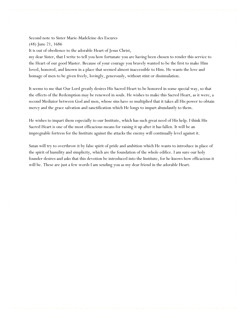Second note to Sister Marie-Madeleine des Escures

(48) June 21, 1686

It is out of obedience to the adorable Heart of Jesus Christ,

my dear Sister, that I write to tell you how fortunate you are having been chosen to render this service to the Heart of our good Master. Because of your courage you bravely wanted to be the first to make Him loved, honored, and known in a place that seemed almost inaccessible to Him. He wants the love and homage of men to be given freely, lovingly, generously, without stint or dissimulation.

It seems to me that Our Lord greatly desires His Sacred Heart to be honored in some special way, so that the effects of the Redemption may be renewed in souls. He wishes to make this Sacred Heart, as it were, a second Mediator between God and men, whose sins have so multiplied that it takes all His power to obtain mercy and the grace salvation and sanctification which He longs to impart abundantly to them.

He wishes to impart them especially to our Institute, which has such great need of His help. I think His Sacred Heart is one of the most efficacious means for raising it up after it has fallen. It will be an impregnable fortress for the Institute against the attacks the enemy will continually level against it.

Satan will try to overthrow it by false spirit of pride and ambition which He wants to introduce in place of the spirit of humility and simplicity, which are the foundation of the whole edifice. I am sure our holy founder desires and asks that this devotion be introduced into the Institute, for he knows how efficacious it will be. These are just a few words I am sending you as my dear friend in the adorable Heart.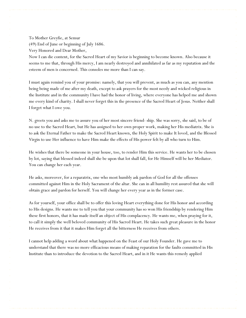To Mother Greyfie, at Semur

(49) End of June or beginning of July 1686.

Very Honored and Dear Mother,

Now I can die content, for the Sacred Heart of my Savior is beginning to become known. Also because it seems to me that, through His mercy, I am nearly destroyed and annihilated as far as my reputation and the esteem of men is concerned. This consoles me more than I can say.

I must again remind you of your promise: namely, that you will prevent, as much as you can, any mention being being made of me after my death, except to ask prayers for the most needy and wicked religious in the Institute and in the community I have had the honor of living, where everyone has helped me and shown me every kind of charity. I shall never forget this in the presence of the Sacred Heart of Jesus. Neither shall I forget what I owe you.

N. greets you and asks me to assure you of her most sincere friend- ship. She was sorry, she said, to be of no use to the Sacred Heart, but He has assigned to her own proper work, making her His mediatrix. She is to ask the Eternal Father to make the Sacred Heart known, the Holy Spirit to make It loved, and the Blessed Virgin to use Her influence to have Him make the effects of His power felt by all who turn to Him.

He wishes that there be someone in your house, too, to render Him this service. He wants her to be chosen by lot, saying that blessed indeed shall she be upon that lot shall fall, for He Himself will be her Mediator. You can change her each year.

He asks, moreover, for a reparatrix, one who most humbly ask pardon of God for all the offenses committed against Him in the Holy Sacrament of the altar. She can in all humility rest assured that she will obtain grace and pardon for herself. You will change her every year as in the former case.

As for yourself, your office shall be to offer this loving Heart everything done for His honor and according to His designs. He wants me to tell you that your community has so won His friendship by rendering Him these first honors, that it has made itself an object of His complacency. He wants me, when praying for it, to call it simply the well beloved community of His Sacred Heart. He takes such great pleasure in the honor He receives from it that it makes Him forget all the bitterness He receives from others.

I cannot help adding a word about what happened on the Feast of our Holy Founder. He gave me to understand that there was no more efficacious means of making reparation for the faults committed in His Institute than to introduce the devotion to the Sacred Heart, and in it He wants this remedy applied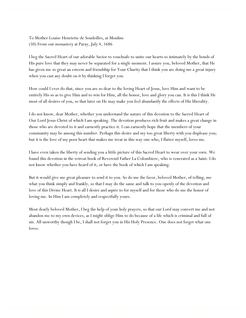To Mother Louise-Henriette de Soudeilles, at Moulins (50) From our monastery at Paray, July 4, 1686

I beg the Sacred Heart of our adorable Savior to vouchsafe to unite our hearts so intimately by the bonds of His pure love that they may never be separated for a single moment. I assure you, beloved Mother, that He has given me so great an esteem and friendship for Your Charity that I think you are doing me a great injury when you cast any doubt on it by thinking I forget you.

How could I ever do that, since you are so dear to the loving Heart of Jesus, love Him and want to be entirely His so as to give Him and to win for Him, all the honor, love and glory you can. It is this I think He most of all desires of you, so that later on He may make you feel abundantly the effects of His liberality.

I do not know, dear Mother, whether you understand the nature of this devotion to the Sacred Heart of Our Lord Jesus Christ of which I am speaking. The devotion produces rich fruit and makes a great change in those who are devoted to it and earnestly practice it. I can earnestly hope that the members of your community may be among this number. Perhaps this desire and my too great liberty with you displease you; but it is the love of my poor heart that makes me treat in this way one who, I flatter myself, loves me.

I have even taken the liberty of sending you a little picture of this Sacred Heart to wear over your own. We found this devotion in the retreat book of Reverend Father La Colombiere, who is venerated as a Saint. I do not know whether you have heard of it, or have the book of which I am speaking.

But it would give me great pleasure to send it to you. So do me the favor, beloved Mother, of telling, me what you think simply and frankly, so that I may do the same and talk to you openly of the devotion and love of this Divine Heart. It is all I desire and aspire to for myself and for those who do me the honor of loving me. In Him I am completely and respectfully yours.

Most dearly beloved Mother, I beg the help of your holy prayers, so that our Lord may convert me and not abandon me to my own devices, as I might oblige Him to do because of a life which is criminal and full of sin. All unworthy though I be, I shall not forget you in His Holy Presence. One does not forget what one loves.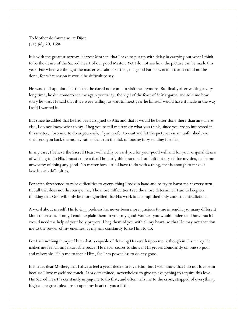To Mother de Saumaise, at Dijon (51) July 20. 1686

It is with the greatest sorrow, dearest Mother, that I have to put up with delay in carrying out what I think to be the desire of the Sacred Heart of our good Master. Yet I do not see how the picture can be made this year. For when we thought the matter was about settled, this good Father was told that it could not be done, for what reason it would be difficult to say.

He was so disappointed at this that he dared not come to visit me anymore. But finally after waiting a very long time, he did come to see me again yesterday, the vigil of the feast of St Margaret, and told me how sorry he was. He said that if we were willing to wait till next year he himself would have it made in the way I said I wanted it.

But since he added that he had been assigned to Alix and that it would be better done there than anywhere else, I do not know what to say. I beg you to tell me frankly what you think, since you are so interested in this matter. I promise to do as you wish. If you prefer to wait and let the picture remain unfinished, we shall send you back the money rather than run the risk of loosing it by sending it so far.

In any case, I believe the Sacred Heart will richly reward you for your good will and for your original desire of wishing to do His. I must confess that I honestly think no one is at fault but myself for my sins, make me unworthy of doing any good. No matter how little I have to do with a thing, that is enough to make it bristle with difficulties.

For satan threatened to raise difficulties to every- thing I took in hand and to try to harm me at every turn. But all that does not discourage me. The more difficulties I see the more determined I am to keep on thinking that God will only be more glorified, for His work is accomplished only amidst contradictions.

A word about myself. His loving goodness has never been more gracious to me in sending so many different kinds of crosses. If only I could explain them to you, my good Mother, you would understand how much I would need the help of your holy prayers! I beg them of you with all my heart, so that He may not abandon me to the power of my enemies, as my sins constantly force Him to do.

For I see nothing in myself but what is capable of drawing His wrath upon me. although in His mercy He makes me feel an imperturbable peace. He never ceases to shower His graces abundantly on one so poor and miserable. Help me to thank Him, for I am powerless to do any good.

It is true, dear Mother, that I always feel a great desire to love Him, but I well know that I do not love Him because I love myself too much. I am determined, nevertheless to give up everything to acquire this love. His Sacred Heart is constantly urging me to do that, and often nails me to the cross, stripped of everything. It gives me great pleasure to open my heart ot you a little.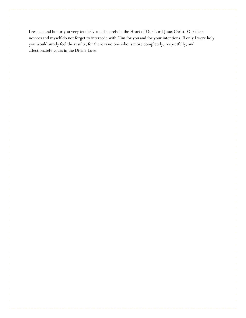I respect and honor you very tenderly and sincerely in the Heart of Our Lord Jesus Christ. Our dear novices and myself do not forget to intercede with Him for you and for your intentions. If only I were holy you would surely feel the results, for there is no one who is more completely, respectfully, and affectionately yours in the Divine Love.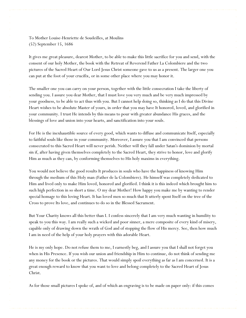To Mother Louise-Henriette de Soudeilles, at Moulins (52) September 15, 1686

It gives me great pleasure, dearest Mother, to be able to make this little sacrifice for you and send, with the consent of our holy Mother, the book with the Retreat of Reverend Father La Colombiere and the two pictures of the Sacred Heart of Our Lord Jesus Christ someone gave to us as a present. The larger one you can put at the foot of your crucifix, or in some other place where you may honor it.

The smaller one you can carry on your person, together with the little consecration I take the liberty of sending you. I assure you dear Mother, that I must love you very much and be very much impressed by your goodness, to be able to act thus with you. But I cannot help doing so, thinking as I do that this Divine Heart wishes to be absolute Master of yours, in order that you may have It honored, loved, and glorified in your community. I trust He intends by this means to pour with greater abundance His graces, and the blessings of love and union into your hearts, and sanctification into your souls.

For He is the inexhaustible source of every good, which wants to diffuse and communicate Itself, especially to faithful souls like those in your community. Moreover, I assure you that I am convinced that persons consecrated to this Sacred Heart will never perish. Neither will they fall under Satan's dominion by mortal sin if, after having given themselves completely to the Sacred Heart, they strive to honor, love and glorify Him as much as they can, by conforming themselves to His holy maxims in everything.

You would not believe the good results It produces in souls who have the happiness of knowing Him through the medium of this Holy man (Father de la Colombiere). He himself was completely dedicated to Him and lived only to make Him loved, honored and glorified. I think it is this indeed which brought him to such high perfection in so short a time. O my dear Mother! How happy you make me by wanting to render special homage to this loving Heart. It has loved men so much that It utterly spent Itself on the tree of the Cross to prove Its love, and continues to do so in the Blessed Sacrament.

But Your Charity knows all this better than I. I confess sincerely that I am very much wanting in humility to speak to you this way. I am really such a wicked and poor sinner, a mere composite of every kind of misery, capable only of drawing down the wrath of God and of stopping the flow of His mercy. See, then how much I am in need of the help of your holy prayers with this adorable Heart.

He is my only hope. Do not refuse them to me, I earnestly beg, and I assure you that I shall not forget you when in His Presence. If you wish our union and friendship in Him to continue, do not think of sending me any money for the book or the pictures. That would simply spoil everything as far as I am concerned. It is a great enough reward to know that you want to love and belong completely to the Sacred Heart of Jesus Christ.

As for those small pictures I spoke of, and of which an engraving is to be made on paper only: if this comes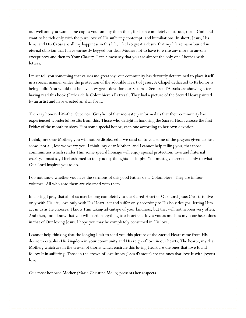out well and you want some copies you can buy them then, for I am completely destitute, thank God, and want to be rich only with the pure love of His suffering contempt, and humiliations. In short, Jesus, His love, and His Cross are all my happiness in this life. I feel so great a desire that my life remains buried in eternal oblivion that I have earnestly begged our dear Mother not to have to write any more to anyone except now and then to Your Charity. I can almost say that you are almost the only one I bother with letters.

I must tell you something that causes me great joy: our community has devoutly determined to place itself in a special manner under the protection of the adorable Heart of Jesus. A Chapel dedicated to Its honor is being built. You would not believe how great devotion our Sisters at Semuren I'Auxois are showing after having read this book (Father de la Colombiere's Retreat). They had a picture of the Sacred Heart painted by an artist and have erected an altar for it.

The very honored Mother Superior (Greyfie) of that monastery informed us that their community has experienced wonderful results from this. Those who delight in honoring the Sacred Heart choose the first Friday of the month to show Him some special honor, each one according to her own devotion.

I think, my dear Mother, you will not be displeased if we send on to you some of the prayers given us: just some, not all, lest we weary you. I think, my dear Mother, and I cannot help telling you, that those communities which render Him some special homage will enjoy special protection, love and fraternal charity. I must say I feel ashamed to tell you my thoughts so simply. You must give credence only to what Our Lord inspires you to do.

I do not know whether you have the sermons of this good Father de la Colombiere. They are in four volumes. All who read them are charmed with them.

In closing I pray that all of us may belong completely to the Sacred Heart of Our Lord Jesus Christ, to live only with His life, love only with His Heart, act and suffer only according to His holy designs, letting Him act in us as He chooses. I know I am taking advantage of your kindness, but that will not happen very often. And then, too I know that you will pardon anything to a heart that loves you as much as my poor heart does in that of Our loving Jesus. I hope you may be completely consumed in His love.

I cannot help thinking that the longing I felt to send you this picture of the Sacred Heart came from His desire to establish His kingdom in your community and His reign of love in our hearts. The hearts, my dear Mother, which are in the crown of thorns which encircle this loving Heart are the ones that love It and follow It in suffering. Those in the crown of love-knots (Lacs d'amour) are the ones that love It with joyous love.

Our most honored Mother (Marie Christine Melin) presents her respects.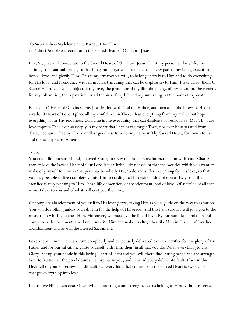To Sister Felice-Madeleine de la Barge, at Moulins.

(53) short Act of Consecration to the Sacred Heart of Our Lord Jesus.

I, N.N., give and consecrate to the Sacred Heart of Our Lord Jesus Christ my person and my life, my actions, trials and sufferings, so that I may no longer wish to make use of any part of my being except to honor, love, and glorify Him. This is my irrevocable will, to belong entirely to Him and to do everything for His love, and I renounce with all my heart anything that can be displeasing to Him. I take Thee, then, O Sacred Heart, as the sole object of my love, the protector of my life, the pledge of my salvation, the remedy for my infirmities, the reparation for all the sins of my life and my sure refuge at the hour of my death.

Be, then, O Heart of Goodness, my justification with God the Father, and turn aside the blows of His Just wrath. O Heart of Love, I place all my confidence in Thee. I fear everything from my malice but hope everything from Thy goodness. Consume in me everything that can displease or resist Thee. May Thy pure love impress Thee ever so deeply in my heart that I can never forget Thee, nor ever be separated from Thee. I conjure Thee by Thy boundless goodness to write my name in Thy Sacred Heart, for I wish to live and die as Thy slave. Amen.

## 1686.

You could find no surer bond, beloved Sister, to draw me into a more intimate union with Your Charity than to love the Sacred Heart of Our Lord Jesus Christ. I do not doubt that the sacrifice which you want to make of yourself to Him so that you may be wholly His, to do and suffer everything for His love, so that you may be able to live completely unto Him according to His desires-I do not doubt, I say, that this sacrifice is very pleasing to Him. It is a life of sacrifice, of abandonment, and of love. Of sacrifice of all that is most dear to you and of what will cost you the most.

Of complete abandonment of yourself to His loving care, taking Him as your guide on the way to salvation. You will do nothing unless you ask Him for the help of His grace. And this I am sure He will give you to the measure in which you trust Him. Moreover, we must live the life of love. By our humble submission and complete self-effacement it will unite us with Him and make us altogether like Him in His life of Sacrifice, abandonment and love in the Blessed Sacrament.

Love keeps Him there as a victim completely and perpetually delivered over to sacrifice for the glory of His Father and for our salvation. Unite yourself with Him, then, in all that you do: Refer everything to His Glory. Set up your abode in this loving Heart of Jesus and you will there find lasting peace and the strength both to fruition all the good desires He inspires in you, and to avoid every deliberate fault. Place in this Heart all of your sufferings and difficulties. Everything that comes from the Sacred Heart is sweet. He changes everything into love.

Let us love Him, then dear Sister, with all our might and strength. Let us belong to Him without reserve,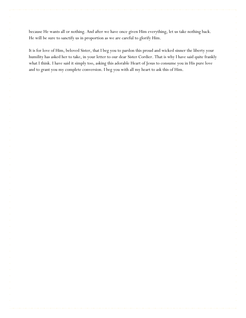because He wants all or nothing. And after we have once given Him everything, let us take nothing back. He will be sure to sanctify us in proportion as we are careful to glorify Him.

It is for love of Him, beloved Sister, that I beg you to pardon this proud and wicked sinner the liberty your humility has asked her to take, in your letter to our dear Sister Cordier. That is why I have said quite frankly what I think. I have said it simply too, asking this adorable Heart of Jesus to consume you in His pure love and to grant you my complete conversion. I beg you with all my heart to ask this of Him.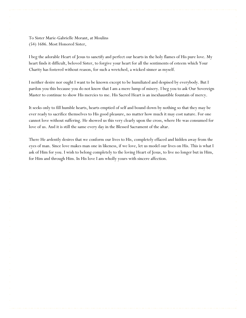To Sister Marie-Gabrielle Morant, at Moulins (54) 1686. Most Honored Sister,

I beg the adorable Heart of Jesus to sanctify and perfect our hearts in the holy flames of His pure love. My heart finds it difficult, beloved Sister, to forgive your heart for all the sentiments of esteem which Your Charity has fostered without reason, for such a wretched, a wicked sinner as myself.

I neither desire nor ought I want to be known except to be humiliated and despised by everybody. But I pardon you this because you do not know that I am a mere lump of misery. I beg you to ask Our Sovereign Master to continue to show His mercies to me. His Sacred Heart is an inexhaustible fountain of mercy.

It seeks only to fill humble hearts, hearts emptied of self and bound down by nothing so that they may be ever ready to sacrifice themselves to His good pleasure, no matter how much it may cost nature. For one cannot love without suffering. He showed us this very clearly upon the cross, where He was consumed for love of us. And it is still the same every day in the Blessed Sacrament of the altar.

There He ardently desires that we conform our lives to His, completely effaced and hidden away from the eyes of man. Since love makes man one in likeness, if we love, let us model our lives on His. This is what I ask of Him for you. I wish to belong completely to the loving Heart of Jesus, to live no longer but in Him, for Him and through Him. In His love I am wholly yours with sincere affection.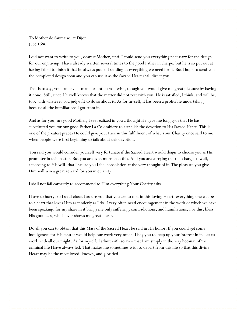To Mother de Saumaise, at Dijon (55) 1686.

I did not want to write to you, dearest Mother, until I could send you everything necessary for the design for our engraving. I have already written several times to the good Father in charge, but he is so put out at having failed to finish it that he always puts off sending us everything we need for it. But I hope to send you the completed design soon and you can use it as the Sacred Heart shall direct you.

That is to say, you can have it made or not, as you wish, though you would give me great pleasure by having it done. Still, since He well knows that the matter did not rest with you, He is satisfied, I think, and will be, too, with whatever you judge fit to do so about it. As for myself, it has been a profitable undertaking because all the humiliations I got from it.

And as for you, my good Mother, I see realized in you a thought He gave me long ago: that He has substituted you for our good Father La Colombiere to establish the devotion to His Sacred Heart. This is one of the greatest graces He could give you. I see in this fulfillment of what Your Charity once said to me when people were first beginning to talk about this devotion.

You said you would consider yourself very fortunate if the Sacred Heart would deign to choose you as His promoter in this matter. But you are even more than this. And you are carrying out this charge so well, according to His will, that I assure you I feel consolation at the very thought of it. The pleasure you give Him will win a great reward for you in eternity.

I shall not fail earnestly to recommend to Him everything Your Charity asks.

I have to hurry, so I shall close. I assure you that you are to me, in this loving Heart, everything one can be to a heart that loves Him as tenderly as I do. I very often need encouragement in the work of which we have been speaking, for my share in it brings me only suffering, contradictions, and humiliations. For this, bless His goodness, which ever shows me great mercy.

Do all you can to obtain that this Mass of the Sacred Heart be said in His honor. If you could get some indulgences for His feast it would help our work very much. I beg you to keep up your interest in it. Let us work with all our might. As for myself, I admit with sorrow that I am simply in the way because of the criminal life I have always led. That makes me sometimes wish to depart from this life so that this divine Heart may be the most loved, known, and glorified.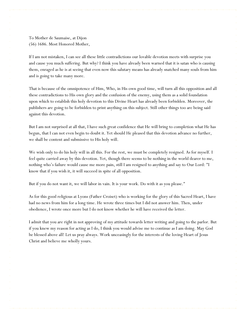To Mother de Saumaise, at Dijon (56) 1686. Most Honored Mother,

If I am not mistaken, I can see all these little contradictions our lovable devotion meets with surprise you and cause you much suffering. But why? I think you have already been warned that it is satan who is causing them, enraged as he is at seeing that even now this salutary means has already snatched many souls from him and is going to take many more.

That is because of the omnipotence of Him, Who, in His own good time, will turn all this opposition and all these contradictions to His own glory and the confusion of the enemy, using them as a solid foundation upon which to establish this holy devotion to this Divine Heart has already been forbidden. Moreover, the publishers are going to be forbidden to print anything on this subject. Still other things too are being said against this devotion.

But I am not surprised at all that, I have such great confidence that He will bring to completion what He has begun, that I can not even begin to doubt it. Yet should He pleased that this devotion advance no further, we shall be content and submissive to His holy will.

We wish only to do his holy will in all this. For the rest, we must be completely resigned. As for myself. I feel quite carried away by this devotion. Yet, though there seems to be nothing in the world dearer to me, nothing who's failure would cause me more pain, still I am resigned to anything and say to Our Lord: "I know that if you wish it, it will succeed in spite of all opposition.

But if you do not want it, we will labor in vain. It is your work. Do with it as you please."

As for this good religious at Lyons (Father Croiset) who is working for the glory of this Sacred Heart, I have had no news from him for a long time. He wrote three times but I did not answer him. Then, under obedience, I wrote once more but I do not know whether he will have received the letter.

I admit that you are right in not approving of my attitude towards letter writing and going to the parlor. But if you knew my reason for acting as I do, I think you would advise me to continue as I am doing. May God be blessed above all! Let us pray always. Work unceasingly for the interests of the loving Heart of Jesus Christ and believe me wholly yours.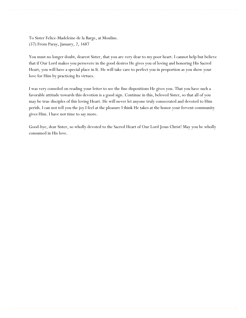To Sister Felice-Madeleine de la Barge, at Moulins. (57) From Paray, January, 2, 1687

You must no longer doubt, dearest Sister, that you are very dear to my poor heart. I cannot help but believe that if Our Lord makes you persevere in the good desires He gives you of loving and honoring His Sacred Heart, you will have a special place in It. He will take care to perfect you in proportion as you show your love for Him by practicing Its virtues.

I was very consoled on reading your letter to see the fine dispositions He gives you. That you have such a favorable attitude towards this devotion is a good sign. Continue in this, beloved Sister, so that all of you may be true disciples of this loving Heart. He will never let anyone truly consecrated and devoted to Him perish. I can not tell you the joy I feel at the pleasure I think He takes at the honor your fervent community gives Him. I have not time to say more.

Good-bye, dear Sister, so wholly devoted to the Sacred Heart of Our Lord Jesus Christ! May you be wholly consumed in His love.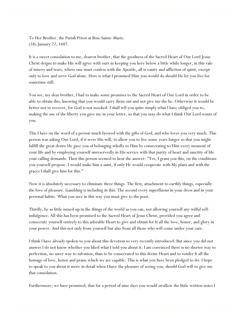To Her Brother. the Parish Priest at Bois-Sainte-Marie. (58) January 22, 1687.

It is a sweet consolation to me, dearest brother, that the goodness of the Sacred Heart of Our Lord Jesus Christ deigns to make His will agree with ours in keeping you here below a little while longer, in this vale of misery and tears, where one must confess with the Apostle, all is vanity and affliction of spirit, except only to love and serve God alone. Here is what I promised Him you would do should He let you live for sometime still.

You see, my dear brother, I had to make some promises to the Sacred Heart of Our Lord in order to be able to obtain this, knowing that you would carry them out and not give me the lie. Otherwise it would be better not to recover, for God is not mocked. I shall tell you quite simply what I have obliged you to, making the use of the liberty you gave me in your letter, so that you may do what I think Our Lord wants of you.

This I have on the word of a person much favored with the gifts of God, and who loves you very much. This person was asking Our Lord, if it were His will, to allow you to live some years longer so that you might fulfill the great desire He gave you of belonging wholly to Him by consecrating to Him every moment of your life and by employing yourself unreservedly in His service with that purity of heart and sanctity of life your calling demands. Then this person seemed to hear the answer: "Yes, I grant you this, on the conditions you yourself propose. I would make him a saint, if only He would cooperate with My plans and with the graces I shall give him for this."

Now it is absolutely necessary to eliminate three things. The first, attachment to earthly things, especially the love of pleasure. Gambling is including in this. The second every superfluous in your dress and in your personal habits. What you save in this way you must give to the poor.

Thirdly, be as little mixed up in the things of the world as you can, not allowing yourself any wilful selfindulgence. All this has been promised to the Sacred Heart of Jesus Christ, provided you agree and consecrate yourself entirely to this adorable Heart to give and obtain for It all the love, honor, and glory in your power. And this not only from yourself but also from all those who will come under your care.

I think I have already spoken to you about this devotion so very recently introduced. But since you did not answer I do not know whether you liked what I told you about it. I am convinced there is no shorter way to perfection, no surer way to salvation, than to be consecrated to this divine Heart and to render It all the homage of love, honor and praise which we are capable. This is what you have been pledged to do. I hope to speak to you about it more in detail when I have the pleasure of seeing you, should God will to give me that consolation.

Furthermore, we have promised, that for a period of nine days you would swallow the little written notes I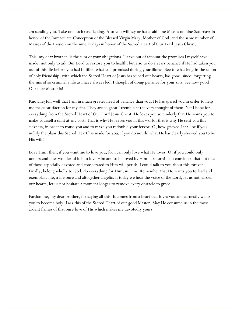am sending you. Take one each day, fasting. Also you will say or have said nine Masses on nine Saturdays in honor of the Immaculate Conception of the Blessed Virgin Mary, Mother of God, and the same number of Masses of the Passion on the nine Fridays in honor of the Sacred Heart of Our Lord Jesus Christ.

This, my dear brother, is the sum of your obligations. I leave out of account the promises I myself have made, not only to ask Our Lord to restore you to health, but also to do a years penance if He had taken you out of this life before you had fulfilled what you promised during your illness. See to what lengths the union of holy friendship, with which the Sacred Heart of Jesus has joined our hearts, has gone, since, forgetting the sins of so criminal a life as I have always led, I thought of doing penance for your sins. See how good Our dear Master is!

Knowing full well that I am in much greater need of penance than you, He has spared you in order to help me make satisfaction for my sins. They are so great I tremble at the very thought of them. Yet I hope for everything from the Sacred Heart of Our Lord Jesus Christ. He loves you so tenderly that He wants you to make yourself a saint at any cost. That is why He leaves you in this world, that is why He sent you this sickness, in order to rouse you and to make you redouble your fervor. O, how grieved I shall be if you nullify the plans this Sacred Heart has made for you, if you do not do what He has clearly showed you to be His will!

Love Him, then, if you want me to love you, for I can only love what He loves. O, if you could only understand how wonderful it is to love Him and to be loved by Him in return! I am convinced that not one of those especially devoted and consecrated to Him will perish. I could talk to you about this forever. Finally, belong wholly to God. do everything for Him, in Him. Remember that He wants you to lead and exemplary life, a life pure and altogether angelic. If today we hear the voice of the Lord, let us not harden our hearts, let us not hesitate a moment longer to remove every obstacle to grace.

Pardon me, my dear brother, for saying all this. It comes from a heart that loves you and earnestly wants you to become holy. I ask this of the Sacred Heart of our good Master. May He consume us in the most ardent flames of that pure love of His which makes me devotedly yours.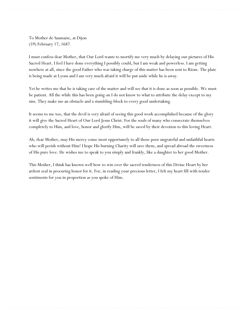To Mother de Saumaise, at Dijon (59) February 17, 1687.

I must confess dear Mother, that Our Lord wants to mortify me very much by delaying our pictures of His Sacred Heart. I feel I have done everything I possibly could, but I am weak and powerless. I am getting nowhere at all, since the good Father who was taking charge of this matter has been sent to Riom. The plate is being made at Lyons and I am very much afraid it will be put aside while he is away.

Yet he writes me that he is taking care of the matter and will see that it is done as soon as possible. We must be patient. All the while this has been going on I do not know to what to attribute the delay except to my sins. They make me an obstacle and a stumbling-block to every good undertaking.

It seems to me too, that the devil is very afraid of seeing this good work accomplished because of the glory it will give the Sacred Heart of Our Lord Jesus Christ. For the souls of many who consecrate themselves completely to Him, and love, honor and glorify Him, will be saved by their devotion to this loving Heart.

Ah, dear Mother, may His mercy come most opportunely to all those poor ungrateful and unfaithful hearts who will perish without Him! I hope His burning Charity will save them, and spread abroad the sweetness of His pure love. He wishes me to speak to you simply and frankly, like a daughter to her good Mother.

This Mother, I think has known well how to win over the sacred tenderness of this Divine Heart by her ardent zeal in procuring honor for it. For, in reading your precious letter, I felt my heart fill with tender sentiments for you in proportion as you spoke of Him.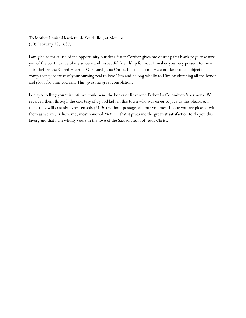To Mother Louise-Henriette de Soudeilles, at Moulins (60) February 28, 1687.

I am glad to make use of the opportunity our dear Sister Cordier gives me of using this blank page to assure you of the continuance of my sincere and respectful friendship for you. It makes you very present to me in spirit before the Sacred Heart of Our Lord Jesus Christ. It seems to me He considers you an object of complacency because of your burning zeal to love Him and belong wholly to Him by obtaining all the honor and glory for Him you can. This gives me great consolation.

I delayed telling you this until we could send the books of Reverend Father La Colombiere's sermons. We received them through the courtesy of a good lady in this town who was eager to give us this pleasure. I think they will cost six livres ten sols (\$1.30) without postage, all four volumes. I hope you are pleased with them as we are. Believe me, most honored Mother, that it gives me the greatest satisfaction to do you this favor, and that I am wholly yours in the love of the Sacred Heart of Jesus Christ.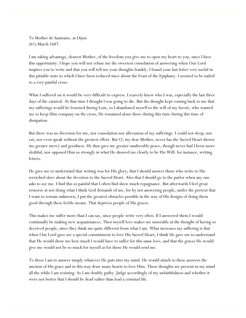To Mother de Saumaise, at Dijon (61) March 1687.

I am taking advantage, dearest Mother, of the freedom you give me to open my heart to you, since I have this opportunity. I hope you will not refuse me the sweetest consolation of answering when Our Lord inspires you to write and that you will tell me your thoughts frankly. I found your last letter very useful in this pitiable state to which I have been reduced since about the Feast of the Epiphany. I seemed to be nailed to a very painful cross.

What I suffered on it would be very difficult to express. I scarcely knew who I was, especially the last three days of the carnival. At that time I thought I was going to die. But the thought kept coming back to me that my sufferings would be lessened during Lent, so I abandoned myself to the will of my Savoir, who wanted me to keep Him company on the cross, He remained alone there during this time during this time of dissipation.

But there was no diversion for me, nor consolation nor alleviation of my sufferings. I could not sleep, nor eat, nor even speak without the greatest effort. But O, my dear Mother, never has the Sacred Heart shown me greater mercy and goodness. He thus gave me greater unalterable peace, though never had I been more slothful, nor opposed Him so strongly in what He showed me clearly to be His Will: for instance, writing letters.

He gave me to understand that writing was for His glory; that I should answer those who write to His wretched slave about the devotion to the Sacred Heart. Also that I should go to the parlor when any one asks to see me. I find this so painful that I often find show much repugnance. But afterwards I feel great remorse at not doing what I think God demands of me, for by not answering people, under the pretext that I want to remain unknown, I put the greatest obstacles possible in the way of His designs of doing them good through these feeble means. That deprives people of His graces.

This makes me suffer more than I can say, since people write very often. If I answered them I would continually be making new acquaintances. Then myself love makes me miserable at the thought of having so deceived people, since they think me quite different from what I am. What increases my suffering is that when Our Lord gave me a special commitment to love His Sacred Heart, I think He gave me to understand that He would show me how much I would have to suffer for this same love, and that the graces He would give me would not be so much for myself as for those He would send me.

To these I am to answer simply whatever He puts into my mind. He would attach to these answers the unction of His grace and in this way draw many hearts to love Him. These thoughts are present in my mind all the while I am resisting. So I am doubly guilty. Judge accordingly of my unfaithfulness and whether it were not better that I should be dead rather than lead a criminal life.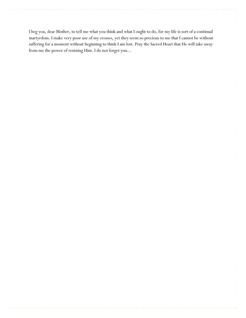I beg you, dear Mother, to tell me what you think and what I ought to do, for my life is sort of a continual martyrdom. I make very poor use of my crosses, yet they seem so precious to me that I cannot be without suffering for a moment without beginning to think I am lost. Pray the Sacred Heart that He will take away from me the power of resisting Him. I do not forget you...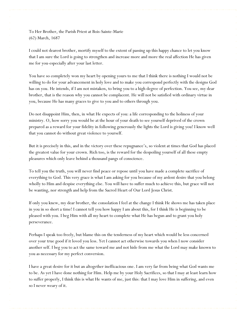To Her Brother, the Parish Priest at Bois-Sainte-Marie (62) March, 1687

I could not dearest brother, mortify myself to the extent of passing up this happy chance to let you know that I am sure the Lord is going to strengthen and increase more and more the real affection He has given me for you-especially after your last letter.

You have so completely won my heart by opening yours to me that I think there is nothing I would not be willing to do for your advancement in holy love and to make you correspond perfectly with the designs God has on you. He intends, if I am not mistaken, to bring you to a high degree of perfection. You see, my dear brother, that is the reason why you cannot be complacent. He will not be satisfied with ordinary virtue in you, because He has many graces to give to you and to others through you.

Do not disappoint Him, then, in what He expects of you: a life corresponding to the holiness of your ministry. O, how sorry you would be at the hour of your death to see yourself deprived of the crown prepared as a reward for your fidelity in following generously the lights the Lord is giving you! I know well that you cannot do without great violence to yourself.

But it is precisely in this, and in the victory over these repugnance's, so violent at times that God has placed the greatest value for your crown. Rich too, is the reward for the despoiling yourself of all these empty pleasures which only leave behind a thousand pangs of conscience.

To tell you the truth, you will never find peace or repose until you have made a complete sacrifice of everything to God. This very grace is what I am asking for you because of my ardent desire that you belong wholly to Him and despise everything else. You will have to suffer much to achieve this, but grace will not be wanting, nor strength and help from the Sacred Heart of Our Lord Jesus Christ.

If only you knew, my dear brother, the consolation I feel at the change I think He shows me has taken place in you in so short a time! I cannot tell you how happy I am about this, for I think He is beginning to be pleased with you. I beg Him with all my heart to complete what He has begun and to grant you holy perseverance.

Perhaps I speak too freely, but blame this on the tenderness of my heart which would be less concerned over your true good if it loved you less. Yet I cannot act otherwise towards you when I now consider another self. I beg you to act the same toward me and not hide from me what the Lord may make known to you as necessary for my perfect conversion.

I have a great desire for it but an altogether inefficacious one. I am very far from being what God wants me to be. As yet I have done nothing for Him. Help me by your Holy Sacrifices, so that I may at least learn how to suffer properly, I think this is what He wants of me, just this: that I may love Him in suffering, and even so I never weary of it.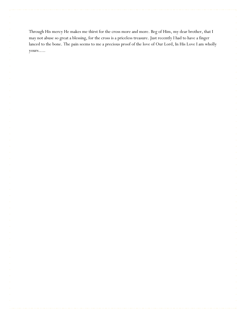Through His mercy He makes me thirst for the cross more and more. Beg of Him, my dear brother, that I may not abuse so great a blessing, for the cross is a priceless treasure. Just recently I had to have a finger lanced to the bone. The pain seems to me a precious proof of the love of Our Lord, In His Love I am wholly yours.....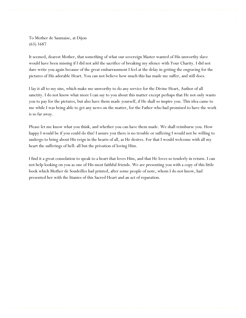To Mother de Saumaise, at Dijon (63) 1687

It seemed, dearest Mother, that something of what our sovereign Master wanted of His unworthy slave would have been missing if I did not add the sacrifice of breaking my silence with Your Charity. I did not dare write you again because of the great embarrassment I feel at the delay in getting the engraving for the pictures of His adorable Heart. You can not believe how much this has made me suffer, and still does.

I lay it all to my sins, which make me unworthy to do any service for the Divine Heart, Author of all sanctity. I do not know what more I can say to you about this matter except perhaps that He not only wants you to pay for the pictures, but also have them made yourself, if He shall so inspire you. This idea came to me while I was being able to get any news on the matter, for the Father who had promised to have the work is so far away.

Please let me know what you think, and whether you can have them made. We shall reimburse you. How happy I would be if you could do this! I assure you there is no trouble or suffering I would not be willing to undergo to bring about His reign in the hearts of all, as He desires. For that I would welcome with all my heart the sufferings of hell: all but the privation of loving Him.

I find it a great consolation to speak to a heart that loves Him, and that He loves so tenderly in return. I can not help looking on you as one of His most faithful friends. We are presenting you with a copy of this little book which Mother de Soudeilles had printed, after some people of note, whom I do not know, had presented her with the litanies of this Sacred Heart and an act of reparation.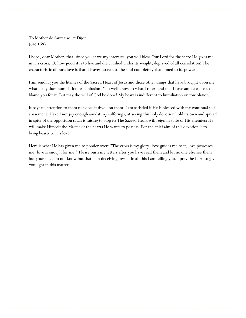To Mother de Saumaise, at Dijon (64) 1687.

I hope, dear Mother, that, since you share my interests, you will bless Our Lord for the share He gives me in His cross. O, how good it is to live and die crushed under its weight, deprived of all consolation! The characteristic of pure love is that it leaves no rest to the soul completely abandoned to its power.

I am sending you the litanies of the Sacred Heart of Jesus and those other things that have brought upon me what is my due: humiliation or confusion. You well know to what I refer, and that I have ample cause to blame you for it. But may the will of God be done! My heart is indifferent to humiliation or consolation.

It pays no attention to them nor does it dwell on them. I am satisfied if He is pleased with my continual selfabasement. Have I not joy enough amidst my sufferings, at seeing this holy devotion hold its own and spread in spite of the opposition satan is raising to stop it? The Sacred Heart will reign in spite of His enemies: He will make Himself the Master of the hearts He wants to possess. For the chief aim of this devotion is to bring hearts to His love.

Here is what He has given me to ponder over: "The cross is my glory, love guides me to it, love possesses me, love is enough for me." Please burn my letters after you have read them and let no one else see them but yourself. I do not know but that I am deceiving myself in all this I am telling you. I pray the Lord to give you light in this matter.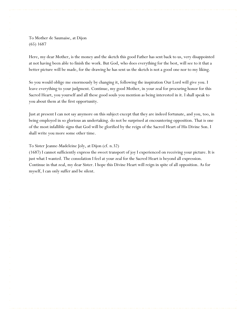To Mother de Saumaise, at Dijon (65) 1687

Here, my dear Mother, is the money and the sketch this good Father has sent back to us, very disappointed at not having been able to finish the work. But God, who does everything for the best, will see to it that a better picture will be made, for the drawing he has sent us the sketch is not a good one nor to my liking.

So you would oblige me enormously by changing it, following the inspiration Our Lord will give you. I leave everything to your judgment. Continue, my good Mother, in your zeal for procuring honor for this Sacred Heart, you yourself and all these good souls you mention as being interested in it. I shall speak to you about them at the first opportunity.

Just at present I can not say anymore on this subject except that they are indeed fortunate, and you, too, in being employed in so glorious an undertaking. do not be surprised at encountering opposition. That is one of the most infallible signs that God will be glorified by the reign of the Sacred Heart of His Divine Son. I shall write you more some other time.

To Sister Jeanne-Madeleine Joly, at Dijon (cf. n.32)

(1687) I cannot sufficiently express the sweet transport of joy I experienced on receiving your picture. It is just what I wanted. The consolation I feel at your zeal for the Sacred Heart is beyond all expression. Continue in that zeal, my dear Sister. I hope this Divine Heart will reign in spite of all opposition. As for myself, I can only suffer and be silent.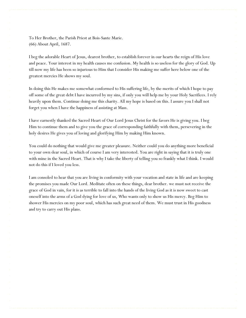To Her Brother, the Parish Priest at Bois-Sante Marie. (66) About April, 1687.

I beg the adorable Heart of Jesus, dearest brother, to establish forever in our hearts the reign of His love and peace. Your interest in my health causes me confusion. My health is so useless for the glory of God. Up till now my life has been so injurious to Him that I consider His making me suffer here below one of the greatest mercies He shows my soul.

In doing this He makes me somewhat conformed to His suffering life, by the merits of which I hope to pay off some of the great debt I have incurred by my sins, if only you will help me by your Holy Sacrifices. I rely heavily upon them. Continue doing me this charity. All my hope is based on this. I assure you I shall not forget you when I have the happiness of assisting at Mass.

I have earnestly thanked the Sacred Heart of Our Lord Jesus Christ for the favors He is giving you. I beg Him to continue them and to give you the grace of corresponding faithfully with them, persevering in the holy desires He gives you of loving and glorifying Him by making Him known.

You could do nothing that would give me greater pleasure. Neither could you do anything more beneficial to your own dear soul, in which of course I am very interested. You are right in saying that it is truly one with mine in the Sacred Heart. That is why I take the liberty of telling you so frankly what I think. I would not do this if I loved you less.

I am consoled to hear that you are living in conformity with your vocation and state in life and are keeping the promises you made Our Lord. Meditate often on these things, dear brother. we must not receive the grace of God in vain, for it is as terrible to fall into the hands of the living God as it is now sweet to cast oneself into the arms of a God dying for love of us, Who wants only to show us His mercy. Beg Him to shower His mercies on my poor soul, which has such great need of them. We must trust in His goodness and try to carry out His plans.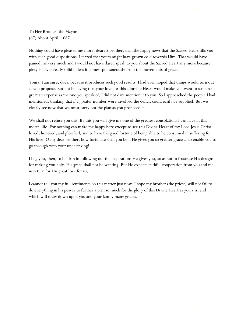To Her Brother, the Mayor (67) About April, 1687.

Nothing could have pleased me more, dearest brother, than the happy news that the Sacred Heart fills you with such good dispositions. I feared that yours might have grown cold towards Him. That would have pained me very much and I would not have dared speak to you about the Sacred Heart any more because piety is never really solid unless it comes spontaneously from the movements of grace.

Yours, I am sure, does, because it produces such good results. I had even hoped that things would turn out as you propose. But not believing that your love for this adorable Heart would make you want to sustain so great an expense as the one you speak of, I did not dare mention it to you. So I approached the people I had mentioned, thinking that if a greater number were involved the deficit could easily be supplied. But we clearly see now that we must carry out the plan as you proposed it.

We shall not refuse you this. By this you will give me one of the greatest consolations I can have in this mortal life. For nothing can make me happy here except to see this Divine Heart of my Lord Jesus Christ loved, honored, and glorified, and to have the good fortune of being able to be consumed in suffering for His love. O my dear brother, how fortunate shall you be if He gives you so greater grace as to enable you to go through with your undertaking!

I beg you, then, to be firm in following out the inspirations He gives you, so as not to frustrate His designs for making you holy. His grace shall not be wanting. But He expects faithful cooperation from you and me in return for His great love for us.

I cannot tell you my full sentiments on this matter just now. I hope my brother (the priest) will not fail to do everything in his power to further a plan so much for the glory of this Divine Heart as yours is, and which will draw down upon you and your family many graces.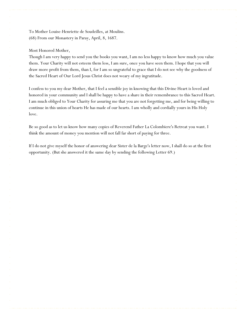To Mother Louise-Henriette de Soudeilles, at Moulins. (68) From our Monastery in Paray, April, 8, 1687.

## Most Honored Mother,

Though I am very happy to send you the books you want, I am no less happy to know how much you value them. Your Charity will not esteem them less, I am sure, once you have seen them. I hope that you will draw more profit from them, than I, for I am so ungrateful to grace that I do not see why the goodness of the Sacred Heart of Our Lord Jesus Christ does not weary of my ingratitude.

I confess to you my dear Mother, that I feel a sensible joy in knowing that this Divine Heart is loved and honored in your community and I shall be happy to have a share in their remembrance to this Sacred Heart. I am much obliged to Your Charity for assuring me that you are not forgetting me, and for being willing to continue in this union of hearts He has made of our hearts. I am wholly and cordially yours in His Holy love.

Be so good as to let us know how many copies of Reverend Father La Colombiere's Retreat you want. I think the amount of money you mention will not fall far short of paying for three.

If I do not give myself the honor of answering dear Sister de la Barge's letter now, I shall do so at the first opportunity. (But she answered it the same day by sending the following Letter 69.)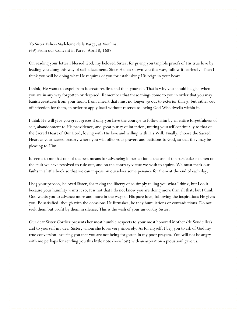To Sister Felice-Madeleine de la Barge, at Moulins. (69) From our Convent in Paray, April 8, 1687.

On reading your letter I blessed God, my beloved Sister, for giving you tangible proofs of His true love by leading you along this way of self-effacement. Since He has shown you this way, follow it fearlessly. Then I think you will be doing what He requires of you for establishing His reign in your heart.

I think, He wants to expel from it creatures first and then yourself. That is why you should be glad when you are in any way forgotten or despised. Remember that these things come to you in order that you may banish creatures from your heart, from a heart that must no longer go out to exterior things, but rather cut off affection for them, in order to apply itself without reserve to loving God Who dwells within it.

I think He will give you great graces if only you have the courage to follow Him by an entire forgetfulness of self, abandonment to His providence, and great purity of intention, uniting yourself continually to that of the Sacred Heart of Our Lord, loving with His love and willing with His Will. Finally, choose the Sacred Heart as your sacred oratory where you will offer your prayers and petitions to God, so that they may be pleasing to Him.

It seems to me that one of the best means for advancing in perfection is the use of the particular examen on the fault we have resolved to rule out, and on the contrary virtue we wish to aquire. We must mark our faults in a little book so that we can impose on ourselves some penance for them at the end of each day.

I beg your pardon, beloved Sister, for taking the liberty of so simply telling you what I think, but I do it because your humility wants it so. It is not that I do not know you are doing more than all that, but I think God wants you to advance more and more in the ways of His pure love, following the inspirations He gives you. Be satisified, though with the occasions He furnishes, be they humiliations or contradictions. Do not seek them but profit by them in silence. This is the wish of your unworthy Sister.

Our dear Sister Cordier presents her most humble respects to your most honored Mother (de Soudeilles) and to yourself my dear Sister, whom she loves very sincerely. As for myself, I beg you to ask of God my true conversion, assuring you that you are not being forgotten in my poor prayers. You will not be angry with me perhaps for sending you this little note (now lost) with an aspiration a pious soul gave us.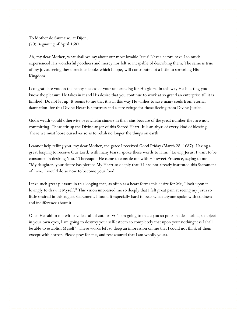To Mother de Saumaise, at Dijon. (70) Beginning of April 1687.

Ah, my dear Mother, what shall we say about our most lovable Jesus! Never before have I so much experienced His wonderful goodness and mercy nor felt so incapable of describing them. The same is true of my joy at seeing these precious books which I hope, will contribute not a little to spreading His Kingdom.

I congratulate you on the happy success of your undertaking for His glory. In this way He is letting you know the pleasure He takes in it and His desire that you continue to work at so grand an enterprise till it is finished. Do not let up. It seems to me that it is in this way He wishes to save many souls from eternal damnation, for this Divine Heart is a fortress and a sure refuge for those fleeing from Divine Justice.

God's wrath would otherwise overwhelm sinners in their sins because of the great number they are now committing. These stir up the Divine anger of this Sacred Heart. It is an abyss of every kind of blessing. There we must loose ourselves so as to relish no longer the things on earth.

I cannot help telling you, my dear Mother, the grace I received Good Friday (March 28, 1687). Having a great longing to receive Our Lord, with many tears I spoke these words to Him: "Loving Jesus, I want to be consumed in desiring You." Thereupon He came to console me with His sweet Presence, saying to me: "My daughter, your desire has pierced My Heart so deeply that if I had not already instituted this Sacrament of Love, I would do so now to become your food.

I take such great pleasure in this longing that, as often as a heart forms this desire for Me, I look upon it lovingly to draw it Myself." This vision impressed me so deeply that I felt great pain at seeing my Jesus so little desired in this august Sacrament. I found it especially hard to bear when anyone spoke with coldness and indifference about it.

Once He said to me with a voice full of authority: "I am going to make you so poor, so despicable, so abject in your own eyes, I am going to destroy your self-esteem so completely that upon your nothingness I shall be able to establish Myself". These words left so deep an impression on me that I could not think of them except with horror. Please pray for me, and rest assured that I am wholly yours.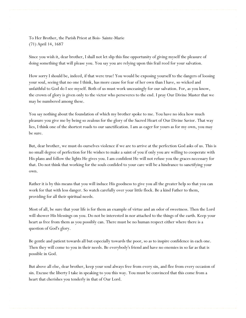## To Her Brother, the Parish Priest at Bois- Sainte-Marie (71) April 14, 1687

Since you wish it, dear brother, I shall not let slip this fine opportunity of giving myself the pleasure of doing something that will please you. You say you are relying upon this frail reed for your salvation.

How sorry I should be, indeed, if that were true! You would be exposing yourself to the dangers of loosing your soul, seeing that no one I think, has more cause for fear of her own than I have, so wicked and unfaithful to God do I see myself. Both of us must work unceasingly for our salvation. For, as you know, the crown of glory is given only to the victor who perseveres to the end. I pray Our Divine Master that we may be numbered among these.

You say nothing about the foundation of which my brother spoke to me. You have no idea how much pleasure you give me by being so zealous for the glory of the Sacred Heart of Our Divine Savior. That way lies, I think one of the shortest roads to our sanctification. I am as eager for yours as for my own, you may be sure.

But, dear brother, we must do ourselves violence if we are to arrive at the perfection God asks of us. This is no small degree of perfection for He wishes to make a saint of you if only you are willing to cooperate with His plans and follow the lights He gives you. I am confident He will not refuse you the graces necessary for that. Do not think that working for the souls confided to your care will be a hindrance to sanctifying your own.

Rather it is by this means that you will induce His goodness to give you all the greater help so that you can work for that with less danger. So watch carefully over your little flock. Be a kind Father to them, providing for all their spiritual needs.

Most of all, be sure that your life is for them an example of virtue and an odor of sweetness. Then the Lord will shower His blessings on you. Do not be interested in nor attached to the things of the earth. Keep your heart as free from them as you possibly can. There must be no human respect either where there is a question of God's glory.

Be gentle and patient towards all but especially towards the poor, so as to inspire confidence in each one. Then they will come to you in their needs. Be everybody's friend and have no enemies in so far as that is possible in God.

But above all else, dear brother, keep your soul always free from every sin, and flee from every occasion of sin. Excuse the liberty I take in speaking to you this way. You must be convinced that this come from a heart that cherishes you tenderly in that of Our Lord.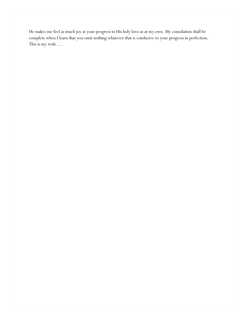He makes me feel as much joy at your progress in His holy love as at my own. My consolation shall be complete when I learn that you omit nothing whatever that is conducive to your progress in perfection. This is my wish.....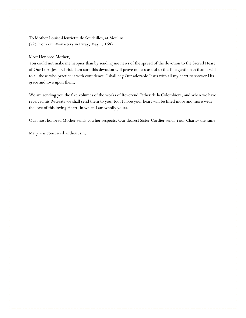To Mother Louise-Henriette de Soudeilles, at Moulins (72) From our Monastery in Paray, May 1, 1687

## Most Honored Mother,

You could not make me happier than by sending me news of the spread of the devotion to the Sacred Heart of Our Lord Jesus Christ. I am sure this devotion will prove no less useful to this fine gentleman than it will to all those who practice it with confidence. I shall beg Our adorable Jesus with all my heart to shower His grace and love upon them.

We are sending you the five volumes of the works of Reverend Father de la Colombiere, and when we have received his Retreats we shall send them to you, too. I hope your heart will be filled more and more with the love of this loving Heart, in which I am wholly yours.

Our most honored Mother sends you her respects. Our dearest Sister Cordier sends Your Charity the same.

Mary was conceived without sin.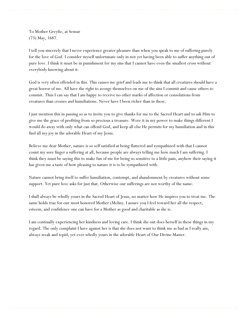To Mother Greyfie, at Semur (73) May, 1687.

I tell you sincerely that I never experience greater pleasure than when you speak to me of suffering purely for the love of God. I consider myself unfortunate only in not yet having been able to suffer anything out of pure love. I think it must be in punishment for my sins that I cannot have even the smallest cross without everybody knowing about it.

God is very often offended in this. This causes me grief and leads me to think that all creatures should have a great horror of me. All have the right to avenge themselves on me of the sins I commit and cause others to commit. Thus I can say that I am happy to receive no other marks of affection or consolations from creatures than crosses and humiliations. Never have I been richer than in these.

I just mention this in passing so as to invite you to give thanks for me to the Sacred Heart and to ask Him to give me the grace of profiting from so precious a treasure. Were it in my power to make things different I would do away with only what can offend God, and keep all else He permits for my humiliation and in this find all my joy in the adorable Heart of my Jesus.

Believe me dear Mother, nature is so self satisfied at being flattered and sympathized with that I cannot count my sore finger a suffering at all, because people are always telling me how much I am suffering. I think they must be saying this to make fun of me for being so sensitive to a little pain, anyhow their saying it has given me a taste of how pleasing to nature it is to be sympathized with.

Nature cannot bring itself to suffer humiliation, contempt, and abandonment by creatures without some support. Yet pure love asks for just that. Otherwise our sufferings are not worthy of the name.

I shall always be wholly yours in the Sacred Heart of Jesus, no matter how He inspires you to treat me. The same holds true for our most honored Mother (Melin). I assure you I feel toward her all the respect, esteem, and confidence one can have for a Mother as good and charitable as she is.

I am contiually experiencing her kindness and loving care. I think she out does herself in these things in my regard. The only complaint I have against her is that she does not want to think me as bad as I really am, always weak and tepid, yet ever wholly yours in the adorable Heart of Our Divine Master.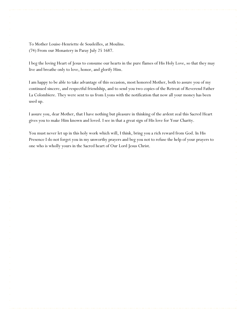To Mother Louise-Henriette de Soudeilles, at Moulins. (74) From our Monastery in Paray July 25 1687.

I beg the loving Heart of Jesus to consume our hearts in the pure flames of His Holy Love, so that they may live and breathe only to love, honor, and glorify Him.

I am happy to be able to take advantage of this occasion, most honored Mother, both to assure you of my continued sincere, and respectful friendship, and to send you two copies of the Retreat of Reverend Father La Colombiere. They were sent to us from Lyons with the notification that now all your money has been used up.

I assure you, dear Mother, that I have nothing but pleasure in thinking of the ardent zeal this Sacred Heart gives you to make Him known and loved. I see in that a great sign of His love for Your Charity.

You must never let up in this holy work which will, I think, bring you a rich reward from God. In His Presence I do not forget you in my unworthy prayers and beg you not to refuse the help of your prayers to one who is wholly yours in the Sacred heart of Our Lord Jesus Christ.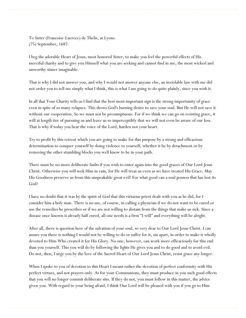To Sister (Francoise-Lucrece) de Thelis, at Lyons. (75) September, 1687.

I beg the adorable Heart of Jesus, most honored Sister, to make you feel the powerful effects of His merciful charity and to give you Himself what you are seeking and cannot find in me, the most wicked and unworthy sinner imaginable.

That is why I did not answer you, and why I would not answer anyone else, an inviolable law with me did not order you to tell me simply what I think, this is what I am going to do quite plainly, since you wish it.

In all that Your Charity tells us I find that the best most important sign is the strong importunity of grace even in spite of so many relapses. This shows God's burning desire to save your soul. But He will not save it without our cooperation. So we must not be presumptuous. For if we think we can go on resisting grace, it will at length tire of pursuing us and leave us so imperceptibly that we will not even be aware of our loss. That is why if today you hear the voice of the Lord, harden not your heart.

Try to profit by this retreat which you are going to make for this purpose by a strong and efficacious determination to conquer yourself by doing violence to yourself, whether it be by detachment or by removing the other stumbling blocks you well know to be in your path.

There must be no more deliberate faults if you wish to enter again into the good graces of Our Lord Jesus Christ. Otherwise you will seek Him in vain, for He will treat us even as we have treated His Grace. May His Goodness preserve us from this unspeakable great evil! For what good can a soul possess that has lost its God?

I have no doubt that it was by the spirit of God that this virtuous priest dealt with you as he did, for I consider him a holy man. There is no use, of course, in calling a physician if we do not want to be cured or use the remedies he prescribes or if we are not willing to abstain from the things that make us sick. Since a disease once known is already half cured, all one needs is a firm "I will" and everything will be alright.

After all, there is question here of the salvation of your soul, so very dear to Our Lord Jesus Christ. I can assure you there is nothing I would not be willing to do or suffer for it, sin apart, in order to make it wholly devoted to Him Who created it for His Glory. No one, however, can work more efficaciously for this end than you yourself. This you will do by following the lights He gives you and to do good and to avoid evil. Do not, then, I urge you by the love of the Sacred Heart of Our Lord Jesus Christ, resist grace any longer.

When I spoke to you of devotion to this Heart I meant rather the devotion of perfect conformity with His perfect virtues, and not prayers only. As for your Communions, they must produce in you such good effects that you will no longer commit deliberate sins. If they do not, you must follow in this matter, the advice given you. With regard to your being afraid, I think Our Lord will be pleased with you if you go to Him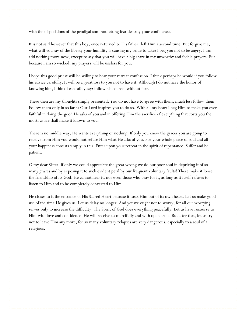with the dispositions of the prodigal son, not letting fear destroy your confidence.

It is not said however that this boy, once returned to His father! left Him a second time! But forgive me, what will you say of the liberty your humility is causing my pride to take? I beg you not to be angry. I can add nothing more now, except to say that you will have a big share in my unworthy and feeble prayers. But because I am so wicked, my prayers will be useless for you.

I hope this good priest will be willing to hear your retreat confession. I think perhaps he would if you follow his advice carefully. It will be a great loss to you not to have it. Although I do not have the honor of knowing him, I think I can safely say: follow his counsel without fear.

These then are my thoughts simply presented. You do not have to agree with them, much less follow them. Follow them only in so far as Our Lord inspires you to do so. With all my heart I beg Him to make you ever faithful in doing the good He asks of you and in offering Him the sacrifice of everything that costs you the most, as He shall make it known to you.

There is no middle way. He wants everything or nothing. If only you knew the graces you are going to receive from Him you would not refuse Him what He asks of you. For your whole peace of soul and all your happiness consists simply in this. Enter upon your retreat in the spirit of repentance. Suffer and be patient.

O my dear Sister, if only we could appreciate the great wrong we do our poor soul in depriving it of so many graces and by exposing it to such evident peril by our frequent voluntary faults! These make it loose the friendship of its God. He cannot hear it, nor even those who pray for it, as long as it itself refuses to listen to Him and to be completely converted to Him.

He closes to it the entrance of His Sacred Heart because it casts Him out of its own heart. Let us make good use of the time He gives us. Let us delay no longer. And yet we ought not to worry, for all our worrying serves only to increase the difficulty. The Spirit of God does everything peacefully. Let us have recourse to Him with love and confidence. He will receive us mercifully and with open arms. But after that, let us try not to leave Him any more, for so many voluntary relapses are very dangerous, especially to a soul of a religious.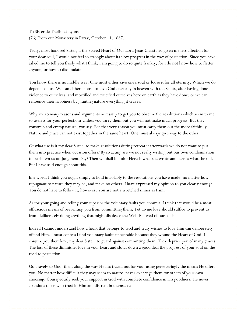To Sister de Thelis, at Lyons (76) From our Monastery in Paray, October 11, 1687.

Truly, most honored Sister, if the Sacred Heart of Our Lord Jesus Christ had given me less affection for your dear soul, I would not feel so strongly about its slow progress in the way of perfection. Since you have asked me to tell you freely what I think, I am going to do so quite frankly, for I do not know how to flatter anyone, or how to dissimulate.

You know there is no middle way. One must either save one's soul or loose it for all eternity. Which we do depends on us. We can either choose to love God eternally in heaven with the Saints, after having done violence to ourselves, and mortified and crucified ourselves here on earth as they have done; or we can renounce their happiness by granting nature everything it craves.

Why are so many reasons and arguments necessary to get you to observe the resolutions which seem to me so useless for your perfection? Unless you carry them out you will not make much progress. But they constrain and cramp nature, you say. For that very reason you must carry them out the more faithfully. Nature and grace can not exist together in the same heart. One must always give way to the other.

Of what use is it my dear Sister, to make resolutions during retreat if afterwards we do not want to put them into practice when occasion offers? By so acting are we not really writing out our own condemnation to be shown us on Judgment Day? Then we shall be told: Here is what she wrote and here is what she did.- But I have said enough about this.

In a word, I think you ought simply to hold inviolably to the resolutions you have made, no matter how repugnant to nature they may be, and make no others. I have expressed my opinion to you clearly enough. You do not have to follow it, however. You are not a wretched sinner as I am.

As for your going and telling your superior the voluntary faults you commit, I think that would be a most efficacious means of preventing you from committing them. Yet divine love should suffice to prevent us from deliberately doing anything that might displease the Well-Beloved of our souls.

Indeed I cannot understand how a heart that belongs to God and truly wishes to love Him can deliberately offend Him. I must confess I find voluntary faults unbearable because they wound the Heart of God. I conjure you therefore, my dear Sister, to guard against committing them. They deprive you of many graces. The loss of these diminishes love in your heart and slows down a good deal the progress of your soul on the road to perfection.

Go bravely to God, then, along the way He has traced out for you, using perseveringly the means He offers you. No matter how difficult they may seem to nature, never exchange them for others of your own choosing. Courageously seek your support in God with complete confidence in His goodness. He never abandons those who trust in Him and distrust in themselves.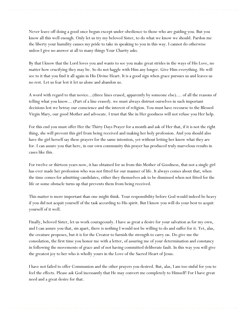Never leave off doing a good once begun except under obedience to those who are guiding you. But you know all this well enough. Only let us try my beloved Sister, to do what we know we should. Pardon me the liberty your humility causes my pride to take in speaking to you in this way. I cannot do otherwise unless I give no answer at all to many things Your Charity asks.

By that I know that the Lord loves you and wants to see you make great strides in the ways of His Love, no matter how crucifying they may be. So do not haggle with Him any longer. Give Him everything. He will see to it that you find it all again in His Divine Heart. It is a good sign when grace pursues us and leaves us no rest. Let us fear lest it let us alone and abandon us.

A word with regard to that novice...(three lines erased, apparently by someone else).... of all the reasons of telling what you know... (Part of a line erased). we must always distrust ourselves in such important decisions lest we betray our conscience and the interest of religion. You must have recourse to the Blessed Virgin Mary, our good Mother and advocate. I trust that She in Her goodness will not refuse you Her help.

For this end you must offer Her the Thirty Days Prayer for a month and ask of Her that, if it is not the right thing, she will prevent this girl from being received and making her holy profession. And you should also have the girl herself say these prayers for the same intention, yet without letting her know what they are for. I can assure you that here, in our own community this prayer has produced truly marvelous results in cases like this.

For twelve or thirteen years now, it has obtained for us from this Mother of Goodness, that not a single girl has ever made her profession who was not fitted for our manner of life. It always comes about that, when the time comes for admitting candidates, either they themselves ask to be dismissed when not fitted for the life or some obstacle turns up that prevents them from being received.

This matter is more important than one might think. Your responsibility before God would indeed be heavy if you did not acquit yourself of the task according to His spirit. But I know you will do your best to acquit yourself of it well.

Finally, beloved Sister, let us work courageously. I have as great a desire for your salvation as for my own, and I can assure you that, sin apart, there is nothing I would not be willing to do and suffer for it. Yet, alas, the creature proposes, but it is for the Creator to furnish the strength to carry on. Do give me the consolation, the first time you honor me with a letter, of assuring me of your determination and constancy in following the movements of grace and of not having committed deliberate fault. In this way you will give the greatest joy to her who is wholly yours in the Love of the Sacred Heart of Jesus.

I have not failed to offer Communion and the other prayers you desired. But, alas, I am too sinful for you to feel the effects. Please ask God incessantly that He may convert me completely to Himself! For I have great need and a great desire for that.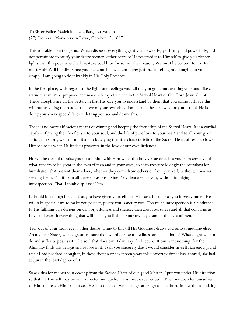To Sister Felice-Madeleine de la Barge, at Moulins. (77) From our Monastery in Paray, October 15, 1687.

This adorable Heart of Jesus, Which disposes everything gently and sweetly, yet firmly and powerfully, did not permit me to satisfy your desire sooner, either because He reserved it to Himself to give you clearer lights than this poor wretched creature could, or for some other reason. We must be content to do His most Holy Will blindly. Since you make me believe I am doing just that in telling my thoughts to you simply, I am going to do it frankly in His Holy Presence.

In the first place, with regard to the lights and feelings you tell me you got about treating your soul like a statue that must be prepared and made worthy of a niche in the Sacred Heart of Our Lord Jesus Christ. These thoughts are all the better, in that He gave you to understand by them that you cannot achieve this without traveling the road of the love of your own abjection. That is the sure way for you. I think He is doing you a very special favor in letting you see and desire this.

There is no more efficacious means of winning and keeping the friendship of the Sacred Heart. It is a cordial capable of giving the life of grace to your soul, and the life of pure love to your heart and to all your good actions. In short, we can sum it all up by saying that it is characteristic of the Sacred Heart of Jesus to lower Himself to us when He finds us prostrate in the love of our own littleness.

He will be careful to raise you up to union with Him when this holy virtue detaches you from any love of what appears to be great in the eyes of men and in your own, so as to treasure lovingly the occasions for humiliation that present themselves, whether they come from others or from yourself, without, however seeking them. Profit from all these occasions divine Providence sends you, without indulging in introspection. That, I think displeases Him.

It should be enough for you that you have given yourself into His care. In so far as you forget yourself He will take special care to make you perfect, purify you, sanctify you. Too much introspection is a hindrance to His fulfilling His designs on us. Forgetfulness and silence, then about ourselves and all that concerns us. Love and cherish everything that will make you little in your own eyes and in the eyes of men.

Tear out of your heart every other desire. Cling to this till His Goodness draws you onto something else. Ah my dear Sister, what a great treasure the love of our own lowliness and abjection is! What ought we not do and suffer to possess it! The soul that does can, I dare say, feel secure. It can want nothing, for the Almighty finds His delight and repose in it. I tell you sincerely that I would consider myself rich enough and think I had profited enough if, in these sixteen or seventeen years this unworthy sinner has labored, she had acquired the least degree of it.

So ask this for me without ceasing from the Sacred Heart of our good Master. I put you under His direction so that He Himself may be your director and guide. He is most experienced. When we abandon ourselves to Him and leave Him free to act, He sees to it that we make great progress in a short time without noticing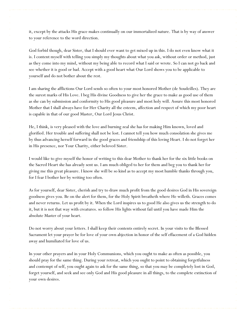it, except by the attacks His grace makes continually on our immortalized nature. That is by way of answer to your reference to the word direction.

God forbid though, dear Sister, that I should ever want to get mixed up in this. I do not even know what it is. I content myself with telling you simply my thoughts about what you ask, without order or method, just as they come into my mind, without my being able to record what I said or wrote. So I can not go back and see whether it is good or bad. Accept with a good heart what Our Lord shows you to be applicable to yourself and do not bother about the rest.

I am sharing the afflictions Our Lord sends so often to your most honored Mother (de Soudeilles). They are the surest marks of His Love. I beg His divine Goodness to give her the grace to make as good use of them as she can by submission and conformity to His good pleasure and most holy will. Assure this most honored Mother that I shall always have for Her Charity all the esteem, affection and respect of which my poor heart is capable in that of our good Master, Our Lord Jesus Christ.

He, I think, is very pleased with the love and burning zeal she has for making Him known, loved and glorified. Her trouble and suffering shall not be lost. I cannot tell you how much consolation she gives me by thus advancing herself forward in the good graces and friendship of this loving Heart. I do not forget her in His presence, nor Your Charity, either beloved Sister.

I would like to give myself the honor of writing to this dear Mother to thank her for the six little books on the Sacred Heart she has already sent us. I am much obliged to her for them and beg you to thank her for giving me this great pleasure. I know she will be so kind as to accept my most humble thanks through you, for I fear I bother her by writing too often.

As for yourself, dear Sister, cherish and try to draw much profit from the good desires God in His sovereign goodness gives you. Be on the alert for them, for the Holy Spirit breatheth where He willeth. Graces comes and never returns. Let us profit by it. When the Lord inspires us to good He also gives us the strength to do it, but it is not that way with creatures. so follow His lights without fail until you have made Him the absolute Master of your heart.

Do not worry about your letters. I shall keep their contents entirely secret. In your visits to the Blessed Sacrament let your prayer be for love of your own abjection in honor of the self effacement of a God hidden away and humiliated for love of us.

In your other prayers and in your Holy Communions, which you ought to make as often as possible, you should pray for the same thing. During your retreat, which you ought to point to obtaining forgetfulness and contempt of self, you ought again to ask for the same thing, so that you may be completely lost in God, forget yourself, and seek and see only God and His good pleasure in all things, to the complete extinction of your own desires.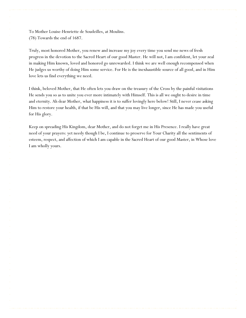To Mother Louise-Henriette de Soudeilles, at Moulins. (78) Towards the end of 1687.

Truly, most honored Mother, you renew and increase my joy every time you send me news of fresh progress in the devotion to the Sacred Heart of our good Master. He will not, I am confident, let your zeal in making Him known, loved and honored go unrewarded. I think we are well enough recompensed when He judges us worthy of doing Him some service. For He is the inexhaustible source of all good, and in Him love lets us find everything we need.

I think, beloved Mother, that He often lets you draw on the treasury of the Cross by the painful visitations He sends you so as to unite you ever more intimately with Himself. This is all we ought to desire in time and eternity. Ah dear Mother, what happiness it is to suffer lovingly here below! Still, I never cease asking Him to restore your health, if that be His will, and that you may live longer, since He has made you useful for His glory.

Keep on spreading His Kingdom, dear Mother, and do not forget me in His Presence. I really have great need of your prayers: yet needy though I be, I continue to preserve for Your Charity all the sentiments of esteem, respect, and affection of which I am capable in the Sacred Heart of our good Master, in Whose love I am wholly yours.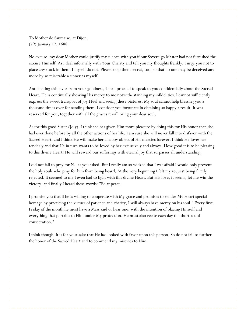To Mother de Saumaise, at Dijon. (79) January 17, 1688.

No excuse. my dear Mother could justify my silence with you if our Sovereign Master had not furnished the excuse Himself. As I deal informally with Your Charity and tell you my thoughts frankly, I urge you not to place any stock in them. I myself do not. Please keep them secret, too, so that no one may be deceived any more by so miserable a sinner as myself.

Anticipating this favor from your goodness, I shall proceed to speak to you confidentially about the Sacred Heart. He is continually showing His mercy to me notwith- standing my infidelities. I cannot sufficiently express the sweet transport of joy I feel and seeing these pictures. My soul cannot help blessing you a thousand times over for sending them. I consider you fortunate in obtaining so happy a result. It was reserved for you, together with all the graces it will bring your dear soul.

As for this good Sister (Joly), I think she has given Him more pleasure by doing this for His honor than she had ever done before by all the other actions of her life. I am sure she will never fall into disfavor with the Sacred Heart, and I think He will make her a happy object of His mercies forever. I think He loves her tenderly and that He in turn wants to be loved by her exclusively and always. How good it is to be pleasing to this divine Heart! He will reward our sufferings with eternal joy that surpasses all understanding.

I did not fail to pray for N., as you asked. But I really am so wicked that I was afraid I would only prevent the holy souls who pray for him from being heard. At the very beginning I felt my request being firmly rejected. It seemed to me I even had to fight with this divine Heart. But His love, it seems, let me win the victory, and finally I heard these words: "Be at peace.

I promise you that if he is willing to cooperate with My grace and promises to render My Heart special homage by practicing the virtues of patience and charity, I will always have mercy on his soul." Every first Friday of the month he must have a Mass said or hear one, with the intention of placing Himself and everything that pertains to Him under My protection. He must also recite each day the short act of consecration."

I think though, it is for your sake that He has looked with favor upon this person. So do not fail to further the honor of the Sacred Heart and to commend my miseries to Him.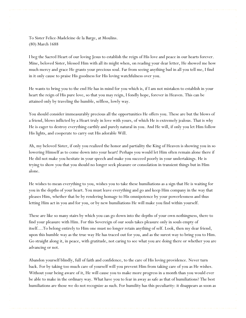To Sister Felice-Madeleine de la Barge, at Moulins. (80) March 1688

I beg the Sacred Heart of our loving Jesus to establish the reign of His love and peace in our hearts forever. Mine, beloved Sister, blessed Him with all its might when, on reading your dear letter, He showed me how much mercy and grace He grants your precious soul. Far from seeing anything bad in all you tell me, I find in it only cause to praise His goodness for His loving watchfulness over you.

He wants to bring you to the end He has in mind for you which is, if I am not mistaken to establish in your heart the reign of His pure love, so that you may reign, I fondly hope, forever in Heaven. This can be attained only by traveling the humble, selfless, lowly way.

You should consider immeasurably precious all the opportunities He offers you. These are but the blows of a friend, blows inflicted by a Heart truly in love with yours, of which He is extremely jealous. That is why He is eager to destroy everything earthly and purely natural in you. And He will, if only you let Him follow His lights, and cooperate to carry out His adorable Will.

Ah, my beloved Sister, if only you realized the honor and partiality the King of Heaven is showing you in so lowering Himself as to come down into your heart! Perhaps you would let Him often remain alone there if He did not make you hesitate in your speech and make you succeed poorly in your undertakings. He is trying to show you that you should no longer seek pleasure or consolation in transient things but in Him alone.

He wishes to mean everything to you, wishes you to take these humiliations as a sign that He is waiting for you in the depths of your heart. You must leave everything and go and keep Him company in the way that pleases Him, whether that be by rendering homage to His omnipotence by your powerlessness and thus letting Him act in you and for you, or by new humiliations He will make you find within yourself.

These are like so many stairs by which you can go down into the depths of your own nothingness, there to find your pleasure with Him. For this Sovereign of our souls takes pleasure only in souls empty of itself....To belong entirely to Him one must no longer retain anything of self. Look, then my dear friend, upon this humble way as the true way He has traced out for you, and as the surest way to bring you to Him. Go straight along it, in peace, with gratitude, not caring to see what you are doing there or whether you are advancing or not.

Abandon yourself blindly, full of faith and confidence, to the care of His loving providence. Never turn back. For by taking too much care of yourself will you prevent Him from taking care of you as He wishes. Without your being aware of it, He will cause you to make more progress in a month than you would ever be able to make in the ordinary way. What have you to fear in away as safe as that of humiliations? The best humiliations are those we do not recognize as such. For humility has this peculiarity: it disappears as soon as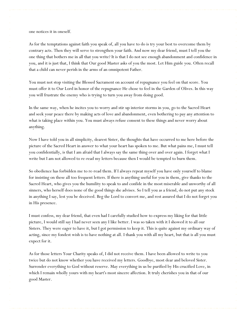one notices it in oneself.

As for the temptations against faith you speak of, all you have to do is try your best to overcome them by contrary acts. Then they will serve to strengthen your faith. And now my dear friend, must I tell you the one thing that bothers me in all that you write? It is that I do not see enough abandonment and confidence in you, and it is just that, I think that Our good Master asks of you the most. Let Him guide you. Often recall that a child can never perish in the arms of an omnipotent Father.

You must not stop visiting the Blessed Sacrament on account of repugnance you feel on that score. You must offer it to Our Lord in honor of the repugnance He chose to feel in the Garden of Olives. In this way you will frustrate the enemy who is trying to turn you away from doing good.

In the same way, when he incites you to worry and stir up interior storms in you, go to the Sacred Heart and seek your peace there by making acts of love and abandonment, even bothering to pay any attention to what is taking place within you. You must always refuse consent to these things and never worry about anything.

Now I have told you in all simplicity, dearest Sister, the thoughts that have occurred to me here before the picture of the Sacred Heart in answer to what your heart has spoken to me. But what pains me, I must tell you confidentially, is that I am afraid that I always say the same thing over and over again. I forget what I write but I am not allowed to re-read my letters because then I would be tempted to burn them.

So obedience has forbidden me to re-read them. If I always repeat myself you have only yourself to blame for insisting on these all too frequent letters. If there is anything useful for you in them, give thanks to the Sacred Heart, who gives you the humility to speak to and confide in the most miserable and unworthy of all sinners, who herself does none of the good things she advises. So I tell you as a friend, do not put any stock in anything I say, lest you be deceived. Beg the Lord to convert me, and rest assured that I do not forget you in His presence.

I must confess, my dear friend, that even had I carefully studied how to express my liking for that little picture, I would still say I had never seen any I like better. I was so taken with it I showed it to all our Sisters. They were eager to have it, but I got permission to keep it. This is quite against my ordinary way of acting, since my fondest wish is to have nothing at all. I thank you with all my heart, but that is all you must expect for it.

As for those letters Your Charity speaks of, I did not receive them. I have been allowed to write to you twice but do not know whether you have received my letters. Goodbye, most dear and beloved Sister. Surrender everything to God without reserve. May everything in us be purified by His crucified Love, in which I remain wholly yours with my heart's most sincere affection. It truly cherishes you in that of our good Master.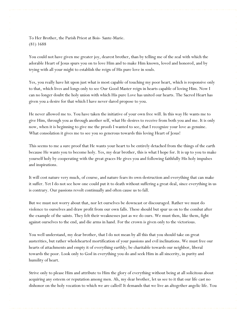To Her Brother, the Parish Priest at Bois- Sante-Marie. (81) 1688

You could not have given me greater joy, dearest brother, than by telling me of the zeal with which the adorable Heart of Jesus spurs you on to love Him and to make Him known, loved and honored, and by trying with all your might to establish the reign of His pure love in souls.

Yes, you really have hit upon just what is most capable of touching my poor heart, which is responsive only to that, which lives and longs only to see Our Good Master reign in hearts capable of loving Him. Now I can no longer doubt the holy union with which His pure Love has united our hearts. The Sacred Heart has given you a desire for that which I have never dared propose to you.

He never allowed me to. You have taken the initiative of your own free will. In this way He wants me to give Him, through you as through another self, what He desires to receive from both you and me. It is only now, when it is beginning to give me the proofs I wanted to see, that I recognize your love as genuine. What consolation it gives me to see you so generous towards this loving Heart of Jesus!

This seems to me a sure proof that He wants your heart to be entirely detached from the things of the earth because He wants you to become holy. Yes, my dear brother, this is what I hope for. It is up to you to make yourself holy by cooperating with the great graces He gives you and following faithfully His holy impulses and inspirations.

It will cost nature very much, of course, and nature fears its own destruction and everything that can make it suffer. Yet I do not see how one could put it to death without suffering a great deal, since everything in us is contrary. Our passions revolt continually and often cause us to fall.

But we must not worry about that, nor let ourselves be downcast or discouraged. Rather we must do violence to ourselves and draw profit from our own falls. These should but spur us on to the combat after the example of the saints. They felt their weaknesses just as we do ours. We must then, like them, fight against ourselves to the end, and die arms in hand. For the crown is given only to the victorious.

You well understand, my dear brother, that I do not mean by all this that you should take on great austerities, but rather wholehearted mortification of your passions and evil inclinations. We must free our hearts of attachments and empty it of everything earthly; be charitable towards our neighbor, liberal towards the poor. Look only to God in everything you do and seek Him in all sincerity, in purity and humility of heart.

Strive only to please Him and attribute to Him the glory of everything without being at all solicitous about acquiring any esteem or reputation among men. Ah, my dear brother, let us see to it that our life cast no dishonor on the holy vocation to which we are called! It demands that we live an altogether angelic life. You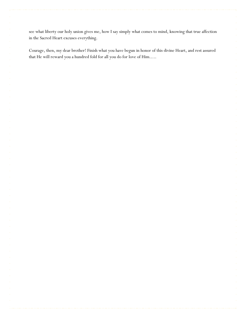see what liberty our holy union gives me, how I say simply what comes to mind, knowing that true affection in the Sacred Heart excuses everything.

Courage, then, my dear brother! Finish what you have begun in honor of this divine Heart, and rest assured that He will reward you a hundred fold for all you do for love of Him.....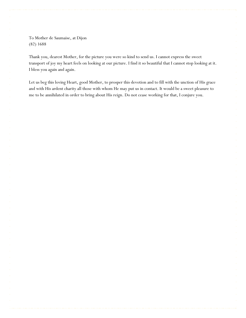To Mother de Saumaise, at Dijon (82) 1688

Thank you, dearest Mother, for the picture you were so kind to send us. I cannot express the sweet transport of joy my heart feels on looking at our picture. I find it so beautiful that I cannot stop looking at it. I bless you again and again.

Let us beg this loving Heart, good Mother, to prosper this devotion and to fill with the unction of His grace and with His ardent charity all those with whom He may put us in contact. It would be a sweet pleasure to me to be annihilated in order to bring about His reign. Do not cease working for that, I conjure you.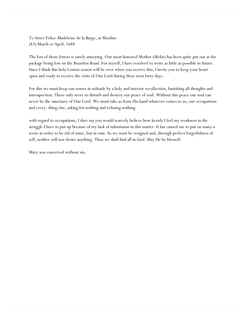To Sister Felice-Madeleine de la Barge, at Moulins (83) March or April, 1688

The loss of those letters is surely annoying. Our most honored Mother (Melin) has been quite put out at the package being lost on the Bourdon Road. For myself, I have resolved to write as little as possible in future. Since I think this holy Lenton season will be over when you receive this, I invite you to keep your heart open and ready to receive the visits of Our Lord during these next forty days.

For this we must keep our senses in solitude by a holy and interior recollection, banishing all thoughts and introspection. These only serve to disturb and destroy our peace of soul. Without this peace our soul can never be the sanctuary of Our Lord. We must take as from His hand whatever comes to us, our occupations and every- thing else, asking for nothing and refusing nothing.

with regard to occupations, I dare say you would scarcely believe how keenly I feel my weakness in the struggle I have to put up because of my lack of submission in this matter. It has caused me to put on many a scene in order to be rid of mine, but in vain. So we must be resigned and, through perfect forgetfulness of self, neither will nor desire anything. Then we shall find all in God. May He be blessed!

Mary was conceived without sin.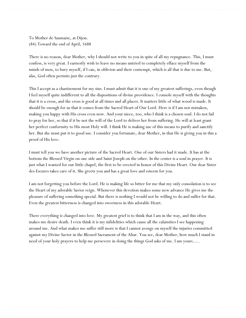To Mother de Saumaise, at Dijon. (84) Toward the end of April, 1688

There is no reason, dear Mother, why I should not write to you in spite of all my repugnance. This, I must confess, is very great. I earnestly wish to leave no means untried to completely efface myself from the minds of men, to bury myself, if I can, in oblivion and their contempt, which is all that is due to me. But, alas, God often permits just the contrary.

This I accept as a chastisement for my sins. I must admit that it is one of my greatest sufferings, even though I feel myself quite indifferent to all the dispositions of divine providence. I console myself with the thoughts that it is a cross, and the cross is good at all times and all places. It matters little of what wood is made. It should be enough for us that it comes from the Sacred Heart of Our Lord. Here is if I am not mistaken, making you happy with His cross even now. And your niece, too, who I think is a chosen soul. I do not fail to pray for her, so that if it be not the will of the Lord to deliver her from suffering. He will at least grant her perfect conformity to His most Holy will. I think He is making use of this means to purify and sanctify her. But she must put it to good use. I consider you fortunate, dear Mother, in that He is giving you in this a proof of His love.

I must tell you we have another picture of the Sacred Heart. One of our Sisters had it made. It has at the bottom the Blessed Virgin on one side and Saint Joseph on the other. In the center is a soul in prayer. It is just what I wanted for our little chapel, the first to be erected in honor of this Divine Heart. Our dear Sister des Escures takes care of it. She greets you and has a great love and esteem for you.

I am not forgetting you before the Lord. He is making life so bitter for me that my only consolation is to see the Heart of my adorable Savior reign. Whenever this devotion makes some new advance He gives me the pleasure of suffering something special. But there is nothing I would not be willing to do and suffer for that. Even the greatest bitterness is changed into sweetness in this adorable Heart.

There everything is changed into love. My greatest grief is to think that I am in the way, and this often makes me desire death. I even think it is my infidelities which cause all the calamities I see happening around me. And what makes me suffer still more is that I cannot avenge on myself the injuries committed against my Divine Savior in the Blessed Sacrament of the Altar. You see, dear Mother, how much I stand in need of your holy prayers to help me persevere in doing the things God asks of me. I am yours.....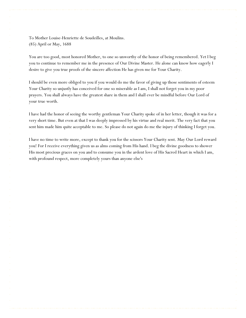To Mother Louise-Henriette de Soudeilles, at Moulins. (85) April or May, 1688

You are too good, most honored Mother, to one so unworthy of the honor of being remembered. Yet I beg you to continue to remember me in the presence of Our Divine Master. He alone can know how eagerly I desire to give you true proofs of the sincere affection He has given me for Your Charity.

I should be even more obliged to you if you would do me the favor of giving up those sentiments of esteem Your Charity so unjustly has conceived for one so miserable as I am, I shall not forget you in my poor prayers. You shall always have the greatest share in them and I shall ever be mindful before Our Lord of your true worth.

I have had the honor of seeing the worthy gentleman Your Charity spoke of in her letter, though it was for a very short time. But even at that I was deeply impressed by his virtue and real merit. The very fact that you sent him made him quite acceptable to me. So please do not again do me the injury of thinking I forget you.

I have no time to write more, except to thank you for the scissors Your Charity sent. May Our Lord reward you! For I receive everything given us as alms coming from His hand. I beg the divine goodness to shower His most precious graces on you and to consume you in the ardent love of His Sacred Heart in which I am, with profound respect, more completely yours than anyone else's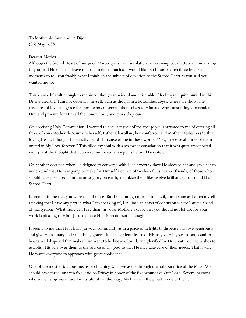To Mother de Saumaise, at Dijon (86) May 1688

## Dearest Mother,

Although the Sacred Heart of our good Master gives me consolation on receiving your letters and in writing to you, still He does not leave me free to do so much as I would like. So I must snatch these few free moments to tell you frankly what I think on the subject of devotion to the Sacred Heart as you said you wanted me to.

This seems difficult enough to me since, though so wicked and miserable, I feel myself quite buried in this Divine Heart. If I am not deceiving myself, I am as though in a bottomless abyss, where He shows me treasures of love and grace for those who consecrate themselves to Him and work unstintingly to render Him and procure for Him all the honor, love, and glory they can.

On receiving Holy Communion, I wanted to acquit myself of the charge you entrusted to me of offering all three of you (Mother de Saumaise herself, Father Charollais, her confessor, and Mother Desbarres) to this loving Heart. I thought I distinctly heard Him answer me in these words: "Yes, I receive all three of them united in My Love forever." This filled my soul with such sweet consolation that it was quite transported with joy at the thought that you were numbered among His beloved favorites.

On another occasion when He deigned to converse with His unworthy slave He showed her and gave her to understand that He was going to make for Himself a crown of twelve of His dearest friends, of those who should have procured Him the most glory on earth, and place them like twelve brilliant stars around His Sacred Heart.

It seemed to me that you were one of these. But I shall not go more into detail, for as soon as I catch myself thinking that I have any part in what I am speaking of, I fall into an abyss of confusion where I suffer a kind of martyrdom. What more can I say then, my dear Mother, except that you should not let up, for your work is pleasing to Him. Just to please Him is recompense enough.

It seems to me that He is living in your community as in a place of delights to dispense His love generously and give His salutary and sanctifying graces. It is this ardent desire of His to give His grace to souls and to hearts well disposed that makes Him want to be known, loved, and glorified by His creatures. He wishes to establish His rule over them as the source of all good so that He may take care of their needs. That is why He wants everyone to approach with great confidence.

One of the most efficacious means of obtaining what we ask is through the holy Sacrifice of the Mass. We should have three, or even five, said on Friday in honor of the five wounds of Our Lord. Several persons who were dying were cured miraculously in this way. My brother, the priest is one of them.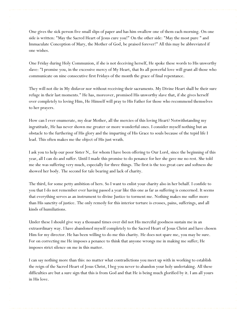One gives the sick person five small slips of paper and has him swallow one of them each morning. On one side is written: "May the Sacred Heart of Jesus cure you!" On the other side: "May the most pure " and Immaculate Conception of Mary, the Mother of God, be praised forever!" All this may be abbreviated if one wishes.

One Friday during Holy Communion, if she is not deceiving herself, He spoke these words to His unworthy slave: "I promise you, in the excessive mercy of My Heart, that Its all powerful love will grant all those who communicate on nine consecutive first Fridays of the month the grace of final repentance.

They will not die in My disfavor nor without receiving their sacraments. My Divine Heart shall be their sure refuge in their last moments." He has, moreover, promised His unworthy slave that, if she gives herself over completely to loving Him, He Himself will pray to His Father for those who recommend themselves to her prayers.

How can I ever enumerate, my dear Mother, all the mercies of this loving Heart? Notwithstanding my ingratitude, He has never shown me greater or more wonderful ones. I consider myself nothing but an obstacle to the furthering of His glory and the imparting of His Grace to souls because of the tepid life I lead. This often makes me the object of His just wrath.

I ask you to help our poor Sister N,. for whom I have been offering to Our Lord, since the beginning of this year, all I can do and suffer. Until I made this promise to do penance for her she gave me no rest. She told me she was suffering very much, especially for three things. The first is the too great care and softness she showed her body. The second for tale bearing and lack of charity.

The third, for some petty ambition of hers. So I want to enlist your charity also in her behalf. I confide to you that I do not remember ever having passed a year like this one as far as suffering is concerned. It seems that everything serves as an instrument to divine Justice to torment me. Nothing makes me suffer more than His sanctity of justice. The only remedy for this interior torture is crosses, pains, sufferings, and all kinds of humiliations.

Under these I should give way a thousand times over did not His merciful goodness sustain me in an extraordinary way. I have abandoned myself completely to the Sacred Heart of Jesus Christ and have chosen Him for my director. He has been willing to do me this charity. He does not spare me, you may be sure. For on correcting me He imposes a penance to think that anyone wrongs me in making me suffer; He imposes strict silence on me in this matter.

I can say nothing more than this: no matter what contradictions you meet up with in working to establish the reign of the Sacred Heart of Jesus Christ, I beg you never to abandon your holy undertaking. All these difficulties are but a sure sign that this is from God and that He is being much glorified by it. I am all yours in His love.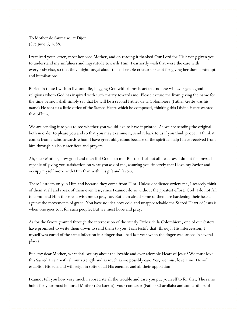To Mother de Saumaise, at Dijon (87) June 6, 1688.

I received your letter, most honored Mother, and on reading it thanked Our Lord for His having given you to understand my sinfulness and ingratitude towards Him. I earnestly wish that were the case with everybody else, so that they might forget about this miserable creature except for giving her due: contempt and humiliations.

Buried in these I wish to live and die, begging God with all my heart that no one will ever get a good religious whom God has inspired with such charity towards me. Please excuse me from giving the name for the time being. I shall simply say that he will be a second Father de la Colombiere (Father Gette was his name) He sent us a little office of the Sacred Heart which he composed, thinking this Divine Heart wanted that of him.

We are sending it to you to see whether you would like to have it printed. As we are sending the original, both in order to please you and so that you may examine it, send it back to us if you think proper. I think it comes from a saint towards whom I have great obligations because of the spiritual help I have received from him through his holy sacrifices and prayers.

Ah, dear Mother, how good and merciful God is to me! But that is about all I can say. I do not feel myself capable of giving you satisfaction on what you ask of me, assuring you sincerely that I love my Savior and occupy myself more with Him than with His gift and favors.

These I esteem only in Him and because they come from Him. Unless obedience orders me, I scarcely think of them at all and speak of them even less, since I cannot do so without the greatest effort. God. I do not fail to commend Him those you wish me to pray for. But I am afraid some of them are hardening their hearts against the movements of grace. You have no idea how cold and unapproachable the Sacred Heart of Jesus is when one goes to it for such people. But we must hope and pray.

As for the favors granted through the intercession of the saintly Father de la Colombiere, one of our Sisters have promised to write them down to send them to you. I can testify that, through His intercession, I myself was cured of the same infection in a finger that I had last year when the finger was lanced in several places.

But, my dear Mother, what shall we say about the lovable and ever adorable Heart of Jesus? We must love this Sacred Heart with all our strength and as much as we possibly can. Yes, we must love Him. He will establish His rule and will reign in spite of all His enemies and all their opposition.

I cannot tell you how very much I appreciate all the trouble and care you put yourself to for that. The same holds for your most honored Mother (Desbarres), your confessor (Father Charollais) and some others of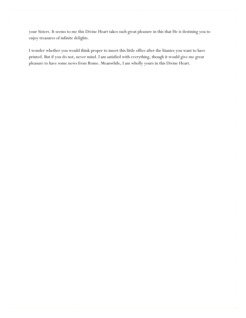your Sisters. It seems to me this Divine Heart takes such great pleasure in this that He is destining you to enjoy treasures of infinite delights.

I wonder whether you would think proper to insert this little office after the litanies you want to have printed. But if you do not, never mind. I am satisfied with everything, though it would give me great pleasure to have some news from Rome. Meanwhile, I am wholly yours in this Divine Heart.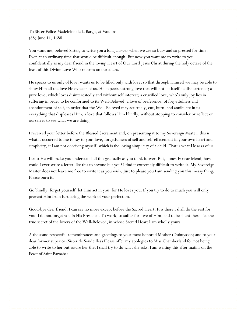To Sister Felice-Madeleine de la Barge, at Moulins (88) June 11, 1688.

You want me, beloved Sister, to write you a long answer when we are so busy and so pressed for time. Even at an ordinary time that would be difficult enough. But now you want me to write to you confidentially as my dear friend in the loving Heart of Our Lord Jesus Christ during the holy octave of the feast of this Divine Love Who reposes on our altars.

He speaks to us only of love, wants us to be filled only with love, so that through Himself we may be able to show Him all the love He expects of us. He expects a strong love that will not let itself be disheartened; a pure love, which loves disinterestedly and without self interest; a crucified love, who's only joy lies in suffering in order to be conformed to its Well-Beloved; a love of preference, of forgetfulness and abandonment of self, in order that the Well-Beloved may act freely, cut, burn, and annihilate in us everything that displeases Him; a love that follows Him blindly, without stopping to consider or reflect on ourselves to see what we are doing.

I received your letter before the Blessed Sacrament and, on presenting it to my Sovereign Master, this is what it occurred to me to say to you: love, forgetfulness of self and self-effacement in your own heart and simplicity, if I am not deceiving myself, which is the loving simplicity of a child. That is what He asks of us.

I trust He will make you understand all this gradually as you think it over. But, honestly dear friend, how could I ever write a letter like this to anyone but you? I find it extremely difficult to write it. My Sovereign Master does not leave me free to write it as you wish. Just to please you I am sending you this messy thing. Please burn it.

Go blindly, forget yourself, let Him act in you, for He loves you. If you try to do to much you will only prevent Him from furthering the work of your perfection.

Good-bye dear friend. I can say no more except before the Sacred Heart. It is there I shall do the rest for you. I do not forget you in His Presence. To work, to suffer for love of Him, and to be silent: here lies the true secret of the lovers of the Well-Beloved, in whose Sacred Heart I am wholly yours.

A thousand respectful remembrances and greetings to your most honored Mother (Dubuysson) and to your dear former superior (Sister de Soudeilles) Please offer my apologies to Miss Chamberland for not being able to write to her but assure her that I shall try to do what she asks. I am writing this after matins on the Feast of Saint Barnabas.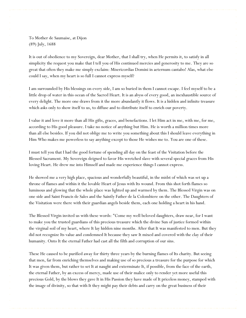To Mother de Saumaise, at Dijon (89) July, 1688

It is out of obedience to my Sovereign, dear Mother, that I shall try, when He permits it, to satisfy in all simplicity the request you make that I tell you of His continued mercies and generosity to me. They are so great that often they make me simply exclaim: Misericordias Domini in aeternum cantabo! Alas, what else could I say, when my heart is so full I cannot express myself?

I am surrounded by His blessings on every side, I am so buried in them I cannot escape. I feel myself to be a little drop of water in this ocean of the Sacred Heart. It is an abyss of every good, an inexhaustible source of every delight. The more one draws from it the more abundantly it flows. It is a hidden and infinite treasure which asks only to show itself to us, to diffuse and to distribute itself to enrich our poverty.

I value it and love it more than all His gifts, graces, and benefactions. I let Him act in me, with me, for me, according to His good pleasure. I take no notice of anything but Him. He is worth a million times more than all else besides. If you did not oblige me to write you something about this I should leave everything in Him Who makes me powerless to say anything except to those He wishes me to. You are one of these.

I must tell you that I had the good fortune of spending all day on the feast of the Visitation before the Blessed Sacrament. My Sovereign deigned to favor His wretched slave with several special graces from His loving Heart. He drew me into Himself and made me experience things I cannot express.

He showed me a very high place, spacious and wonderfully beautiful, in the midst of which was set up a throne of flames and within it the lovable Heart of Jesus with Its wound. From this shot forth flames so luminous and glowing that the whole place was lighted up and warmed by them. The Blessed Virgin was on one side and Saint Francis de Sales and the Saintly Father de la Colombiere on the other. The Daughters of the Visitation were there with their guardian angels beside them, each one holding a heart in his hand.

The Blessed Virgin invited us with these words: "Come my well beloved daughters, draw near, for I want to make you the trusted guardians of this precious treasure which the divine Sun of justice formed within the virginal soil of my heart, where It lay hidden nine months. After that It was manifested to men. But they did not recognize Its value and condemned It because they saw It mixed and covered with the clay of their humanity. Onto It the eternal Father had cast all the filth and corruption of our sins.

These He caused to be purified away for thirty three years by the burning flames of Its charity. But seeing that men, far from enriching themselves and making use of so precious a treasure for the purpose for which It was given them, but rather to set It at naught and exterminate It, if possible, from the face of the earth, the eternal Father, by an excess of mercy, made use of their malice only to render yet more useful this precious Gold, by the blows they gave It in His Passion they have made of It priceless money, stamped with the image of divinity, so that with It they might pay their debts and carry on the great business of their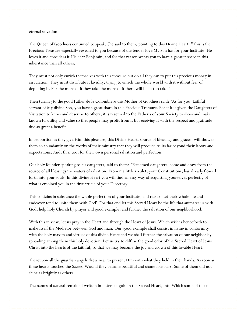eternal salvation."

The Queen of Goodness continued to speak: She said to them, pointing to this Divine Heart: "This is the Precious Treasure especially revealed to you because of the tender love My Son has for your Institute. He loves it and considers it His dear Benjamin, and for that reason wants you to have a greater share in this inheritance than all others.

They must not only enrich themselves with this treasure but do all they can to put this precious money in circulation. They must distribute it lavishly, trying to enrich the whole world with it without fear of depleting it. For the more of it they take the more of it there will be left to take."

Then turning to the good Father de la Colombiere this Mother of Goodness said: "As for you, faithful servant of My divine Son, you have a great share in this Precious Treasure. For if It is given the Daughters of Visitation to know and describe to others, it is reserved to the Father's of your Society to show and make known Its utility and value so that people may profit from It by receiving It with the respect and gratitude due so great a benefit.

In proportion as they give Him this pleasure, this Divine Heart, source of blessings and graces, will shower them so abundantly on the works of their ministry that they will produce fruits far beyond their labors and expectations. And, this, too, for their own personal salvation and perfection."

Our holy founder speaking to his daughters, said to them: "Esteemed daughters, come and draw from the source of all blessings the waters of salvation. From it a little rivulet, your Constitutions, has already flowed forth into your souls. In this divine Heart you will find an easy way of acquitting yourselves perfectly of what is enjoined you in the first article of your Directory.

This contains in substance the whole perfection of your Institute, and reads: 'Let their whole life and endeavor tend to unite them with God'. For that end let this Sacred Heart be the life that animates us with God, help holy Church by prayer and good example, and further the salvation of our neighborhood.

With this in view, let us pray in the Heart and through the Heart of Jesus. Which wishes henceforth to make Itself the Mediator between God and man. Our good example shall consist in living in conformity with the holy maxim and virtues of this divine Heart and we shall further the salvation of our neighbor by spreading among them this holy devotion. Let us try to diffuse the good odor of the Sacred Heart of Jesus Christ into the hearts of the faithful, so that we may become the joy and crown of this lovable Heart."

Thereupon all the guardian angels drew near to present Him with what they held in their hands. As soon as these hearts touched the Sacred Wound they became beautiful and shone like stars. Some of them did not shine as brightly as others.

The names of several remained written in letters of gold in the Sacred Heart, into Which some of those I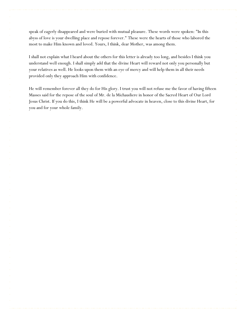speak of eagerly disappeared and were buried with mutual pleasure. These words were spoken: "In this abyss of love is your dwelling place and repose forever." These were the hearts of those who labored the most to make Him known and loved. Yours, I think, dear Mother, was among them.

I shall not explain what I heard about the others for this letter is already too long, and besides I think you understand well enough. I shall simply add that the divine Heart will reward not only you personally but your relatives as well. He looks upon them with an eye of mercy and will help them in all their needs provided only they approach Him with confidence.

He will remember forever all they do for His glory. I trust you will not refuse me the favor of having fifteen Masses said for the repose of the soul of Mr. de la Michaudiere in honor of the Sacred Heart of Our Lord Jesus Christ. If you do this, I think He will be a powerful advocate in heaven, close to this divine Heart, for you and for your whole family.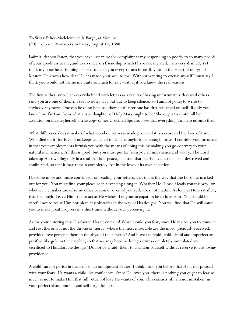To Sister Felice-Madeleine de la Barge, at Moulins. (90) From our Monastery in Paray, August 12, 1688

I admit, dearest Sister, that you have just cause for complaint at my responding so poorly to so many proofs of your goodness to me, and to so sincere a friendship which I have not merited. I am very shamed. Yet I think my poor heart is doing its best to make you every return it possibly can in the Heart of our good Master. He knows how dear He has made your soul to me. Without wanting to excuse myself I must say I think you would not blame me quite so much for not writing if you knew the real reasons.

The first is that, since I am overwhelmed with letters as a result of having unfortunately deceived others (and you are one of them), I see no other way out but to keep silence. So I am not going to write to anybody anymore. One can be of no help to others until after one has first reformed oneself. If only you knew how far I am from what a true daughter of Holy Mary ought to be! She ought to center all her attention on making herself a true copy of her Crucified Spouse. I see that everything can help us onto that.

What difference does it make of what wood our cross is made provided it is a cross and the love of Him, Who died on it, for love of us keeps us nailed to it? That ought to be enough for us. I consider you fortunate in that your employments furnish you with the means of doing this by making you go contrary to your natural inclinations. All this is good, but you must put far from you all impatience and worry. The Lord takes up His dwelling only in a soul that is at peace, in a soul that dearly loves to see itself destroyed and annihilated, so that it may remain completely lost in the love of its own abjection.

I become more and more convinced, on reading your letters, that this is the way that the Lord has marked out for you. You must find your pleasure in advancing along it. Whether He Himself leads you this way, or whether He makes use of some other person or even of yourself, does not matter. As long as He is satisfied, that is enough. Leave Him free to act as He wishes. Let your occupation be to love Him. You should be careful not to resist Him nor place any obstacles in the way of His designs. You will find that He will cause you to make great progress in a short time without your perceiving it.

As for your entering into His Sacred Heart: enter in! What should you fear, since He invites you to come in and rest there? Is it not the throne of mercy, where the most miserable are the most graciously received, provided love presents them in the abyss of their mercy? And if we are tepid, cold, sinful and imperfect and purified like gold in the crucible, so that we may become living victims completely immolated and sacrificed to His adorable designs? Do not be afraid, then, to abandon yourself without reserve to His loving providence.

A child can not perish in the arms of an omnipotent Father. I think I told you before that He is not pleased with your fears. He wants a child like confidence. Since He loves you, there is nothing you ought to fear so much as not to make Him that full return of love He wants of you. This consists, if I am not mistaken, in your perfect abandonment and self forgetfulness.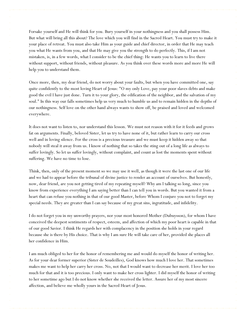Forsake yourself and He will think for you. Bury yourself in your nothingness and you shall possess Him. But what will bring all this about? The love which you will find in the Sacred Heart. You must try to make it your place of retreat. You must also take Him as your guide and chief director, in order that He may teach you what He wants from you, and that He may give you the strength to do perfectly. This, if I am not mistaken, is, in a few words, what I consider to be the chief thing: He wants you to learn to live there without support, without friends, without pleasure. As you think over these words more and more He will help you to understand them.

Once more, then, my dear friend, do not worry about your faults, but when you have committed one, say quite confidently to the most loving Heart of Jesus: "O my only Love, pay your poor slaves debts and make good the evil I have just done. Turn it to your glory, the edification of the neighbor, and the salvation of my soul." In this way our falls sometimes help us very much to humble us and to remain hidden in the depths of our nothingness. Self love on the other hand always wants to show off, be praised and loved and welcomed everywhere.

It does not want to listen to, nor understand this lesson. We must not reason with it for it feeds and grows fat on arguments. Finally, beloved Sister, let us try to have none of it, but rather learn to carry our cross well and in loving silence. For the cross is a precious treasure and we must keep it hidden away so that nobody will steal it away from us. I know of nothing that so takes the sting out of a long life as always to suffer lovingly. So let us suffer lovingly, without complaint, and count as lost the moments spent without suffering. We have no time to lose.

Think, then, only of the present moment so we may use it well, as though it were the last one of our life and we had to appear before the tribunal of divine justice to render an account of ourselves. But honestly, now, dear friend, are you not getting tired of my repeating myself? Why am I talking so long, since you know from experience everything I am saying better than I can tell you in words. But you wanted it from a heart that can refuse you nothing in that of our good Master, before Whom I conjure you not to forget my special needs. They are greater than I can say because of my great sins, ingratitude, and infidelity.

I do not forget you in my unworthy prayers, nor your most honored Mother (Dubuysson), for whom I have conceived the deepest sentiments of respect, esteem, and affection of which my poor heart is capable in that of our good Savior. I think He regards her with complacency in the position she holds in your regard because she is there by His choice. That is why I am sure He will take care of her, provided she places all her confidence in Him.

I am much obliged to her for the honor of remembering me and would do myself the honor of writing her. As for your dear former superior (Sister de Soudeilles), God knows how much I love her. That sometimes makes me want to help her carry her cross. No, not that I would want to decrease her merit. I love her too much for that and it is too precious. I only want to make her cross lighter. I did myself the honor of writing to her sometime ago but I do not know whether she received the letter. Assure her of my most sincere affection, and believe me wholly yours in the Sacred Heart of Jesus.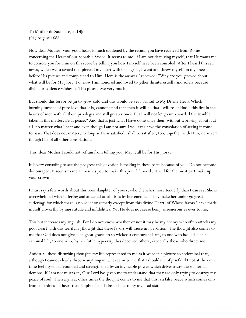To Mother de Saumaise, at Dijon (91) August 1688.

Now dear Mother, your good heart is much saddened by the refusal you have received from Rome concerning the Heart of our adorable Savior. It seems to me, if I am not deceiving myself, that He wants me to console you for Him on this score by telling you how I myself have been consoled. After I heard this sad news, which was a sword that pierced my heart with deep grief, I went and threw myself on my knees before His picture and complained to Him. Here is the answer I received: "Why are you grieved about what will be for My glory? For now I am honored and loved together disinterestedly and solely because divine providence wishes it. This pleases Me very much.

But should this fervor begin to grow cold-and this would be very painful to My Divine Heart Which, burning furnace of pure love that It is, cannot stand that-then it will be that I will re-enkindle this fire in the hearts of men with all these privileges and still greater ones. But I will not let go unrewarded the trouble taken in this matter. Be at peace." And that is just what I have done since then, without worrying about it at all, no matter what I hear and even though I am not sure I will ever have the consolation of seeing it come to pass. That does not matter. As long as He is satisfied I shall be satisfied, too, together with Him, deprived though I be of all other consolations.

This, dear Mother I could not refrain from telling you. May it all be for His glory.

It is very consoling to see the progress this devotion is making in these parts because of you. Do not become discouraged. It seems to me He wishes you to make this your life work. It will for the most part make up your crown.

I must say a few words about this poor daughter of yours, who cherishes more tenderly than I can say. She is overwhelmed with suffering and attacked on all sides by her enemies. They make her under go great sufferings for which there is no relief or remedy except from this divine Heart, of Whose favors I have made myself unworthy by ingratitude and infidelities. Yet He does not cease being as generous as ever to me.

This but increases my anguish. For I do not know whether or not it may be my enemy who often attacks my poor heart with this terrifying thought that these favors will cause my perdition. The thought also comes to me that God does not give such great graces to so wicked a creature as I am, to one who has led such a criminal life, to one who, by her futile hypocrisy, has deceived others, especially those who direct me.

Amidst all these disturbing thoughts my life represented to me as it were in a picture so abdominal that, although I cannot clearly discern anything in it, it seems to me that I should die of grief did I not at the same time feel myself surrounded and strengthened by an invincible power which drives away these infernal demons. If I am not mistaken, Our Lord has given me to understand that they are only trying to destroy my peace of soul. Then again at other times the thought comes to me that this is a false peace which comes only from a hardness of heart that simply makes it insensible to my own sad state.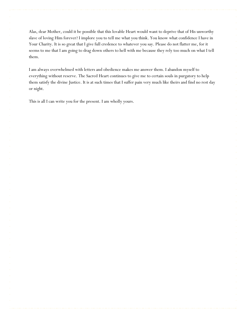Alas, dear Mother, could it be possible that this lovable Heart would want to deprive that of His unworthy slave of loving Him forever? I implore you to tell me what you think. You know what confidence I have in Your Charity. It is so great that I give full credence to whatever you say. Please do not flatter me, for it seems to me that I am going to drag down others to hell with me because they rely too much on what I tell them.

I am always overwhelmed with letters and obedience makes me answer them. I abandon myself to everything without reserve. The Sacred Heart continues to give me to certain souls in purgatory to help them satisfy the divine Justice. It is at such times that I suffer pain very much like theirs and find no rest day or night.

This is all I can write you for the present. I am wholly yours.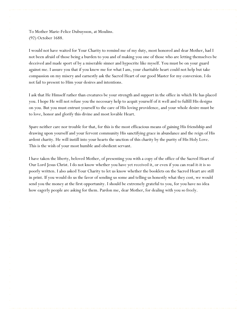To Mother Marie-Felice Dubuysson, at Moulins. (92) October 1688.

I would not have waited for Your Charity to remind me of my duty, most honored and dear Mother, had I not been afraid of those being a burden to you and of making you one of those who are letting themselves be deceived and made sport of by a miserable sinner and hypocrite like myself. You must be on your guard against me. I assure you that if you knew me for what I am, your charitable heart could not help but take compassion on my misery and earnestly ask the Sacred Heart of our good Master for my conversion. I do not fail to present to Him your desires and intentions.

I ask that He Himself rather than creatures be your strength and support in the office in which He has placed you. I hope He will not refuse you the necessary help to acquit yourself of it well and to fulfill His designs on you. But you must entrust yourself to the care of His loving providence, and your whole desire must be to love, honor and glorify this divine and most lovable Heart.

Spare neither care nor trouble for that, for this is the most efficacious means of gaining His friendship and drawing upon yourself and your fervent community His sanctifying grace in abundance and the reign of His ardent charity. He will instill into your hearts the unction of this charity by the purity of His Holy Love. This is the wish of your most humble and obedient servant.

I have taken the liberty, beloved Mother, of presenting you with a copy of the office of the Sacred Heart of Our Lord Jesus Christ. I do not know whether you have yet received it, or even if you can read it-it is so poorly written. I also asked Your Charity to let us know whether the booklets on the Sacred Heart are still in print. If you would do us the favor of sending us some and telling us honestly what they cost, we would send you the money at the first opportunity. I should be extremely grateful to you, for you have no idea how eagerly people are asking for them. Pardon me, dear Mother, for dealing with you so freely.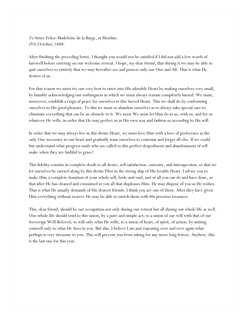To Sister Felice-Madeleine de la Barge, at Moulins. (93) October, 1688.

After finishing the preceding letter, I thought you would not be satisfied if I did not add a few words of farewell before entering on our welcome retreat. I hope, my dear friend, that during it we may be able to quit ourselves so entirely that we may hereafter see and possess only our One and All. That is what He desires of us.

For that reason we must try our very best to enter into His adorable Heart by making ourselves very small, by humbly acknowledging our nothingness in which we must always remain completely buried. We must, moreover, establish a reign of peace for ourselves in this Sacred Heart. This we shall do by conforming ourselves to His good pleasure. To this we must so abandon ourselves as to always take special care to eliminate everything that can be an obstacle to it. We must We must let Him do in us, with us, and for us whatever He wills, in order that He may perfect us in His own way and fashion us according to His will.

In order that we may always live in this divine Heart, we must love Him with a love of preference as the only One necessary to our heart and gradually train ourselves to contemn and forget all else. If we could but understand what progress souls who are called to this perfect despoilment and abandonment of self make when they are faithful to grace!

This fidelity consists in complete death to all desire, self satisfaction, curiosity, and introspection, so that we let ourselves be carried along by this divine Pilot in the strong ship of His lovable Heart. I advise you to make Him a complete donation of your whole self, body and soul, and of all you can do and have done, so that after He has cleaned and consumed in you all that displeases Him. He may dispose of you as He wishes. That is what He usually demands of His dearest friends. I think you are one of them. After they have given Him everything without reserve He may be able to enrich them with His precious treasures.

This, dear friend, should be our occupation not only during our retreat but all during our whole life as well. Our whole life should tend to this union, by a pure and simple act; to a union of our will with that of our Sovereign Well Beloved, to will only what He wills; to a union of heart, of spirit, of action, by uniting yourself only to what He does in you. But alas, I believe I am just repeating over and over again what perhaps is very tiresome to you. This will prevent you from asking for any more long letters. Anyhow, this is the last one for this year.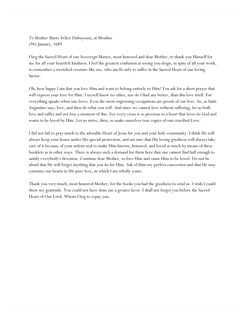To Mother Marie-Felice Dubuysson, at Moulins (94) January, 1689.

I beg the Sacred Heart of our Sovereign Master, most honored and dear Mother, to thank you Himself for me for all your heartfelt kindness. I feel the greatest confusion at seeing you deign, in spite of all your work, to remember a wretched creature like me, who am fit only to suffer in the Sacred Heart of our loving Savior.

Oh, how happy I am that you love Him and want to belong entirely to Him! You ask for a short prayer that will express your love for Him. I myself know no other, nor do I find any better, than this love itself. For everything speaks when one loves. Even the most engrossing occupations are proofs of our love. So, as Saint Augustine says, love, and then do what you will. And since we cannot love without suffering, let us both love and suffer and not lose a moment of this. For every cross is so precious to a heart that loves its God and wants to be loved by Him. Let us strive, then, to make ourselves true copies of our crucified Love.

I did not fail to pray much to the adorable Heart of Jesus for you and your holy community. I think He will always keep your house under His special protection, and am sure that His loving goodness will always take care of it because of your ardent zeal to make Him known, honored, and loved as much by means of these booklets as in other ways. There is always such a demand for them here that one cannot find half enough to satisfy everybody's devotion. Continue dear Mother, to love Him and cause Him to be loved. Do not be afraid that He will forget anything that you do for Him. Ask of Him my perfect conversion and that He may consume our hearts in His pure love, in which I am wholly yours.

Thank you very much, most honored Mother, for the books you had the goodness to send us. I wish I could show my gratitude. You could not have done me a greater favor. I shall not forget you before the Sacred Heart of Our Lord, Whom I beg to repay you.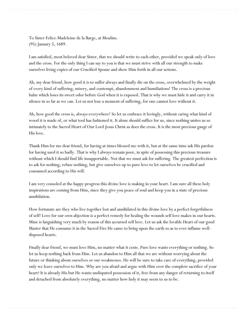To Sister Felice-Madeleine de la Barge, at Moulins. (95) January 5, 1689.

I am satisfied, most beloved dear Sister, that we should write to each other, provided we speak only of love and the cross. For the only thing I can say to you is that we must strive with all our strength to make ourselves living copies of our Crucified Spouse and show Him forth in all our actions.

Ah, my dear friend, how good it is to suffer always and finally die on the cross, overwhelmed by the weight of every kind of suffering, misery, and contempt, abandonment and humiliations! The cross is a precious balm which loses its sweet odor before God when it is exposed. That is why we must hide it and carry it in silence in so far as we can. Let us not lose a moment of suffering, for one cannot love without it.

Ah, how good the cross is, always everywhere! So let us embrace it lovingly, without caring what kind of wood it is made of, or what tool has fashioned it. It alone should suffice for us, since nothing unites us so intimately to the Sacred Heart of Our Lord Jesus Christ as does the cross. It is the most precious gauge of His love.

Thank Him for me dear friend, for having at times blessed me with it, but at the same time ask His pardon for having used it so badly. That is why I always remain poor, in spite of possessing this precious treasure without which I should find life insupportable. Not that we must ask for suffering. The greatest perfection is to ask for nothing, refuse nothing, but give ourselves up to pure love to let ourselves be crucified and consumed according to His will.

I am very consoled at the happy progress this divine love is making in your heart. I am sure all these holy inspirations are coming from Him, since they give you peace of soul and keep you in a state of precious annihilation.

How fortunate are they who live together lost and annihilated in this divine love by a perfect forgetfulness of self! Love for our own abjection is a perfect remedy for healing the wounds self love makes in our hearts. Mine is languishing very much by reason of this accursed self love. Let us ask the lovable Heart of our good Master that He consume it in the Sacred Fire He came to bring upon the earth so as to ever inflame welldisposed hearts.

Finally dear friend, we must love Him, no matter what it costs. Pure love wants everything or nothing. So let us keep nothing back from Him. Let us abandon to Him all that we are without worrying about the future or thinking about ourselves or our weaknesses. He will be sure to take care of everything, provided only we leave ourselves to Him. Why are you afraid and argue with Him over the complete sacrifice of your heart? It is already His but He wants undisputed possession of it, free from any danger of returning to itself and detached from absolutely everything, no matter how holy it may seem to us to be.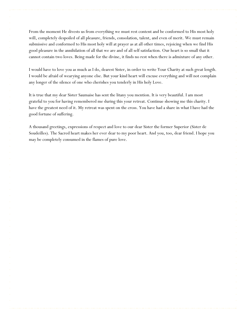From the moment He divests us from everything we must rest content and be conformed to His most holy will, completely despoiled of all pleasure, friends, consolation, talent, and even of merit. We must remain submissive and conformed to His most holy will at prayer as at all other times, rejoicing when we find His good pleasure in the annihilation of all that we are and of all self satisfaction. Our heart is so small that it cannot contain two loves. Being made for the divine, it finds no rest when there is admixture of any other.

I would have to love you as much as I do, dearest Sister, in order to write Your Charity at such great length. I would be afraid of wearying anyone else. But your kind heart will excuse everything and will not complain any longer of the silence of one who cherishes you tenderly in His holy Love.

It is true that my dear Sister Saumaise has sent the litany you mention. It is very beautiful. I am most grateful to you for having remembered me during this your retreat. Continue showing me this charity. I have the greatest need of it. My retreat was spent on the cross. You have had a share in what I have had the good fortune of suffering.

A thousand greetings, expressions of respect and love to our dear Sister the former Superior (Sister de Soudeilles). The Sacred heart makes her ever dear to my poor heart. And you, too, dear friend. I hope you may be completely consumed in the flames of pure love.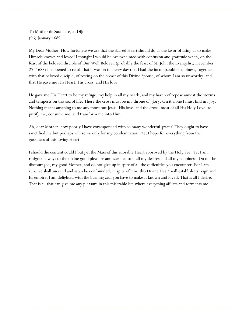To Mother de Saumaise, at Dijon (96) January 1689.

My Dear Mother, How fortunate we are that the Sacred Heart should do us the favor of using us to make Himself known and loved! I thought I would be overwhelmed with confusion and gratitude when, on the feast of the beloved disciple of Our Well Beloved (probably the feast of St. John the Evangelist, December 27, 1688) I happened to recall that it was on this very day that I had the incomparable happiness, together with that beloved disciple, of resting on the breast of this Divine Spouse, of whom I am so unworthy, and that He gave me His Heart, His cross, and His love.

He gave me His Heart to be my refuge, my help in all my needs, and my haven of repose amidst the storms and tempests on this sea of life. There the cross must be my throne of glory. On it alone I must find my joy. Nothing means anything to me any more but Jesus, His love, and the cross- most of all His Holy Love, to purify me, consume me, and transform me into Him.

Ah, dear Mother, how poorly I have corresponded with so many wonderful graces! They ought to have sanctified me but perhaps will serve only for my condemnation. Yet I hope for everything from the goodness of this loving Heart.

I should die content could I but get the Mass of this adorable Heart approved by the Holy See. Yet I am resigned always to the divine good pleasure and sacrifice to it all my desires and all my happiness. Do not be discouraged, my good Mother, and do not give up in spite of all the difficulties you encounter. For I am sure we shall succeed and satan be confounded. In spite of him, this Divine Heart will establish Its reign and Its empire. I am delighted with the burning zeal you have to make It known and loved. That is all I desire. That is all that can give me any pleasure in this miserable life where everything afflicts and torments me.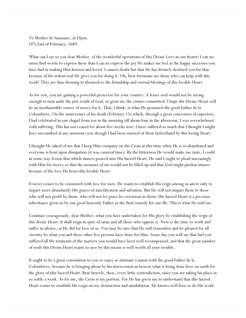To Mother de Saumaise, at Dijon. (97) End of February, 1689.

What can I say to you dear Mother, of the wonderful operations of this Divine Love in our hearts? I can no more find words to express these than I can to express the joy He makes me feel at the happy successes you have had in making Him known and loved. I cannot doubt but that He has divinely destined you for that because of the ardent zeal He gives you for doing it. Oh, how fortunate are those who can help with this work! They are thus drawing to themselves the friendship and eternal blessings of this lovable Heart.

As for you, you are gaining a powerful protector for your country. A lesser soul would not be strong enough to turn aside the just wrath of God, so great are the crimes committed. I hope the Divine Heart will be an inexhaustible source of mercy for it. That, I think, is what He promised the good Father de la Colombiere. On the anniversary of his death (February 15) which, through a great concession of superiors, I had celebrated in our chapel from ten in the morning till about four in the afternoon, I was overwhelmed with suffering. This has not ceased for about five weeks now: I have suffered so much that I thought I might have succumbed at any moment even though I had been warned of them beforehand by this loving Heart.

I thought He asked of me that I keep Him company on the Cross at this time when He is so abandoned and everyone is bent upon dissipation (it was carnival time). By the bitterness He would make me taste, I could in some way lesson that which sinners poured into His Sacred Heart. He said I ought to plead unceasingly with Him for mercy so that the measure of sin would not be filled up and that God might pardon sinners because of the love He bears this lovable Heart.

It never ceases to be consumed with love for men. He wants to establish His reign among us anew only to impart more abundantly His graces of sanctification and salvation. But He will not impart them to those who will not profit by them, who will not let grace be victorious in them. His Sacred Heart is a precious inheritance given us by our good heavenly Father as the final remedy for our ills. This is what He told me.

Continue courageously, dear Mother, what you have undertaken for His glory by establishing the reign of this divine Heart. It shall reign in spite of satan and all those who oppose it. Now is the time to work and suffer in silence, as He did for love of us. You may be sure that He will remember and be pleased for all eternity by what you and these other five persons have done for Him. Some day you will say that had you suffered all the torments of the martyrs you would have been well recompensed, and that the great number of souls this Divine Heart wants to save by this means is well worth all your trouble.

It ought to be a great consolation to you to enjoy so intimate a union with the good Father de la Colombiere, because he is bringing about by his intercession in heaven what is being done here on earth for the glory of this Sacred Heart. Bear bravely, then, every little contradiction, since you are taking his place in so noble a work. As for me, the Cross is my portion. For He has given me to understand that this Sacred Heart wants to establish His reign on my destruction and annihilation. He knows well how to do His work.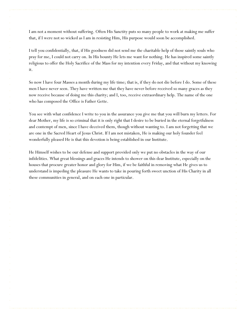I am not a moment without suffering. Often His Sanctity puts so many people to work at making me suffer that, if I were not so wicked as I am in resisting Him, His purpose would soon be accomplished.

I tell you confidentially, that, if His goodness did not send me the charitable help of those saintly souls who pray for me, I could not carry on. In His bounty He lets me want for nothing. He has inspired some saintly religious to offer the Holy Sacrifice of the Mass for my intention every Friday, and that without my knowing it.

So now I have four Masses a month during my life time; that is, if they do not die before I do. Some of these men I have never seen. They have written me that they have never before received so many graces as they now receive because of doing me this charity; and I, too, receive extraordinary help. The name of the one who has composed the Office is Father Gette.

You see with what confidence I write to you in the assurance you give me that you will burn my letters. For dear Mother, my life is so criminal that it is only right that I desire to be buried in the eternal forgetfulness and contempt of men, since I have deceived them, though without wanting to. I am not forgetting that we are one in the Sacred Heart of Jesus Christ. If I am not mistaken, He is making our holy founder feel wonderfully pleased He is that this devotion is being established in our Institute.

He Himself wishes to be our defense and support provided only we put no obstacles in the way of our infidelities. What great blessings and graces He intends to shower on this dear Institute, especially on the houses that procure greater honor and glory for Him, if we be faithful in removing what He gives us to understand is impeding the pleasure He wants to take in pouring forth sweet unction of His Charity in all these communities in general, and on each one in particular.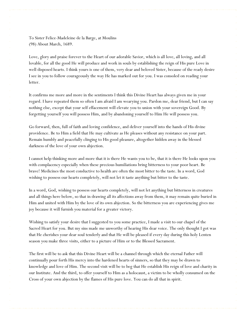To Sister Felice-Madeleine de la Barge, at Moulins (98) About March, 1689.

Love, glory and praise forever to the Heart of our adorable Savior, which is all love, all loving, and all lovable, for all the good He will produce and work in souls by establishing the reign of His pure Love in well disposed hearts. I think yours is one of them, very dear and beloved Sister, because of the ready desire I see in you to follow courageously the way He has marked out for you. I was consoled on reading your letter.

It confirms me more and more in the sentiments I think this Divine Heart has always given me in your regard. I have repeated them so often I am afraid I am wearying you. Pardon me, dear friend, but I can say nothing else, except that your self effacement will elevate you to union with your sovereign Good. By forgetting yourself you will possess Him, and by abandoning yourself to Him He will possess you.

Go forward, then, full of faith and loving confidence, and deliver yourself into the hands of His divine providence. Be to Him a field that He may cultivate as He pleases without any resistance on your part. Remain humbly and peacefully clinging to His good pleasure, altogether hidden away in the blessed darkness of the love of your own abjection.

I cannot help thinking more and more that it is there He wants you to be, that it is there He looks upon you with complacency especially when these precious humiliations bring bitterness to your poor heart. Be brave! Medicines the most conductive to health are often the most bitter to the taste. In a word, God wishing to possess our hearts completely, will not let it taste anything but bitter to the taste.

In a word, God, wishing to possess our hearts completely, will not let anything but bitterness in creatures and all things here below, so that in drawing all its affections away from them, it may remain quite buried in Him and united with Him by the love of its own abjection. So the bitterness you are experiencing gives me joy because it will furnish you material for a greater victory.

Wishing to satisfy your desire that I suggested to you some practice, I made a visit to our chapel of the Sacred Heart for you. But my sins made me unworthy of hearing His dear voice. The only thought I got was that He cherishes your dear soul tenderly and that He will be pleased if every day during this holy Lenten season you make three visits, either to a picture of Him or to the Blessed Sacrament.

The first will be to ask that this Divine Heart will be a channel through which the eternal Father will continually pour forth His mercy into the hardened hearts of sinners, so that they may be drawn to knowledge and love of Him. The second visit will be to beg that He establish His reign of love and charity in our Institute. And the third, to offer yourself to Him as a holocaust, a victim to be wholly consumed on the Cross of your own abjection by the flames of His pure love. You can do all that in spirit.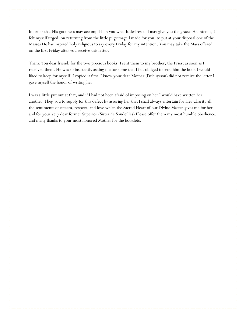In order that His goodness may accomplish in you what It desires and may give you the graces He intends, I felt myself urged, on returning from the little pilgrimage I made for you, to put at your disposal one of the Masses He has inspired holy religious to say every Friday for my intention. You may take the Mass offered on the first Friday after you receive this letter.

Thank You dear friend, for the two precious books. I sent them to my brother, the Priest as soon as I received them. He was so insistently asking me for some that I felt obliged to send him the book I would liked to keep for myself. I copied it first. I knew your dear Mother (Dubuysson) did not receive the letter I gave myself the honor of writing her.

I was a little put out at that, and if I had not been afraid of imposing on her I would have written her another. I beg you to supply for this defect by assuring her that I shall always entertain for Her Charity all the sentiments of esteem, respect, and love which the Sacred Heart of our Divine Master gives me for her and for your very dear former Superior (Sister de Soudeilles) Please offer them my most humble obedience, and many thanks to your most honored Mother for the booklets.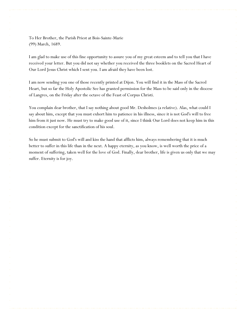To Her Brother, the Parish Priest at Bois-Sainte-Marie (99) March, 1689.

I am glad to make use of this fine opportunity to assure you of my great esteem and to tell you that I have received your letter. But you did not say whether you received the three booklets on the Sacred Heart of Our Lord Jesus Christ which I sent you. I am afraid they have been lost.

I am now sending you one of those recently printed at Dijon. You will find it in the Mass of the Sacred Heart, but so far the Holy Apostolic See has granted permission for the Mass to be said only in the diocese of Langres, on the Friday after the octave of the Feast of Corpus Christi.

You complain dear brother, that I say nothing about good Mr. Desholmes (a relative). Alas, what could I say about him, except that you must exhort him to patience in his illness, since it is not God's will to free him from it just now. He must try to make good use of it, since I think Our Lord does not keep him in this condition except for the sanctification of his soul.

So he must submit to God's will and kiss the hand that afflicts him, always remembering that it is much better to suffer in this life than in the next. A happy eternity, as you know, is well worth the price of a moment of suffering, taken well for the love of God. Finally, dear brother, life is given us only that we may suffer. Eternity is for joy.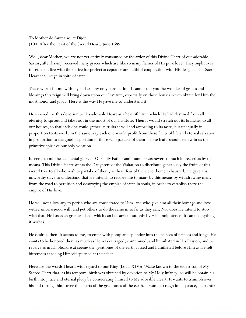To Mother de Saumaise, at Dijon (100) After the Feast of the Sacred Heart. June 1689

Well, dear Mother, we are not yet entirely consumed by the ardor of this Divine Heart of our adorable Savior, after having received many graces which are like so many flames of His pure love. They ought ever to set us on fire with the desire for perfect acceptance and faithful cooperation with His designs. This Sacred Heart shall reign in spite of satan.

These words fill me with joy and are my only consolation. I cannot tell you the wonderful graces and blessings this reign will bring down upon our Institute, especially on those houses which obtain for Him the most honor and glory. Here is the way He gave me to understand it.

He showed me this devotion to His adorable Heart as a beautiful tree which He had destined from all eternity to sprout and take root in the midst of our Institute. Then it would stretch out its branches to all our houses, so that each one could gather its fruits at will and according to its taste, but unequally in proportion to its work. In the same way each one would profit from these fruits of life and eternal salvation in proportion to the good disposition of those who partake of them. These fruits should renew in us the primitive spirit of our holy vocation.

It seems to me the accidental glory of Our holy Father and founder was never so much increased as by this means. This Divine Heart wants the Daughters of the Visitation to distribute generously the fruits of this sacred tree to all who wish to partake of them, without fear of their ever being exhausted. He gave His unworthy slave to understand that He intends to restore life to many by this means by withdrawing many from the road to perdition and destroying the empire of satan in souls, in order to establish there the empire of His love.

He will not allow any to perish who are consecrated to Him, and who give him all their homage and love with a sincere good will, and get others to do the same in so far as they can. Nor does He intend to stop with that. He has even greater plans, which can be carried out only by His omnipotence. It can do anything it wishes.

He desires, then, it seems to me, to enter with pomp and splendor into the palaces of princes and kings. He wants to be honored there as much as He was outraged, contemned, and humiliated in His Passion, and to receive as much pleasure at seeing the great ones of the earth abased and humiliated before Him as He felt bitterness at seeing Himself spurned at their feet.

Here are the words I heard with regard to our King (Louis X1V): "Make known to the eldest son of My Sacred Heart that, as his temporal birth was obtained by devotion to My Holy Infancy, so will he obtain his birth into grace and eternal glory by consecrating himself to My adorable Heart. It wants to triumph over his and through him, over the hearts of the great ones of the earth. It wants to reign in his palace, be painted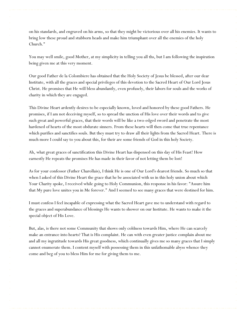on his standards, and engraved on his arms, so that they might be victorious over all his enemies. It wants to bring low these proud and stubborn heads and make him triumphant over all the enemies of the holy Church."

You may well smile, good Mother, at my simplicity in telling you all ths, but I am following the inspiration being given me at this very moment.

Our good Father de la Colombiere has obtained that the Holy Society of Jesus be blessed, after our dear Institute, with all the graces and special privileges of this devotion to the Sacred Heart of Our Lord Jesus Christ. He promises that He will bless abundantly, even profusely, their labors for souls and the works of charity in which they are engaged.

This Divine Heart ardently desires to be especially known, loved and honored by these good Fathers. He promises, if I am not deceiving myself, so to spread the unction of His love over their words and to give such great and powerful graces, that their words will be like a two-edged sword and penetrate the most hardened of hearts of the most obdurate sinners. From these hearts will then come that true repentance which purifies and sanctifies souls. But they must try to draw all their lights from the Sacred Heart. There is much more I could say to you about this, for their are some friends of God in this holy Society.

Ah, what great graces of sanctification this Divine Heart has dispensed on this day of His Feast! How earnestly He repeats the promises He has made in their favor of not letting them be lost!

As for your confessor (Father Charollais), I think He is one of Our Lord's dearest friends. So much so that when I asked of this Divine Heart the grace that he be associated with us in this holy union about which Your Charity spoke, I received while going to Holy Communion, this response in his favor: "Assure him that My pure love unites you in Me forever." And I seemed to see many graces that were destined for him.

I must confess I feel incapable of expressing what the Sacred Heart gave me to understand with regard to the graces and superabundance of blessings He wants to shower on our Institute. He wants to make it the special object of His Love.

But, alas, is there not some Community that shows only coldness towards Him, where He can scarcely make an entrance into hearts? That is His complaint. He can with even greater justice complain about me and all my ingratitude towards His great goodness, which continually gives me so many graces that I simply cannot enumerate them. I content myself with possessing them in this unfathomable abyss whence they come and beg of you to bless Him for me for giving them to me.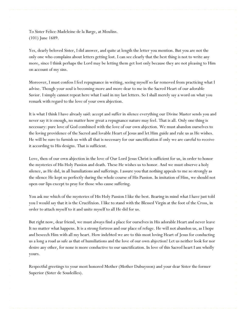To Sister Felice-Madeleine de la Barge, at Moulins. (101) June 1689.

Yes, dearly beloved Sister, I did answer, and quite at length the letter you mention. But you are not the only one who complains about letters getting lost. I can see clearly that the best thing is not to write any more, since I think perhaps the Lord may be letting them get lost only because they are not pleasing to Him on account of my sins.

Moreover, I must confess I feel repugnance in writing, seeing myself so far removed from practicing what I advise. Though your soul is becoming more and more dear to me in the Sacred Heart of our adorable Savior. I simply cannot repeat here what I said in my last letters. So I shall merely say a word on what you remark with regard to the love of your own abjection.

It is what I think I have already said: accept and suffer in silence everything our Divine Master sends you and never say it is enough, no matter how great a repugnance nature may feel. That is all. Only one thing is necessary: pure love of God combined with the love of our own abjection. We must abandon ourselves to the loving providence of the Sacred and lovable Heart of Jesus and let Him guide and rule us as He wishes. He will be sure to furnish us with all that is necessary for our sanctification if only we are careful to receive it according to His designs. That is sufficient.

Love, then of our own abjection in the love of Our Lord Jesus Christ is sufficient for us, in order to honor the mysteries of His Holy Passion and death. These He wishes us to honor. And we must observe a holy silence, as He did, in all humiliations and sufferings. I assure you that nothing appeals to me so strongly as the silence He kept so perfectly during the whole course of His Passion. In imitation of Him, we should not open our lips except to pray for those who cause suffering.

You ask me which of the mysteries of His Holy Passion I like the best. Bearing in mind what I have just told you I would say that it is the Crucifixion. I like to stand with the Blessed Virgin at the foot of the Cross, in order to attach myself to it and unite myself to all He did for us.

But right now, dear friend, we must always find a place for ourselves in His adorable Heart and never leave It no matter what happens. It is a strong fortress and our place of refuge. He will not abandon us, as I hope and beseech Him with all my heart. How indebted we are to this most loving Heart of Jesus for conducting us a long a road as safe as that of humiliations and the love of our own abjection! Let us neither look for nor desire any other, for none is more conductive to our sanctification. In love of this Sacred heart I am wholly yours.

Respectful greetings to your most honored Mother (Mother Dubuysson) and your dear Sister the former Superior (Sister de Soudeilles).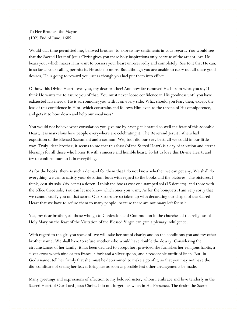To Her Brother, the Mayor (102) End of June, 1689

Would that time permitted me, beloved brother, to express my sentiments in your regard. You would see that the Sacred Heart of Jesus Christ gives you these holy inspirations only because of the ardent love He bears you, which makes Him want to possess your heart unreservedly and completely. See to it that He can, in so far as your calling permits it. He asks no more. But although you are unable to carry out all these good desires, He is going to reward you just as though you had put them into effect.

O, how this Divine Heart loves you, my dear brother! And how far removed He is from what you say! I think He wants me to assure you of that. You must never loose confidence in His goodness until you have exhausted His mercy. He is surrounding you with it on every side. What should you fear, then, except the loss of this confidence in Him, which constrains and follows Him even to the throne of His omnipotence, and gets it to bow down and help our weakness?

You would not believe what consolation you give me by having celebrated so well the feast of this adorable Heart. It is marvelous how people everywhere are celebrating it. The Reverend Jesuit Fathers had exposition of the Blessed Sacrament and a sermon. We, too, did our very best, all we could in our little way. Truly, dear brother, it seems to me that this feast (of the Sacred Heart) is a day of salvation and eternal blessings for all those who honor It with a sincere and humble heart. So let us love this Divine Heart, and try to conform ours to It in everything.

As for the books, there is such a demand for them that I do not know whether we can get any. We shall do everything we can to satisfy your devotion, both with regard to the books and the pictures. The pictures, I think, cost six sols. (six cents) a dozen. I think the books cost one stamped sol (15 deniers), and those with the office three sols. You can let me know which ones you want. As for the bouquets, I am very sorry that we cannot satisfy you on that score. Our Sisters are so taken up with decorating our chapel of the Sacred Heart that we have to refuse them to many people, because there are not many left for sale.

Yes, my dear brother, all those who go to Confession and Communion in the churches of the religious of Holy Mary on the feast of the Visitation of the Blessed Virgin can gain a plenary indulgence.

With regard to the girl you speak of, we will take her out of charity and on the conditions you and my other brother name. We shall have to refuse another who would have double the dowry. Considering the circumstances of her family, it has been decided to accept her, provided she furnishes her religious habits, a silver cross worth nine or ten francs, a fork and a silver spoon, and a reasonable outfit of linen. But, in God's name, tell her firmly that she must be determined to make a go of it, so that you may not have the dis- comfiture of seeing her leave. Bring her as soon as possible lest other arrangements be made.

Many greetings and expressions of affection to my beloved sister, whom I embrace and love tenderly in the Sacred Heart of Our Lord Jesus Christ. I do not forget her when in His Presence. The desire the Sacred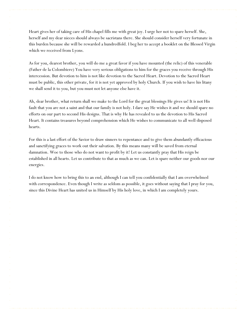Heart gives her of taking care of His chapel fills me with great joy. I urge her not to spare herself. She, herself and my dear nieces should always be sacristans there. She should consider herself very fortunate in this burden because she will be rewarded a hundredfold. I beg her to accept a booklet on the Blessed Virgin which we received from Lyons.

As for you, dearest brother, you will do me a great favor if you have mounted (the relic) of this venerable (Father de la Colombiere) You have very serious obligations to him for the graces you receive through His intercession. But devotion to him is not like devotion to the Sacred Heart. Devotion to the Sacred Heart must be public, this other private, for it is not yet approved by holy Church. If you wish to have his litany we shall send it to you, but you must not let anyone else have it.

Ah, dear brother, what return shall we make to the Lord for the great blessings He gives us! It is not His fault that you are not a saint and that our family is not holy. I dare say He wishes it and we should spare no efforts on our part to second His designs. That is why He has revealed to us the devotion to His Sacred Heart. It contains treasures beyond comprehension which He wishes to communicate to all well disposed hearts.

For this is a last effort of the Savior to draw sinners to repentance and to give them abundantly efficacious and sanctifying graces to work out their salvation. By this means many will be saved from eternal damnation. Woe to those who do not want to profit by it! Let us constantly pray that His reign be established in all hearts. Let us contribute to that as much as we can. Let is spare neither our goods nor our energies.

I do not know how to bring this to an end, although I can tell you confidentially that I am overwhelmed with correspondence. Even though I write as seldom as possible, it goes without saying that I pray for you, since this Divine Heart has united us in Himself by His holy love, in which I am completely yours.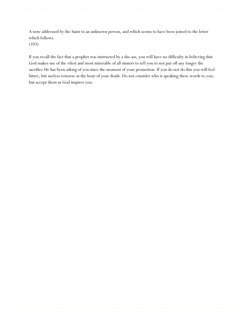A note addressed by the Saint to an unknown person, and which seems to have been joined to the letter which follows.

(103)

If you recall the fact that a prophet was instructed by a she-ass, you will have no difficulty in believing that God makes use of the vilest and most miserable of all sinners to tell you to not put off any longer the sacrifice He has been asking of you since the moment of your promotion. If you do not do this you will feel bitter, but useless remorse at the hour of your death. Do not consider who is speaking these words to you, but accept them as God inspires you.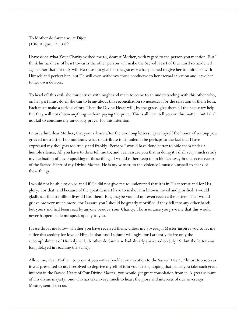To Mother de Saumaise, at Dijon (104) August 12, 1689

I have done what Your Charity wished me to, dearest Mother, with regard to the person you mention. But I think his hardness of heart towards the other person will make the Sacred Heart of Our Lord so hardened against her that not only will He refuse to give her the graces He has planned to give her to unite her with Himself and perfect her, but He will even withdraw those conducive to her eternal salvation and leave her to her own devices.

To head off this evil, she must strive with might and main to come to an understanding with this other who, on her part must do all she can to bring about this reconciliation so necessary for the salvation of them both. Each must make a serious effort. Then the Divine Heart will, by the grace, give them all the necessary help. But they will not obtain anything without paying the price. This is all I can tell you on this matter, but I shall not fail to continue my unworthy prayer for this intention.

I must admit dear Mother, that your silence after the two long letters I gave myself the honor of writing you grieved me a little. I do not know what to attribute to it, unless it be perhaps to the fact that I have expressed my thoughts too freely and frankly. Perhaps I would have done better to hide them under a humble silence. All you have to do is tell me to, and I can assure you that in doing it I shall very much satisfy my inclination of never speaking of these things. I would rather keep them hidden away in the secret recess of the Sacred Heart of my Divine Master. He is my witness to the violence I must do myself to speak of these things.

I would not be able to do so at all if He did not give me to understand that it is in His interest and for His glory. For that, and because of the great desire I have to make Him known, loved and glorified, I would gladly sacrifice a million lives if I had them. But, maybe you did not even receive the letters. That would grieve me very much more, for I assure you I should be greatly mortified if they fell into any other hands but yours and had been read by anyone besides Your Charity. The assurance you gave me that this would never happen made me speak openly to you.

Please do let me know whether you have received them, unless my Sovereign Master inspires you to let me suffer this anxiety for love of Him. In that case I submit willingly, for I ardently desire only the accomplishment of His holy will. (Mother de Saumaise had already answered on July 19, but the letter was long delayed in reaching the Saint).

Allow me, dear Mother, to present you with a booklet on devotion to the Sacred Heart. Almost too soon as it was presented to us, I resolved to deprive myself of it in your favor, hoping that, since you take such great interest in the Sacred Heart of Our Divine Master, you would get great consolation from it. A great servant of His divine majesty, one who has taken very much to heart the glory and interests of our sovereign Master, sent it too us.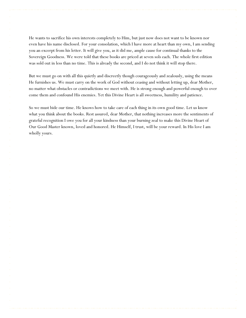He wants to sacrifice his own interests completely to Him, but just now does not want to be known nor even have his name disclosed. For your consolation, which I have more at heart than my own, I am sending you an excerpt from his letter. It will give you, as it did me, ample cause for continual thanks to the Sovereign Goodness. We were told that these books are priced at seven sols each. The whole first edition was sold out in less than no time. This is already the second, and I do not think it will stop there.

But we must go on with all this quietly and discreetly though courageously and zealously, using the means He furnishes us. We must carry on the work of God without ceasing and without letting up, dear Mother, no matter what obstacles or contradictions we meet with. He is strong enough and powerful enough to over come them and confound His enemies. Yet this Divine Heart is all sweetness, humility and patience.

So we must bide our time. He knows how to take care of each thing in its own good time. Let us know what you think about the books. Rest assured, dear Mother, that nothing increases more the sentiments of grateful recognition I owe you for all your kindness than your burning zeal to make this Divine Heart of Our Good Master known, loved and honored. He Himself, I trust, will be your reward. In His love I am wholly yours.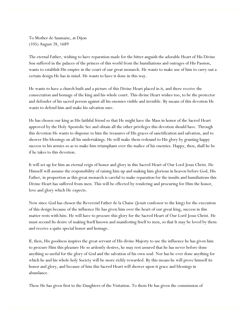To Mother de Saumaise, at Dijon (105) August 28, 1689

The eternal Father, wishing to have reparation made for the bitter anguish the adorable Heart of His Divine Son suffered in the palaces of the princes of this world from the humiliations and outrages of His Passion, wants to establish His empire in the court of our great monarch. He wants to make use of him to carry out a certain design He has in mind. He wants to have it done in this way.

He wants to have a church built and a picture of this Divine Heart placed in it, and there receive the consecration and homage of the king and his whole court. This divine Heart wishes too, to be the protector and defender of his sacred person against all his enemies visible and invisible. By means of this devotion He wants to defend him and make his salvation sure.

He has chosen our king as His faithful friend so that He might have the Mass in honor of the Sacred Heart approved by the Holy Apostolic See and obtain all the other privileges this devotion should have. Through this devotion He wants to dispense to him the treasures of His graces of sanctification and salvation, and to shower His blessings on all his undertakings. He will make them redound to His glory by granting happy success to his armies so as to make him triumphant over the malice of his enemies. Happy, then, shall he be if he takes to this devotion.

It will set up for him an eternal reign of honor and glory in this Sacred Heart of Our Lord Jesus Christ. He Himself will assume the responsibility of raising him up and making him glorious in heaven before God, His Father, in proportion as this great monarch is careful to make reparation for the insults and humiliations this Divine Heart has suffered from men. This will be effected by rendering and procuring for Him the honor, love and glory which He expects.

Now since God has chosen the Reverend Father de la Chaise (Jesuit confessor to the king) for the execution of this design because of the influence He has given him over the heart of our great king, success in this matter rests with him. He will have to procure this glory for the Sacred Heart of Our Lord Jesus Christ. He must second Its desire of making Itself known and manifesting Itself to men, so that It may be loved by them and receive a quite special honor and homage.

If, then, His goodness inspires the great servant of His divine Majesty to use the influence he has given him to procure Him this pleasure He so ardently desires, he may rest assured that he has never before done anything so useful for the glory of God and the salvation of his own soul. Nor has he ever done anything for which he and his whole holy Society will be more richly rewarded. By this means he will prove himself its honor and glory, and because of him this Sacred Heart will shower upon it grace and blessings in abundance.

These He has given first to the Daughters of the Visitation. To them He has given the commission of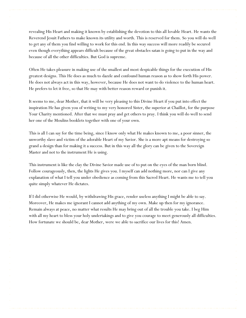revealing His Heart and making it known by establishing the devotion to this all lovable Heart. He wants the Reverend Jesuit Fathers to make known its utility and worth. This is reserved for them. So you will do well to get any of them you find willing to work for this end. In this way success will more readily be secured even though everything appears difficult because of the great obstacles satan is going to put in the way and because of all the other difficulties. But God is supreme.

Often He takes pleasure in making use of the smallest and most despicable things for the execution of His greatest designs. This He does as much to dazzle and confound human reason as to show forth His power. He does not always act in this way, however, because He does not want to do violence to the human heart. He prefers to let it free, so that He may with better reason reward or punish it.

It seems to me, dear Mother, that it will be very pleasing to this Divine Heart if you put into effect the inspiration He has given you of writing to my very honored Sister, the superior at Chaillot, for the purpose Your Charity mentioned. After that we must pray and get others to pray. I think you will do well to send her one of the Moulins booklets together with one of your own.

This is all I can say for the time being, since I know only what He makes known to me, a poor sinner, the unworthy slave and victim of the adorable Heart of my Savior. She is a more apt means for destroying so grand a design than for making it a success. But in this way all the glory can be given to the Sovereign Master and not to the instrument He is using.

This instrument is like the clay the Divine Savior made use of to put on the eyes of the man born blind. Follow courageously, then, the lights He gives you. I myself can add nothing more, nor can I give any explanation of what I tell you under obedience as coming from this Sacred Heart. He wants me to tell you quite simply whatever He dictates.

If I did otherwise He would, by withdrawing His grace, render useless anything I might be able to say. Moreover, He makes me ignorant I cannot add anything of my own. Make up then for my ignorance. Remain always at peace, no matter what results He may bring out of all the trouble you take. I beg Him with all my heart to bless your holy undertakings and to give you courage to meet generously all difficulties. How fortunate we should be, dear Mother, were we able to sacrifice our lives for this! Amen.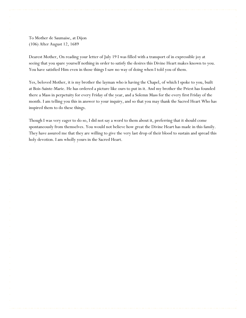To Mother de Saumaise, at Dijon (106) After August 12, 1689

Dearest Mother, On reading your letter of July 19 I was filled with a transport of in expressible joy at seeing that you spare yourself nothing in order to satisfy the desires this Divine Heart makes known to you. You have satisfied Him even in those things I saw no way of doing when I told you of them.

Yes, beloved Mother, it is my brother the layman who is having the Chapel, of which I spoke to you, built at Bois-Sainte-Marie. He has ordered a picture like ours to put in it. And my brother the Priest has founded there a Mass in perpetuity for every Friday of the year, and a Solemn Mass for the every first Friday of the month. I am telling you this in answer to your inquiry, and so that you may thank the Sacred Heart Who has inspired them to do these things.

Though I was very eager to do so, I did not say a word to them about it, preferring that it should come spontaneously from themselves. You would not believe how great the Divine Heart has made in this family. They have assured me that they are willing to give the very last drop of their blood to sustain and spread this holy devotion. I am wholly yours in the Sacred Heart.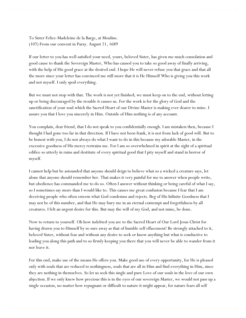To Sister Felice-Madeleine de la Barge, at Moulins. (107) From our convent in Paray. August 21, 1689

If our letter to you has well satisfied your need, yours, beloved Sister, has given me much consolation and good cause to thank the Sovereign Master, Who has caused you to take so good away of finally arriving, with the help of His good grace at the desired end. I hope He will never refuse you that grace and that all the more since your letter has convinced me still more that it is He Himself Who is giving you this work and not myself. I only spoil everything.

But we must not stop with that. The work is not yet finished; we must keep on to the end, without letting up or being discouraged by the trouble it causes us. For the work is for the glory of God and the sanctification of your soul which the Sacred Heart of our Divine Master is making ever dearer to mine. I assure you that I love you sincerely in Him. Outside of Him nothing is of any account.

You complain, dear friend, that I do not speak to you confidentially enough. I am mistaken then, because I thought I had gone too far in that direction. If I have not been frank, it is not from lack of good will. But to be honest with you, I do not always do what I want to do in this because my adorable Master, in the excessive goodness of His mercy restrains me. For I am so overwhelmed in spirit at the sight of a spiritual edifice so utterly in ruins and destitute of every spiritual good that I pity myself and stand in horror of myself.

I cannot help but be astounded that anyone should deign to believe what so a wicked a creature says, let alone that anyone should remember her. That makes it very painful for me to answer when people write, but obedience has commanded me to do so. Often I answer without thinking or being careful of what I say, so I sometimes say more than I would like to. This causes me great confusion because I fear that I am deceiving people who often esteem what God condemns and rejects. Beg of His Infinite Goodness that I may not be of this number, and that He may bury me in an eternal contempt and forgetfulness by all creatures. I felt an urgent desire for this. But may the will of my God, and not mine, be done.

Now to return to yourself. Oh how indebted you are to the Sacred Heart of Our Lord Jesus Christ for having drawn you to Himself by so sure away as that of humble self effacement! Be strongly attached to it, beloved Sister, without fear and without any desire to seek or know anything but what is conductive to leading you along this path and to so firmly keeping you there that you will never be able to wander from it nor leave it.

For this end, make use of the means He offers you. Make good use of every opportunity, for He is pleased only with souls that are reduced to nothingness, souls that are all in Him and find everything in Him, since they are nothing in themselves. So let us seek this single and pure Love of our souls in the love of our own abjection. If we only knew how precious this is in the eyes of our sovereign Master, we would not pass up a single occasion, no matter how repugnant or difficult to nature it might appear, for nature fears all self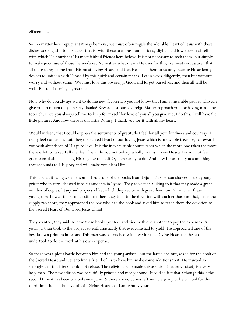## effacement.

So, no matter how repugnant it may be to us, we must often regale the adorable Heart of Jesus with these dishes so delightful to His taste, that is, with these precious humiliations, slights, and low esteem of self, with which He nourishes His most faithful friends here below. It is not necessary to seek them, but simply to make good use of those He sends us. No matter what means He uses for this, we must rest assured that all these things come from His most loving Heart, and that He sends them to us only because He ardently desires to unite us with Himself by this quick and certain means. Let us work diligently, then but without worry and without strain. We must love this Sovereign Good and forget ourselves, and then all will be well. But this is saying a great deal.

Now why do you always want to do me new favors? Do you not know that I am a miserable pauper who can give you in return only a hearty thanks? Beware lest our sovereign Master reproach you for having made me too rich, since you always tell me to keep for myself for love of you all you give me. I do this. I still have the little picture. And now there is this little Rosary. I thank you for it with all my heart.

Would indeed, that I could express the sentiments of gratitude I feel for all your kindness and courtesy. I really feel confusion. But I beg the Sacred Heart of our loving Jesus which is my whole treasure, to reward you with abundance of His pure love. It is the inexhaustible source from which the more one takes the more there is left to take. Tell me dear friend do you not belong wholly to this Divine Heart? Do you not feel great consolation at seeing His reign extended? O, I am sure you do! And now I must tell you something that redounds to His glory and will make you bless Him.

This is what it is. I gave a person in Lyons one of the books from Dijon. This person showed it to a young priest who in turn, showed it to his students in Lyons. They took such a liking to it that they made a great number of copies, litany and prayers a like, which they recite with great devotion. Now when these youngsters showed their copies still to others they took to the devotion with such enthusiasm that, since the supply ran short, they approached the one who had the book and asked him to teach them the devotion to the Sacred Heart of Our Lord Jesus Christ.

They wanted, they said, to have these books printed, and vied with one another to pay the expenses. A young artisan took to the project so enthusiastically that everyone had to yield. He approached one of the best known printers in Lyons. This man was so touched with love for this Divine Heart that he at once undertook to do the work at his own expense.

So there was a pious battle between him and the young artisan. But the latter one out, asked for the book on the Sacred Heart and went to find a friend of his to have him make some additions to it. He insisted so strongly that this friend could not refuse. The religious who made this addition (Father Croiset) is a very holy man. The new edition was beautifully printed and nicely bound. It sold so fast that although this is the second time it has been printed since June 19 there are no copies left and it is going to be printed for the third time. It is in the love of this Divine Heart that I am wholly yours.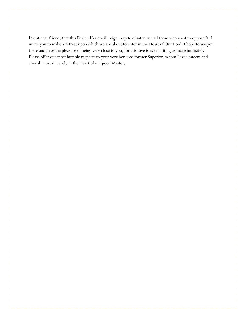I trust dear friend, that this Divine Heart will reign in spite of satan and all those who want to oppose It. I invite you to make a retreat upon which we are about to enter in the Heart of Our Lord. I hope to see you there and have the pleasure of being very close to you, for His love is ever uniting us more intimately. Please offer our most humble respects to your very honored former Superior, whom I ever esteem and cherish most sincerely in the Heart of our good Master.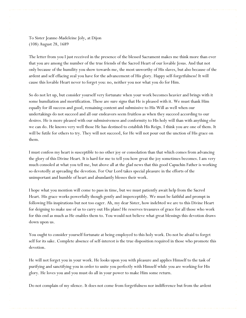To Sister Jeanne-Madeleine Joly, at Dijon (108) August 28, 1689

The letter from you I just received in the presence of the blessed Sacrament makes me think more than ever that you are among the number of the true friends of the Sacred Heart of our lovable Jesus. And that not only because of the humility you show towards me, the most unworthy of His slaves, but also because of the ardent and self effacing zeal you have for the advancement of His glory. Happy self-forgetfulness! It will cause this lovable Heart never to forget you: no, neither you nor what you do for Him.

So do not let up, but consider yourself very fortunate when your work becomes heavier and brings with it some humiliation and mortification. These are sure signs that He is pleased with it. We must thank Him equally for ill success and good, remaining content and submissive to His Will as well when our undertakings do not succeed and all our endeavors seem fruitless as when they succeed according to our desires. He is more pleased with our submissiveness and conformity to His holy will than with anything else we can do. He knows very well those He has destined to establish His Reign. I think you are one of them. It will be futile for others to try. They will not succeed, for He will not pour out the unction of His grace on them.

I must confess my heart is susceptible to no other joy or consolation than that which comes from advancing the glory of this Divine Heart. It is hard for me to tell you how great the joy sometimes becomes. I am very much consoled at what you tell me, but above all at the glad news that this good Capuchin Father is working so devotedly at spreading the devotion. For Our Lord takes special pleasure in the efforts of the unimportant and humble of heart and abundantly blesses their work.

I hope what you mention will come to pass in time, but we must patiently await help from the Sacred Heart. His grace works powerfully though gently and imperceptibly. We must be faithful and prompt in following His inspirations but not too eager. Ah, my dear Sister, how indebted we are to this Divine Heart for deigning to make use of us to carry out His plans! He reserves treasures of grace for all those who work for this end as much as He enables them to. You would not believe what great blessings this devotion draws down upon us.

You ought to consider yourself fortunate at being employed to this holy work. Do not be afraid to forget self for its sake. Complete absence of self-interest is the true disposition required in those who promote this devotion.

He will not forget you in your work. He looks upon you with pleasure and applies Himself to the task of purifying and sanctifying you in order to unite you perfectly with Himself while you are working for His glory. He loves you and you must do all in your power to make Him some return.

Do not complain of my silence. It does not come from forgetfulness nor indifference but from the ardent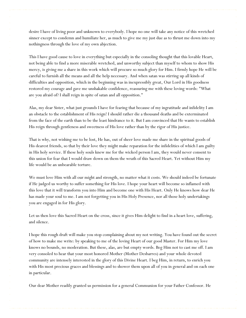desire I have of living poor and unknown to everybody. I hope no one will take any notice of this wretched sinner except to condemn and humiliate her, as much to give me my just due as to thrust me down into my nothingness through the love of my own abjection.

This I have good cause to love in everything but especially in the consoling thought that this lovable Heart, not being able to find a more miserable wretched, and unworthy subject than myself to whom to show His mercy, is giving me a share in this work which will procure so much glory for Him. I firmly hope He will be careful to furnish all the means and all the help necessary. And when satan was stirring up all kinds of difficulties and opposition, which in the beginning was in inexpressibly great, Our Lord in His goodness restored my courage and gave me unshakable confidence, reassuring me with these loving words: "What are you afraid of? I shall reign in spite of satan and all opposition."

Alas, my dear Sister, what just grounds I have for fearing that because of my ingratitude and infidelity I am an obstacle to the establishment of His reign! I should rather die a thousand deaths and be exterminated from the face of the earth than to be the least hindrance to it. But I am convinced that He wants to establish His reign through gentleness and sweetness of His love rather than by the rigor of His justice.

That is why, not wishing me to be lost, He has, out of sheer love made me share in the spiritual goods of His dearest friends, so that by their love they might make reparation for the infidelities of which I am guilty in His holy service. If these holy souls knew me for the wicked person I am, they would never consent to this union for fear that I would draw down on them the wrath of this Sacred Heart. Yet without Him my life would be an unbearable torture.

We must love Him with all our might and strength, no matter what it costs. We should indeed be fortunate if He judged us worthy to suffer something for His love. I hope your heart will become so inflamed with this love that it will transform you into Him and become one with His Heart. Only He knows how dear He has made your soul to me. I am not forgetting you in His Holy Presence, nor all those holy undertakings you are engaged in for His glory.

Let us then love this Sacred Heart on the cross, since it gives Him delight to find in a heart love, suffering, and silence.

I hope this rough draft will make you stop complaining about my not writing. You have found out the secret of how to make me write: by speaking to me of the loving Heart of our good Master. For Him my love knows no bounds, no moderation. But these, alas, are but empty words. Beg Him not to cast me off. I am very consoled to hear that your most honored Mother (Mother Desbarres) and your whole devoted community are intensely interested in the glory of this Divine Heart. I beg Him, in return, to enrich you with His most precious graces and blessings and to shower them upon all of you in general and on each one in particular.

Our dear Mother readily granted us permission for a general Communion for your Father Confessor. He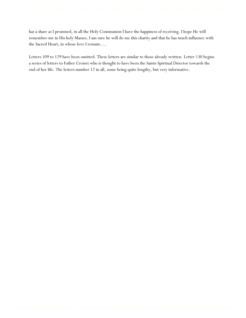has a share as I promised, in all the Holy Communion I have the happiness of receiving. I hope He will remember me in His holy Masses. I am sure he will do me this charity and that he has much influence with the Sacred Heart, in whose love I remain.....

Letters 109 to 129 have been omitted. These letters are similar to those already written. Letter 130 begins a series of letters to Father Croiset who is thought to have been the Saints Spiritual Director towards the end of her life. The letters number 12 in all, some being quite lengthy, but very informative.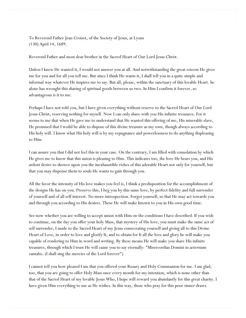To Reverend Father Jean Croiset, of the Society of Jesus, at Lyons (130) April 14, 1689.

Reverend Father and most dear brother in the Sacred Heart of Our Lord Jesus Christ.

Unless I knew He wanted it, I would not answer you at all. And notwithstanding the great esteem He gives me for you and for all you tell me. But since I think He wants it, I shall tell you in a quite simple and informal way whatever He inspires me to say. But all, please, within the sanctuary of this lovable Heart. he alone has wrought this sharing of spiritual goods between us two. In Him I confirm it forever, so advantageous is it to me.

Perhaps I have not told you, but I have given everything without reserve to the Sacred Heart of Our Lord Jesus Christ, reserving nothing for myself. Now I can only share with you His infinite treasures. For it seems to me that when He gave me to understand that He wanted this offering of me, His miserable slave, He promised that I woild be able to dispose of this divine treasure as my own, though always according to His holy will. I know what His holy will is by my repugnance and powerlessness to do anything displeasing to Him.

I can assure you that I did not feel this in your case. On the contrary, I am filled with consolation by which He gives me to know that this union is pleasing to Him. This indicates too, the love He bears you, and His ardent desire to shower upon you the inexhaustible riches of this adorable Heart not only for yourself, but that you may dispense them to souls He wants to gain through you.

All the favor the intensity of His love makes you feel is, I think a predisposition for the accomplishment of the designs He has on you. Preserve this, I beg you by this same love, by perfect fidelity and full surrender of yourself and of all self interest. No more introspection. Forget yourself, so that He may act towards you and through you according to His desires. These He will make known to you in His own good time.

See now whether you are willing to accept union with Him on the conditions I have described. If you wish to continue, on the day you offer your holy Mass, that mystery of His love, you must make the same act of self surrender, I made to the Sacred Heart of my Jesus consecrating yourself and giving all to this Divine Heart of Love, in order to love and glorify It, and to obtain for It all the love and glory he will make you capable of rendering to Him in word and writing. By these means He will make you share His infinite treasures, through which I trust He will cause you to say eternally: "Misercordias Domini in aeternum cantabo. (I shall sing the mercies of the Lord forever")

I cannot tell you how pleased I am that you offered your Rosary and Holy Communion for me. I am glad, too, that you are going to offer Holy Mass once every month for my intention, which is none other than that of the Sacred Heart of my lovable Jesus Who, I hope will reward you abundantly for this great charity. I have given Him everything to use as He wishes. In this way, those who pray for this poor sinner draws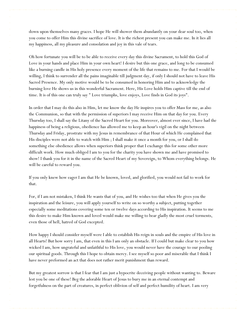down upon themselves many graces. I hope He will shower them abundantly on your dear soul too, when you come to offer Him this divine sacrifice of love. It is the richest present you can make me. In it lies all my happiness, all my pleasure and consolation and joy in this vale of tears.

Oh how fortunate you will be to be able to receive every day this divine Sacrament, to hold this God of Love in your hands and place Him in your own heart! I desire but this one grace, and long to be consumed like a burning candle in His holy presence every moment of the life that remains to me. For that I would be willing, I think to surrender all the pains imaginable till judgment day, if only I should not have to leave His Sacred Presence. My only motive would be to be consumed in honoring Him and to acknowledge the burning love He shows us in this wonderful Sacrament. Here, His Love holds Him captive till the end of time. It is of this one can truly say " Love triumphs, love enjoys, Love finds in God its joys".

In order that I may do this also in Him, let me know the day He inspires you to offer Mass for me, as also the Communion, so that with the permission of superiors I may receive Him on that day for you. Every Thursday too, I shall say the Litany of the Sacred Heart for you. Moreover, almost ever since, I have had the happiness of being a religious, obedience has allowed me to keep an hour's vigil on the night between Thursday and Friday, prostrate with my Jesus in remembrance of that Hour of which He complained that His disciples were not able to watch with Him ; I shall make it once a month for you, or I shall do something else obedience allows when superiors think proper that I exchange this for some other more difficult work. How much obliged I am to you for the charity you have shown me and have promised to show! I thank you for it in the name of the Sacred Heart of my Sovereign, to Whom everything belongs. He will be careful to reward you.

If you only knew how eager I am that He be known, loved, and glorified, you would not fail to work for that.

For, if I am not mistaken, I think He wants that of you, and He wishes too that when He gives you the inspiration and the leisure, you will apply yourself to write on so worthy a subject, putting together especially some meditations covering some ten or twelve days according to His inspiration. It seems to me this desire to make Him known and loved would make me willing to bear gladly the most cruel torments, even those of hell, hatred of God excepted.

How happy I should consider myself were I able to establish His reign in souls and the empire of His love in all Hearts! But how sorry I am, that even in this I am only an obstacle. If I could but make clear to you how wicked I am, how ungrateful and unfaithful to His love, you would never have the courage to our pooling our spiritual goods. Through this I hope to obtain mercy. I see myself so poor and miserable that I think I have never preformed an act that does not rather merit punishment than reward.

But my greatest sorrow is that I fear that I am just a hypocrite deceiving people without wanting to. Beware lest you be one of these! Beg the adorable Heart of Jesus to bury me in an eternal contempt and forgetfulness on the part of creatures, in perfect oblivion of self and perfect humility of heart. I am very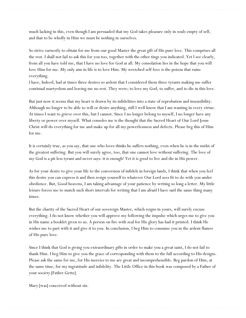much lacking in this, even though I am persuaded that my God takes pleasure only in souls empty of self, and that to be wholly in Him we must be nothing in ourselves.

So strive earnestly to obtain for me from our good Master the great gift of His pure love. This comprises all the rest. I shall not fail to ask this for you too, together with the other tings you indicated. Yet I see clearly, from all you have told me, that I have no love for God at all. My consolation lies in the hope that you will love Him for me. My only aim in life is to love Him. My wretched self-love is the poison that ruins everything.

I have, Indeed, had at times three desires so ardent that I considered them three tyrants making me suffer continual martyrdom and leaving me no rest. They were; to love my God, to suffer, and to die in this love.

But just now it seems that my heart is drawn by its infidelities into a state of reprobation and insensibility. Although no longer to be able to will or desire anything, still I well know that I am wanting in every virtue. At times I want to grieve over this, but I cannot. Since I no longer belong to myself, I no longer have any liberty or power over myself. What consoles me is the thought that the Sacred Heart of Our Lord Jesus Christ will do everything for me and make up for all my powerlessness and defects. Please beg this of Him for me.

It is certainly true, as you say, that one who loves thinks he suffers nothing, even when he is in the midst of the greatest suffering. But you will surely agree, too, that one cannot love without suffering. The love of my God is a pit less tyrant and never says: it is enough! Yet it is good to live and die in His power.

As for your desire to give your life to the conversion of infidels in foreign lands, I think that when you feel this desire you can express it and then resign yourself to whatever Our Lord sees fit to do with you under obedience. But, Good heavens, I am taking advantage of your patience by writing so long a letter. My little leisure forces me to snatch such short intervals for writing that I am afraid I have said the same thing many times.

But the charity of the Sacred Heart of our sovereign Master, which reigns in yours, will surely excuse everything. I do not know whether you will approve my following the impulse which urges me to give you in His name a booklet given to us. A person on fire with zeal for His glory has had it printed. I think He wishes me to part with it and give it to you. In conclusion, I beg Him to consume you in the ardent flames of His pure love.

Since I think that God is giving you extraordinary gifts in order to make you a great saint, I do not fail to thank Him. I beg Him to give you the grace of corresponding with them to the full according to His designs. Please ask the same for me, for His mercies to me are great and incomprehensible. Beg pardon of Him, at the same time, for my ingratitude and infidelity. The Little Office in this book was composed by a Father of your society [Father Gette].

Mary [was] conceived without sin.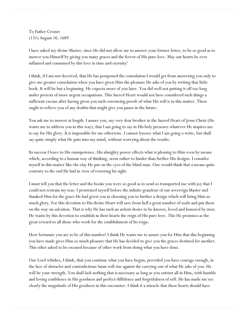To Father Croiset (131) August 10, 1689

I have asked my divine Master, since He did not allow me to answer your former letter, to be so good as to answer you Himself by giving you many graces and the fervor of His pure love. May our hearts be ever inflamed and consumed by this love in time and eternity!

I think, if I am not deceived, that He has postponed the consolation I would get from answering you only to give me greater consolation when you have given Him the pleasure He asks of you by writing that little book. It will be but a beginning. He expects more of you later. You did well not putting it off too long under pretext of more urgent occupations. This Sacred Heart would not have considered such things a sufficient excuse after having given you such convincing proofs of what His will is in this matter. These ought to relieve you of any doubts that might give you pause in the future.

You ask me to answer at length. I assure you, my very dear brother in the Sacred Heart of Jesus Christ (He wants me to address you in this way), that I am going to say in His holy presence whatever He inspires me to say for His glory. It is impossible for me otherwise. I cannot foresee what I am going o write, but shall say quite simply what He puts into my mind, without worrying about the results.

Its success I leave to His omnipotence. His almighty power effects what is pleasing to Him even by means which, according to a human way of thinking, seem rather to hinder than further His designs. I consider myself in this matter like rhe clay He put on the eyes of the blind man. One would think that a means quite contrary to the end He had in view of restoring his sight.

I must tell you that the letter and the books you were so good as to send so transported me with joy that I could not restrain my teas. I prostrated myself before the infinite grandeur of our sovereign Master and thanked Him for the grace He had given you in choosing you to further a design which will bring Him so much glory. For this devotion to His divine Heart will save from hell a great number of souls and put them on the way on salvation. That is why He has such an ardent desire to be known, loved and honored by men. He wants by this devotion to establish in their hearts the reign of His pure love. This He promises as the great reward to all those who work for the establishment of Its reign.

How fortunate you are to be of this number! I think He wants me to assure you for Him that this beginning you have made gives Him so much pleasure that He has decided to give you the graces destined for another. This other asked to be excused because of other work from doing what you have done.

Our Lord whishes, I think, that you continue what you have begun, provided you have courage enough, in the face of obstacles and contradictions Satan will rise against the carrying out of what He asks of you. He will be your strength. You shall lack nothing that is necessary as long as you entrust all in Him, with humble and loving confidence in His goodness and perfect diffidence and forgetfulness of self. He has made me see clearly the magnitude of His goodness in this encounter. I think it a miracle that these hearts should have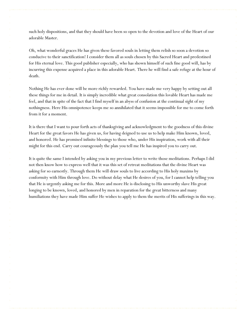such holy dispositions, and that they should have been so open to the devotion and love of the Heart of our adorable Master.

Oh, what wonderful graces He has given these favored souls in letting them relish so soon a devotion so conducive to their sanctification! I consider them all as souls chosen by this Sacred Heart and predestined for His eternal love. This good publisher especially, who has shown himself of such fine good will, has by incurring this expense acquired a place in this adorable Heart. There he will find a safe refuge at the hour of death.

Nothing He has ever done will be more richly rewarded. You have made me very happy by setting out all these things for me in detail. It is simply incredible what great consolation this lovable Heart has made me feel, and that in spite of the fact that I find myself in an abyss of confusion at the continual sight of my nothingness. Here His omnipotence keeps me so annihilated that it seems impossible for me to come forth from it for a moment.

It is there that I want to pour forth acts of thanksgiving and acknowledgment to the goodness of this divine Heart for the great favors He has given us, for having deigned to use us to help make Him known, loved, and honored. He has promised infinite blessings to those who, under His inspiration, work with all their might for this end. Carry out courageously the plan you tell me He has inspired you to carry out.

It is quite the same I intended by asking you in my previous letter to write those meditations. Perhaps I did not then know how to express well that it was this set of retreat meditations that the divine Heart was asking for so earnestly. Through them He will draw souls to live according to His holy maxims by conformity with Him through love. Do without delay what He desires of you, for I cannot help telling you that He is urgently asking me for this. More and more He is disclosing to His unworthy slave His great longing to be known, loved, and honored by men in reparation for the great bitterness and many humiliations they have made Him suffer He wishes to apply to them the merits of His sufferings in this way.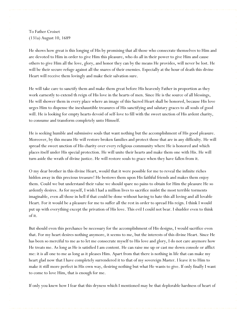To Father Croiset (131a) August 10, 1689

He shows how great is this longing of His by promising that all those who consecrate themselves to Him and are devoted to Him in order to give Him this pleasure, who do all in their power to give Him and cause others to give Him all the love, glory, and honor they can by the means He provides, will never be lost. He will be their secure refuge against all the snares of their enemies. Especially at the hour of death this divine Heart will receive them lovingly and make their salvation sure.

He will take care to sanctify them and make them great before His heavenly Father in proportion as they work earnestly to extend th reign of His love in the hearts of men. Since He is the source of all blessings, He will shower them in every place where an image of this Sacred Heart shall be honored, because His love urges Him to dispense the inexhaustible treasures of His sanctifying and salutary graces to all souls of good will. He is looking for empty hearts devoid of self-love to fill with the sweet unction of His ardent charity, to consume and transform completely unto Himself.

He is seeking humble and submissive souls that want nothing but the accomplishment of His good pleasure. Moreover, by this means He will restore broken families and protect those that are in any difficulty. He will spread the sweet unction of His charity over every religious community where He is honored and which places itself under His special protection. He will unite their hearts and make them one with His. He will turn aside the wrath of divine justice. He will restore souls to grace when they have fallen from it.

O my dear brother in this divine Heart, would that it were possible for me to reveal the infinite riches hidden away in this precious treasure! He bestows them upon His faithful friends and makes them enjoy them. Could we but understand their value we should spare no pains to obtain for Him the pleasure He so ardently desires. As for myself, I wish I had a million lives to sacrifice midst the most terrible torments imaginable, even all those in hell if that could be done without having to hate this all loving and all lovable Heart. For it would be a pleasure for me to suffer all the rest in order to spread His reign. I think I would put up with everything except the privation of His love. This evil I could not bear. I shudder even to think of it.

But should even this perchance be necessary for the accomplishment of His designs, I would sacrifice even that. For my heart desires nothing anymore, it seems to me, but the interests of this divine Heart. Since He has been so merciful to me as to let me consecrate myself to His love and glory, I do not care anymore how He treats me. As long as He is satisfied I am content. He can raise me up or cast me down console or afflict me: it is all one to me as long as it pleases Him. Apart from that there is nothing in life that can make my heart glad now that I have completely surrendered it to that of my sovereign Master. I leave it to Him to make it still more perfect in His own way, desiring nothing but what He wants to give. If only finally I want to come to love Him, that is enough for me.

If only you knew how I fear that this dryness which I mentioned may be that deplorable hardness of heart of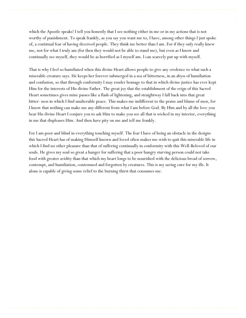which the Apostle speaks! I tell you honestly that I see nothing either in me or in my actions that is not worthy of punishment. To speak frankly, as you say you want me to, I have, among other things I just spoke of, a continual fear of having deceived people. They think me better than I am. For if they only really knew me, not for what I truly am (for then they would not be able to stand me), but even as I know and continually see myself, they would be as horrified as I myself am. I can scarcely put up with myself.

That is why I feel so humiliated when this divine Heart allows people to give any credence to what such a miserable creature says. He keeps her forever submerged in a sea of bitterness, in an abyss of humiliation and confusion, so that through conformity I may render homage to that in which divine justice has ever kept Him for the interests of His divine Father. The great joy that the establishment of the reign of this Sacred Heart sometimes gives mine passes like a flash of lightening, and straightway I fall back into that great bitter- ness in which I find unalterable peace. This makes me indifferent to the praise and blame of men, for I know that nothing can make me any different from what I am before God. By Him and by all the love you bear His divine Heart I conjure you to ask Him to make you see all that is wicked in my interior, everything in me that displeases Him. And then have pity on me and tell me frankly.

For I am poor and blind in everything touching myself. The fear I have of being an obstacle in the designs this Sacred Heart has of making Himself known and loved often makes me wish to quit this miserable life in which I find no other pleasure than that of suffering continually in conformity with this Well-Beloved of our souls. He gives my soul so great a hunger for suffering that a poor hungry starving person could not take food with greater avidity than that which my heart longs to be nourished with the delicious bread of sorrow, contempt, and humiliation, contemned and forgotten by creatures. This is my saving cure for my ills. It alone is capable of giving some relief to the burning thirst that consumes me.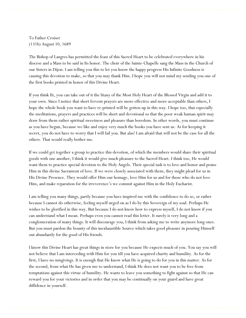To Father Croiset (131b) August 10, 1689

The Bishop of Langres has permitted the feast of this Sacred Heart to be celebrated everywhere in his diocese and a Mass to be said in Its honor. The choir of the Sainte-Chapelle sang the Mass in the Church of our Sisters in Dijon. I am telling you this to let you know the happy progress His Infinite Goodness is causing this devotion to make, so that you may thank Him. I hope you will not mind my sending you one of the first books printed in honor of this Divine Heart.

If you think fit, you can take out of it the litany of the Most Holy Heart of the Blessed Virgin and add it to your own. Since I notice that short fervent prayers are more effective and more acceptable than others, I hope the whole book you want to have re-printed will be gotten up in this way. I hope too, that especially the meditations, prayers and practices will be short and devotional so that the poor weak human spirit may draw from them rather spiritual sweetness and pleasure than boredom. In other words, you must continue as you have begun, because we like and enjoy very much the books you have sent us. As for keeping it secret, you do not have to worry that I will fail you. But alas! I am afraid that will not be the case for all the others. That would really bother me.

If we could get together a group to practice this devotion, of which the members would share their spiritual goods with one another, I think it would give much pleasure to the Sacred Heart. I think too, He would want them to practice special devotion to the Holy Angels. Their special task is to love and honor and praise Him in this divine Sacrament of love. If we were closely associated with them, they might plead for us in His Divine Presence. They would offer Him our homage, love Him for us and for those who do not love Him, and make reparation for the irreverence's we commit against Him in the Holy Eucharist.

I am telling you many things, partly because you have inspired me with the confidence to do so, or rather because I cannot do otherwise, feeling myself urged on as I do by this Sovereign of my soul. Perhaps He wishes to be glorified in this way. But because I do not know how to express myself, I do not know if you can understand what I mean. Perhaps even you cannot read this letter. It surely is very long and a conglomeration of many things. It will discourage you, I think from asking me to write anymore long ones. But you must pardon the bounty of this inexhaustible Source which takes good pleasure in pouring Himself out abundantly for the good of His friends.

I know this Divine Heart has great things in store for you because He expects much of you. You say you will not believe that I am interceding with Him for you till you have acquired charity and humility. As for the first, I have no misgivings. It is enough that He know what He is going to do for you in this matter. As for the second, from what He has given me to understand, I think He does not want you to be free from temptations against this virtue of humility. He wants to leave you something to fight against so that He can reward you for your victories and in order that you may be continually on your guard and have great diffidence in yourself.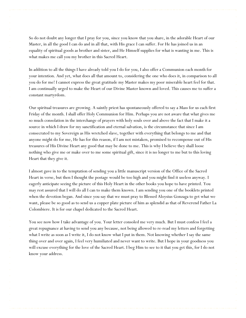So do not doubt any longer that I pray for you, since you know that you share, in the adorable Heart of our Master, in all the good I can do and in all that, with His grace I can suffer. For He has joined us in an equality of spiritual goods as brother and sister, and He Himself supplies for what is wanting in me. This is what makes me call you my brother in this Sacred Heart.

In addition to all the things I have already told you I do for you, I also offer a Communion each month for your intention. And yet, what does all that amount to, considering the one who does it, in comparison to all you do for me! I cannot express the great gratitude my Master makes my poor miserable heart feel for that. I am continually urged to make the Heart of our Divine Master known and loved. This causes me to suffer a constant martyrdom.

Our spiritual treasures are growing. A saintly priest has spontaneously offered to say a Mass for us each first Friday of the month. I shall offer Holy Communion for Him. Perhaps you are not aware that what gives me so much consolation in the interchange of prayers with holy souls over and above the fact that I make it a source in which I draw for my sanctification and eternal salvation, is the circumstance that since I am consecrated to my Sovereign as His wretched slave, together with everything that belongs to me and that anyone might do for me, He has for this reason, if I am not mistaken, promised to recompense out of His treasures of His Divine Heart any good that may be done to me. This is why I believe they shall loose nothing who give me or make over to me some spiritual gift, since it is no longer to me but to this loving Heart that they give it.

I almost gave in to the temptation of sending you a little manuscript version of the Office of the Sacred Heart in verse, but then I thought the postage would be too high and you might find it useless anyway. I eagerly anticipate seeing the picture of this Holy Heart in the other books you hope to have printed. You may rest assured that I will do all I can to make them known. I am sending you one of the booklets printed when the devotion began. And since you say that we must pray to Blessed Aloysius Gonzaga to get what we want, please be so good as to send us a copper plate picture of him as splendid as that of Reverend Father La Colombiere. It is for our chapel dedicated to the Sacred Heart.

You see now how I take advantage of you. Your letter consoled me very much. But I must confess I feel a great repugnance at having to send you any because, not being allowed to re-read my letters and forgetting what I write as soon as I write it, I do not know what I put in them. Not knowing whether I say the same thing over and over again, I feel very humiliated and never want to write. But I hope in your goodness you will excuse everything for the love of the Sacred Heart. I beg Him to see to it that you get this, for I do not know your address.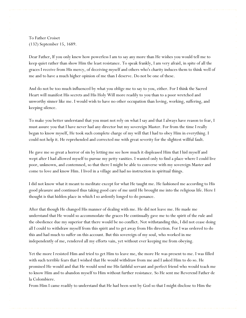To Father Croiset (132) September 15, 1689.

Dear Father, If you only knew how powerless I am to say any more than He wishes you would tell me to keep quiet rather than show Him the least resistance. To speak frankly, I am very afraid, in spite of all the graces I receive from His mercy, of deceiving myself and others who's charity induces them to think well of me and to have a much higher opinion of me than I deserve. Do not be one of these.

And do not be too much influenced by what you oblige me to say to you, either. For I think the Sacred Heart will manifest His secrets and His Holy Will more readily to you than to a poor wretched and unworthy sinner like me. I would wish to have no other occupation than loving, working, suffering, and keeping silence.

To make you better understand that you must not rely on what I say and that I always have reason to fear, I must assure you that I have never had any director but my sovereign Master. For from the time I really began to know myself, He took such complete charge of my will that I had to obey Him in everything. I could not help it. He reprehended and corrected me with great severity for the slightest willful fault.

He gave me so great a horror of sin by letting me see how much it displeased Him that I hid myself and wept after I had allowed myself to pursue my petty vanities. I wanted only to find a place where I could live poor, unknown, and contemned, so that there I might be able to converse with my sovereign Master and come to love and know Him. I lived in a village and had no instruction in spiritual things.

I did not know what it meant to meditate except for what He taught me. He fashioned me according to His good pleasure and continued thus taking good care of me until He brought me into the religious life. Here I thought is that hidden place in which I so ardently longed to do penance.

After that though He changed His manner of dealing with me. He did not leave me. He made me understand that He would so accommodate the graces He continually gave me to the spirit of the rule and the obedience due my superior that there would be no conflict. Not withstanding this, I did not cease doing all I could to withdraw myself from this spirit and to get away from His direction. For I was ordered to do this and had much to suffer on this account. But this sovereign of my soul, who worked in me independently of me, rendered all my efforts vain, yet without ever keeping me from obeying.

Yet the more I resisted Him and tried to get Him to leave me, the more He was present to me. I was filled with such terrible fears that I wished that He would withdraw from me and I asked Him to do so. He promised He would and that He would send me His faithful servant and perfect friend who would teach me to know Him and to abandon myself to Him without further resistance. So He sent me Reverend Father de la Colombiere.

From Him I came readily to understand that He had been sent by God so that I might disclose to Him the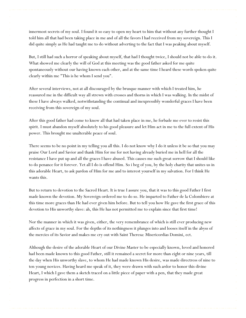innermost secrets of my soul. I found it so easy to open my heart to him that without any further thought I told him all that had been taking place in me and of all the favors I had received from my sovereign. This I did quite simply as He had taught me to do without adverting to the fact that I was peaking about myself.

But, I still had such a horror of speaking about myself, that had I thought twice, I should not be able to do it. What showed me clearly the will of God at this meeting was the good father asked for me quite spontaneously without our having known each other, and at the same time I heard these words spoken quite clearly within me "This is he whom I send you".

After several interviews, not at all discouraged by the brusque manner with which I treated him, he reassured me in the difficult way all strewn with crosses and thorns in which I was walking. In the midst of these I have always walked, notwithstanding the continual and inexpressibly wonderful graces I have been receiving from this sovereign of my soul.

After this good father had come to know all that had taken place in me, he forbade me ever to resist this spirit. I must abandon myself absolutely to his good pleasure and let Him act in me to the full extent of His power. This brought me unalterable peace of soul.

There seems to be no point in my telling you all this. I do not know why I do it unless it be so that you may praise Our Lord and Savior and thank Him for me for not having already buried me in hell for all the resistance I have put up and all the graces I have abused. This causes me such great sorrow that I should like to do penance for it forever. Yet all I do is offend Him. So i beg of you, by the holy charity that unites us in this adorable Heart, to ask pardon of Him for me and to interest yourself in my salvation. For I think He wants this.

But to return to devotion to the Sacred Heart. It is true I assure you, that it was to this good Father I first made known the devotion. My Sovereign ordered me to do so. He imparted to Father de la Colombiere at this time more graces than He had ever given him before. But to tell you how He gave the first grace of this devotion to His unworthy slave: ah, this He has not permitted me to explain since that first time!

Nor the manner in which it was given, either, the very remembrance of which is still ever producing new affects of grace in my soul. For the depths of its nothingness it plunges into and looses itself in the abyss of the mercies of its Savior and makes me cry out with Saint Theresa: Misericordias Domini, ect.

Although the desire of the adorable Heart of our Divine Master to be especially known, loved and honored had been made known to this good Father, still it remained a secret for more than eight or nine years, till the day when His unworthy slave, to whom He had made known His desire, was made directress of nine to ten young novices. Having heard me speak of it, they were drawn with such ardor to honor this divine Heart, I which I gave them a sketch traced on a little piece of paper with a pen, that they made great progress in perfection in a short time.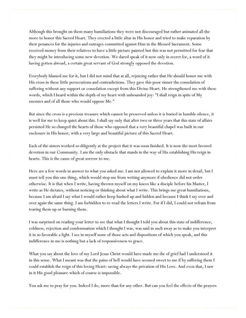Although this brought on them many humiliations they were not discouraged but rather animated all the more to honor this Sacred Heart. They erected a little altar in His honor and tried to make reparation by their penances for the injuries and outrages committed against Him in the Blessed Sacrament. Some received money from their relatives to have a little picture painted but this was not permitted for fear that they might be introducing some new devotion. We dared speak of it now only in secret for, a word of it having gotten abroad, a certain great servant of God strongly opposed the devotion.

Everybody blamed me for it, but I did not mind that at all, rejoicing rather that He should honor me with His cross in these little persecutions and contradictions. They gave this poor sinner the consolation of suffering without any support or consolation except from this Divine Heart. He strengthened me with these words, which I heard within the depth of my heart with unbounded joy: "I shall reign in spite of My enemies and of all those who would oppose Me."

But since the cross is a precious treasure which cannot be preserved unless it is buried in humble silence, it is well for me to keep quiet about this. I shall say only that after two or three years that this state of affairs persisted He so changed the hearts of those who opposed that a very beautiful chapel was built in our enclosure in His honor, with a very large and beautiful picture of this Sacred Heart.

Each of the sisters worked so diligently at the project that it was soon finished. It is now the most favored devotion in our Community. I am the only obstacle that stands in the way of His establishing His reign in hearts. This is the cause of great sorrow to me.

Here are a few words in answer to what you asked me. I am not allowed to explain it more in detail, but I must tell you this one thing, which would stop me from writing anymore if obedience did not order otherwise. It is that when I write, having thrown myself on my knees like a disciple before his Master, I write as He dictates, without noticing or thinking about what I write. This brings me great humiliations, because I am afraid I say what I would rather keep hushed up and hidden and because I think I say over and over again the same thing. I am forbidden to re-read the letters I write. For if I did, I could not refrain from tearing them up or burning them.

I was surprised on reading your letter to see that what I thought I told you about this state of indifference, coldness, rejection and condemnation which I thought I was, was said in such away as to make you interpret it in so favorable a light. I see in myself none of those acts and dispositions of which you speak, and this indifference in me is nothing but a lack of responsiveness to grace.

What you say about the love of my Lord Jesus Christ would have made me die of grief had I understood it in this sense. What I meant was that the pains of hell would have seemed sweet to me if by suffering them I could establish the reign of this loving Heart: saving always the privation of His Love. And even that, I saw in it His good pleasure-which of course is impossible.

You ask me to pray for you. Indeed I do, more than for any other. But can you feel the effects of the prayers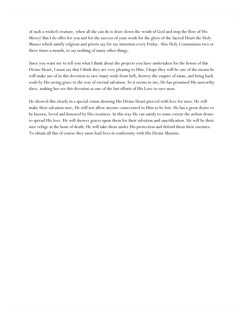of such a wicked creature, when all she can do is draw down the wrath of God and stop the flow of His Mercy? But I do offer for you and for the success of your work for the glory of the Sacred Heart the Holy Masses which saintly relgious and priests say for my intention every Friday. Also Holy Communion two or three times a month, to say nothing of many other things.

Since you want me to tell you what I think about the projects you have undertaken for the honor of this Divine Heart, I must say that I think they are very pleasing to Him. I hope they will be one of the means he will make use of in this devotion to save many souls from hell, destroy the empire of satan, and bring back souls by His saving grace to the way of eternal salvation. So it seems to me, He has promised His unworthy slave, making her see this devotion as one of the last efforts of His Love to save men.

He showed this clearly in a special vision showing His Divine Heart pierced with love for men. He will make their salvation sure, He will not allow anyone consecrated to Him to be lost. He has a great desire to be known, loved and honored by His creatures. In this way He can satisfy to some extent the ardent desire to spread His love. He will shower graces upon them for their salvation and sanctification. He will be their sure refuge at the hour of death. He will take them under His protection and defend them their enemies. To obtain all this of course they must lead lives in conformity with His Divine Maxims.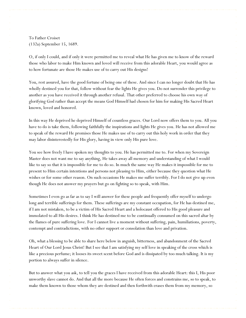To Father Croiset (132a) September 15, 1689.

O, if only I could, and if only it were permitted me to reveal what He has given me to know of the reward those who labor to make Him known and loved will receive from this adorable Heart, you would agree as to how fortunate are those He makes use of to carry out His designs!

You, rest assured, have the good fortune of being one of these. And since I can no longer doubt that He has wholly destined you for that, follow without fear the lights He gives you. Do not surrender this privilege to another as you have received it through another refusal. That other preferred to choose his own way of glorifying God rather than accept the means God Himself had chosen for him for making His Sacred Heart known, loved and honored.

In this way He deprived he deprived Himself of countless graces. Our Lord now offers them to you. All you have to do is take them, following faithfully the inspirations and lights He gives you. He has not allowed me to speak of the reward He promises those He makes use of to carry out this holy work in order that they may labor disinterestedly for His glory, having in view only His pure love.

You see how freely I have spoken my thoughts to you. He has permitted me to. For when my Sovereign Master does not want me to say anything, He takes away all memory and understanding of what I would like to say so that it is impossible for me to do so. In much the same way He makes it impossible for me to present to Him certain intentions and persons not pleasing to Him, either because they question what He wishes or for some other reason. On such occasions He makes me suffer terribly. For I do not give up even though He does not answer my prayers but go on fighting so to speak, with Him.

Sometimes I even go as far as to say I will answer for these people and frequently offer myself to undergo long and terrible sufferings for them. These sufferings are my constant occupation, for He has destined me, if I am not mistaken, to be a victim of His Sacred Heart and a holocaust offered to His good pleasure and immolated to all His desires. I think He has destined me to be continually consumed on this sacred altar by the flames of pure suffering love. For I cannot live a moment without suffering, pain, humiliations, poverty, contempt and contradictions, with no other support or consolation than love and privation.

Oh, what a blessing to be able to share here below in anguish, bitterness, and abandonment of the Sacred Heart of Our Lord Jesus Christ! But I see that I am satisfying my self love in speaking of the cross which is like a precious perfume; it looses its sweet scent before God and is dissipated by too much talking. It is my portion to always suffer in silence.

But to answer what you ask, to tell you the graces I have received from this adorable Heart: this I, His poor unworthy slave cannot do. And that all the more because He often forces and constrains me, so to speak, to make them known to those whom they are destined and then forthwith erases them from my memory, so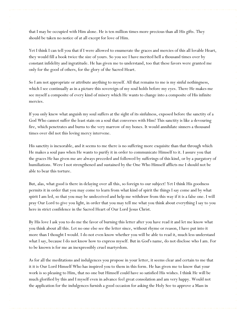that I may be occupied with Him alone. He is ten million times more precious than all His gifts. They should be taken no notice of at all except for love of Him.

Yet I think I can tell you that if I were allowed to enumerate the graces and mercies of this all lovable Heart, they would fill a book twice the size of yours. So you see I have merited hell a thousand times over by constant infidelity and ingratitude. He has given me to understand, too that these favors were granted me only for the good of others, for the glory of the Sacred Heart.

So I am not appropriate or attribute anything to myself. All that remains to me is my sinful nothingness, which I see continually as in a picture this sovereign of my soul holds before my eyes. There He makes me see myself a composite of every kind of misery which He wants to change into a composite of His infinite mercies.

If you only knew what anguish my soul suffers at the sight of its sinfulness, exposed before the sanctity of a God Who cannot suffer the least stain on a soul that converses with Him! This sanctity is like a devouring fire, which penetrates and burns to the very marrow of my bones. It would annihilate sinners a thousand times over did not this loving mercy intervene.

His sanctity is inexorable, and it seems to me there is no suffering more exquisite than that through which He makes a soul pass when He wants to purify it in order to communicate Himself to it. I assure you that the graces He has given me are always preceded and followed by sufferings of this kind, or by a purgatory of humiliations. Were I not strengthened and sustained by the One Who Himself afflicts me I should not be able to bear this torture.

But, alas, what good is there in delaying over all this, so foreign to our subject! Yet I think His goodness permits it in order that you may come to learn from what kind of spirit the things I say come and by what spirit I am led, so that you may be undeceived and help me withdraw from this way if it is a false one. I will pray Our Lord to give you light, in order that you may tell me what you think about everything I say to you here in strict confidence in the Sacred Heart of Our Lord Jesus Christ.

By His love I ask you to do me the favor of burning this letter after you have read it and let me know what you think about all this. Let no one else see the letter since, without rhyme or reason, I have put into it more than I thought I would. I do not even know whether you will be able to read it, much less understand what I say, because I do not know how to express myself. But in God's name, do not disclose who I am. For to be known is for me an inexpressibly cruel martyrdom.

As for all the meditations and indulgences you propose in your letter, it seems clear and certain to me that it it is Our Lord Himself Who has inspired you to them in this form. He has given me to know that your work is so pleasing to Him, that no one but Himself could have so satisfied His wishes. I think He will be much glorified by this and I myself even in advance feel great consolation and am very happy. Would not the application for the indulgences furnish a good occasion for asking the Holy See to approve a Mass in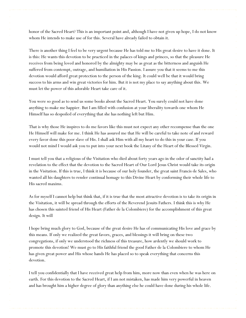honor of the Sacred Heart? This is an important point and, although I have not given up hope, I do not know whom He intends to make use of for this. Several have already failed to obtain it.

There is another thing I feel to be very urgent because He has told me to His great desire to have it done. It is this: He wants this devotion to be practiced in the palaces of kings and princes, so that the pleasure He receives from being loved and honored by the almighty may be as great as the bitterness and anguish He suffered from contempt, outrage, and humiliation in His Passion. I assure you that it seems to me this devotion would afford great protection to the person of the king. It could well be that it would bring success to his arms and win great victories for him. But it is not my place to say anything about this. We must let the power of this adorable Heart take care of it.

You were so good as to send us some books about the Sacred Heart. You surely could not have done anything to make me happier. But I am filled with confusion at your liberality towards one whom He Himself has so despoiled of everything that she has nothing left but Him.

That is why those He inspires to do me favors like this must not expect any other recompense than the one He Himself will make for me. I think He has assured me that He will be careful to take note of and reward every favor done this poor slave of His. I shall ask Him with all my heart to do this in your case. If you would not mind I would ask you to put into your next book the Litany of the Heart of the Blessed Virgin.

I must tell you that a religious of the Visitation who died about forty years ago in the odor of sanctity had a revelation to the effect that the devotion to the Sacred Heart of Our Lord Jesus Christ would take its origin in the Visitation. If this is true, I think it is because of our holy founder, the great saint Francis de Sales, who wanted all his daughters to render continual homage to this Divine Heart by conforming their whole life to His sacred maxims.

As for myself I cannot help but think that, if it is true that the most attractive devotion is to take its origin in the Visitation, it will be spread through the efforts of the Reverend Jesuits Fathers. I think this is why He has chosen this sainted friend of His Heart (Father de la Colombiere) for the accomplishment of this great design. It will

I hope bring much glory to God, because of the great desire He has of communicating His love and grace by this means. If only we realized the great favors, graces, and blessings it will bring on these two congregations, if only we understood the richness of this treasure, how ardently we should work to promote this devotion! We must go to His faithful friend the good Father de la Colombiere to whom He has given great power and His whose hands He has placed so to speak everything that concerns this devotion.

I tell you confidentially that I have received great help from him, more now than even when he was here on earth. For this devotion to the Sacred Heart, if I am not mistaken, has made him very powerful in heaven and has brought him a higher degree of glory than anything else he could have done during his whole life.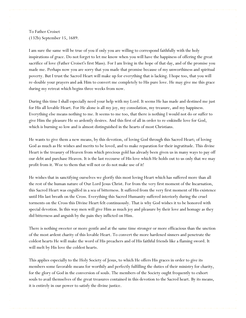To Father Croiset (132b) September 15, 1689.

I am sure the same will be true of you if only you are willing to correspond faithfully with the holy inspirations of grace. Do not forget to let me know when you will have the happiness of offering the great sacrifice of love (Father Croiset's first Mass). For I am living in the hope of that day, and of the promise you made me. Perhaps now you are sorry that you made that promise because of my unworthiness and spiritual poverty. But I trust the Sacred Heart will make up for everything that is lacking. I hope too, that you will re-double your prayers and ask Him to convert me completely to His pure love. He may give me this grace during my retreat which begins three weeks from now.

During this time I shall especially need your help with my Lord. It seems He has made and destined me just for His all lovable Heart. For He alone is all my joy, my consolation, my treasure, and my happiness. Everything else means nothing to me. It seems to me too, that there is nothing I would not do or suffer to give Him the pleasure He so ardently desires. And this first of all in order to re-enkindle love for God, which is burning so low and is almost distinguished in the hearts of most Christians.

He wants to give them a new means, by this devotion, of loving God through this Sacred Heart; of loving God as much as He wishes and merits to be loved, and to make reparation for their ingratitude. This divine Heart is the treasury of Heaven from which precious gold has already been given us in many ways to pay off our debt and purchase Heaven. It is the last recourse of His love which He holds out to us only that we may profit from it. Woe to them that will not or do not make use of it!

He wishes that in sanctifying ourselves we glorify this most loving Heart which has suffered more than all the rest of the human nature of Our Lord Jesus Christ. For from the very first moment of the Incarnation, this Sacred Heart was engulfed in a sea of bitterness. It suffered from the very first moment of His existence until His last breath on the Cross. Everything this Sacred Humanity suffered interiorly during the cruel torments on the Cross this Divine Heart felt continuously. That is why God wishes it to be honored with special devotion. In this way men will give Him as much joy and pleasure by their love and homage as they did bitterness and anguish by the pain they inflicted on Him.

There is nothing sweeter or more gentle and at the same time stronger or more efficacious than the unction of the most ardent charity of this lovable Heart. To convert the more hardened sinners and penetrate the coldest hearts He will make the word of His preachers and of His faithful friends like a flaming sword. It will melt by His love the coldest hearts.

This applies especially to the Holy Society of Jesus, to which He offers His graces in order to give its members some favorable means for worthily and perfectly fulfilling the duties of their ministry for charity, for the glory of God in the conversion of souls. The members of the Society ought frequently to exhort souls to avail themselves of the great treasures contained in this devotion to the Sacred heart. By its means, it is entirely in our power to satisfy the divine justice.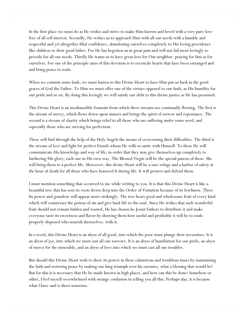In the first place we must do as He wishes and strive to make Him known and loved with a very pure love free of all self interest. Secondly, He wishes us to approach Him with all our needs with a humble and respectful and yet altogether filial confidence, abandoning ourselves completely to His loving providence like children to their good father. For He has begotten us in great pain and will not fail most lovingly to provide for all our needs. Thirdly He wants us to have great love for Our neighbor. praying for him as for ourselves. For one of the principle aims of this devotion is to reconcile hearts that have been estranged and and bring peace to souls.

When we commit some fault, we must hasten to this Divine Heart to have Him put us back in the good graces of God the Father. To Him we must offer one of the virtues opposed to our fault, as His humility for our pride and so on. By doing this lovingly we will satisfy our debt to this divine justice as He has promised.

This Divine Heart is an inexhaustible fountain from which three streams are continually flowing. The first is the stream of mercy, which flows down upon sinners and brings the spirit of sorrow and repentance. The second is a stream of charity which brings relief to all those who are suffering under some need, and especially those who are striving for perfection.

These will find through the help of the Holy Angels the means of overcoming their difficulties. The third is the stream of love and light for perfect friends whom He wills to unite with Himself. To these He will communicate His knowledge and way of life, in order that they may give themselves up completely to furthering His glory, each one in His own way. The Blessed Virgin will be the special patron of these. She will bring them to a perfect life. Moreover, this divine Heart will be a sure refuge and a harbor of safety at the hour of death for all those who have honored It during life. It will protect and defend them.

I must mention something that occurred to me while writing to you. It is that this Divine Heart is like a beautiful tree that has sent its roots down deep into the Order of Visitation because of its lowliness. There Its power and grandeur will appear more strikingly. The tree bears good and wholesome fruit of every kind which will counteract the poison of sin and give back life to the soul. Since He wishes that such wonderful fruit should not remain hidden and wasted, He has chosen he Jesuit Fathers to distribute it and make everyone taste its sweetness and flavor by showing them how useful and profitable it will be to souls properly disposed who nourish themselves. with it.

In a word, this Divine Heart is an abyss of all good, into which the poor must plunge their necessities. It is an abyss of joy, into which we must cast all our sorrows. It is an abyss of humiliation for our pride, an abyss of mercy for the miserable, and an abyss of love into which we must cast all our troubles.

But should this Divine Heart wish to show its power in these calamitous and troublous times by maintaining the faith and restoring peace by making our king triumph over his enemies, what a blessing that would be! But for this it is necessary that He be made known in high places, and how can this be done? Somehow or other, I feel myself overwhelmed with strange confusion in telling you all this. Perhaps alas, it is because what I have said is sheer nonsense.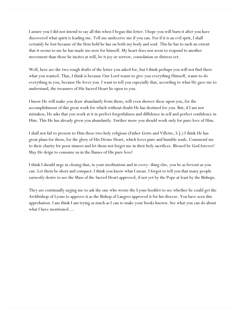I assure you I did not intend to say all this when I began this letter. I hope you will burn it after you have discovered what spirit is leading me. Tell me undeceive me if you can. For if it is an evil sprit, I shall certainly be lost because of the firm hold he has on both my body and soul. This he has to such an extent that it seems to me he has made me now for himself. My heart does not seem to respond to another movement than those he incites at will, be it joy or sorrow, consolation or distress ect.

Well, here are the two rough drafts of the letter you asked for, but I think perhaps you will not find there what you wanted. That, I think is because Our Lord wants to give you everything Himself, wants to do everything in you, because He loves you. I want to tell you especially that, according to what He gave me to understand, the treasures of His Sacred Heart lie open to you.

I know He will make you draw abundantly from them, will even shower these upon you, for the accomplishment of this great work for which without doubt He has destined for you. But, if I am not mistaken, He asks that you work at it in perfect forgetfulness and diffidence in self and perfect confidence in Him. This He has already given you abundantly. Further more you should work only for pure love of Him.

I shall not fail to present to Him these two holy religious (Father Gette and Villette, S.J.) I think He has great plans for them, for the glory of His Divine Heart, which loves pure and humble souls. Commend me to their charity for poor sinners and let them not forget me in their holy sacrifices. Blessed be God forever! May He deign to consume us in the flames of His pure love!

I think I should urge in closing that, in your meditations and in every- thing else, you be as fervent as you can. Let them be short and compact: I think you know what I mean. I forgot to tell you that many people earnestly desire to see the Mass of the Sacred Heart approved, if not yet by the Pope at least by the Bishops.

They are continually urging me to ask the one who wrote the Lyons booklet to see whether he could get the Archbishop of Lyons to approve it as the Bishop of Langres approved it for his diocese. You have seen this approbation. I am think I am trying as much as I can to make your books known. See what you can do about what I have mentioned....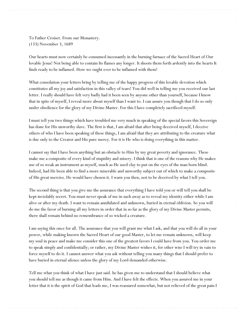To Father Croiset. From our Monastery. (133) November 3, 1689

Our hearts must now certainly be consumed incessantly in the burning furnace of the Sacred Heart of Our lovable Jesus! Not being able to contain Its flames any longer. It shoots them forth ardently into the hearts It finds ready to be inflamed. How we ought ever to be inflamed with them!

What consolation your letters bring by telling me of the happy progress of this lovable devotion which constitutes all my joy and satisfaction in this valley of tears! You did well in telling me you received our last letter. I really should have felt very badly had it been seen by anyone other than yourself, because I know that in spite of myself, I reveal more about myself than I want to. I can assure you though that I do so only under obedience for the glory of my Divine Master. For this I have completely sacrificed myself.

I must tell you two things which have troubled me very much in speaking of the special favors this Sovereign has done for His unworthy slave. The first is that, I am afraid that after being deceived myself, I deceive others of who I have been speaking of these things, I am afraid that they are attributing to the creature what is due only to the Creator and His pure mercy. For it is He who is doing everything in this matter.

I cannot say that I have been anything but an obstacle to Him by my great poverty and ignorance. These make me a composite of every kind of stupidity and misery. I think that is one of the reasons why He makes use of so weak an instrument as myself, much as He used clay to put on the eyes of the man born blind. Indeed, had He been able to find a more miserable and unworthy subject out of which to make a composite of His great mercies. He would have chosen it. I warn you then, not to be deceived by what I tell you.

The second thing is that you give me the assurance that everything I have told you or will tell you shall be kept inviolably secret. You must never speak of me in such away as to reveal my identity either while I am alive or after my death. I want to remain annihilated and unknown, buried in eternal oblivion. So you will do me the favor of burning all my letters in order that in so far as the glory of my Divine Master permits, there shall remain behind no remembrance of so wicked a creature.

I am saying this once for all. The assurance that you will grant me what I ask, and that you will do all in your power, while making known the Sacred Heart of our good Master, to let me remain unknown, will keep my soul in peace and make me consider this one of the greatest favors I could have from you. You order me to speak simply and confidentially; or rather, my Divine Master wishes it, for other wise I will try in vain to force myself to do it. I cannot answer what you ask without telling you many things that I should prefer to have buried in eternal silence unless the glory of my Lord demanded otherwise.

Tell me what you think of what I have just said. he has given me to understand that I should believe what you should tell me as though it came from Him. And I have felt the effects. When you assured me in your letter that it is the spirit of God that leads me, I was reassured somewhat, but not relieved of the great pain I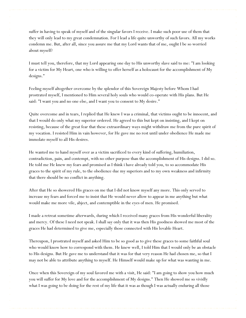suffer in having to speak of myself and of the singular favors I receive. I make such poor use of them that they will only lead to my great condemnation. For I lead a life quite unworthy of such favors. All my works condemn me. But, after all, since you assure me that my Lord wants that of me, ought I be so worried about myself?

I must tell you, therefore, that my Lord appearing one day to His unworthy slave said to me: "I am looking for a victim for My Heart, one who is willing to offer herself as a holocaust for the accomplishment of My designs."

Feeling myself altogether overcome by the splendor of this Sovereign Majesty before Whom I had prostrated myself, I mentioned to Him several holy souls who would co-operate with His plans. But He said: "I want you and no one else, and I want you to consent to My desire."

Quite overcome and in tears, I replied that He knew I was a criminal, that victims ought to be innocent, and that I would do only what my superior ordered. He agreed to this but kept on insisting, and I kept on resisting, because of the great fear that these extraordinary ways might withdraw me from the pure spirit of my vocation. I resisted Him in vain however, for He gave me no rest until under obedience He made me immolate myself to all His desires.

He wanted me to hand myself over as a victim sacrificed to every kind of suffering, humiliation, contradiction, pain, and contempt, with no other purpose than the accomplishment of His designs. I did so. He told me He knew my fears and promised as I think i have already told you, to so accommodate His graces to the spirit of my rule, to the obedience due my superiors and to my own weakness and infirmity that there should be no conflict in anything.

After that He so showered His graces on me that I did not know myself any more. This only served to increase my fears and forced me to insist that He would never allow to appear in me anything but what would make me more vile, abject, and contemptible in the eyes of men. He promised.

I made a retreat sometime afterwards, during which I received many graces from His wonderful liberality and mercy. Of these I need not speak. I shall say only that it was then His goodness showed me most of the graces He had determined to give me, especially those connected with His lovable Heart.

Thereupon, I prostrated myself and asked Him to be so good as to give these graces to some faithful soul who would know how to correspond with them. He knew well, I told Him that I would only be an obstacle to His designs. But He gave me to understand that it was for that very reason He had chosen me, so that I may not be able to attribute anything to myself. He Himself would make up for what was wanting in me.

Once when this Sovereign of my soul favored me with a visit, He said: "I am going to show you how much you will suffer for My love and for the accomplishment of My designs." Then He showed me so vividly what I was going to be doing for the rest of my life that it was as though I was actually enduring all those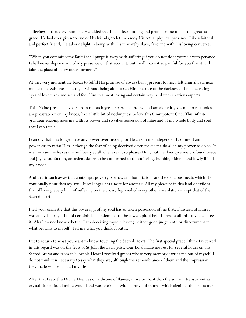sufferings at that very moment. He added that I need fear nothing and promised me one of the greatest graces He had ever given to one of His friends; to let me enjoy His actual physical presence. Like a faithful and perfect friend, He takes delight in being with His unworthy slave, favoring with His loving converse.

"When you commit some fault i shall purge it away with suffering if you do not do it yourself with penance. I shall never deprive you of My presence on that account, but I will make it so painful for you that it will take the place of every other torment."

At that very moment He began to fulfill His promise of always being present to me. I felt Him always near me, as one feels oneself at night without being able to see Him because of the darkness. The penetrating eyes of love made me see and feel Him in a most loving and certain way, and under various aspects.

This Divine presence evokes from me such great reverence that when I am alone it gives me no rest unless I am prostrate or on my knees, like a little bit of nothingness before this Omnipotent One. This Infinite grandeur encompasses me with Its power and so takes possession of mine and of my whole body and soul that I can think

I can say that I no longer have any power over myself, for He acts in me independently of me. I am powerless to resist Him, although the fear of being deceived often makes me do all in my power to do so. It is all in vain. he leaves me no liberty at all whenever it so pleases Him. But He does give me profound peace and joy, a satisfaction, an ardent desire to be conformed to the suffering, humble, hidden, and lowly life of my Savior.

And that in such away that contempt, poverty, sorrow and humiliations are the delicious meats which He continually nourishes my soul. It no longer has a taste for another. All my pleasure in this land of exile is that of having every kind of suffering on the cross, deprived of every other consolation except that of the Sacred heart.

I tell you, earnestly that this Sovereign of my soul has so taken possession of me that, if instead of Him it was an evil spirit, I should certainly be condemned to the lowest pit of hell. I present all this to you as I see it. Alas I do not know whether I am deceiving myself, having neither good judgment nor discernment in what pertains to myself. Tell me what you think about it.

But to return to what you want to know touching the Sacred Heart. The first special grace I think I received in this regard was on the feast of St John the Evangelist. Our Lord made me rest for several hours on His Sacred Breast and from this lovable Heart I received graces whose very memory carries me out of myself. I do not think it is necessary to say what they are, although the remembrance of them and the impression they made will remain all my life.

After that I saw this Divine Heart as on a throne of flames, more brilliant than the sun and transparent as crystal. It had its adorable wound and was encircled with a crown of thorns, which signified the pricks our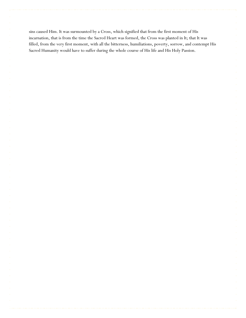sins caused Him. It was surmounted by a Cross, which signified that from the first moment of His incarnation, that is from the time the Sacred Heart was formed, the Cross was planted in It; that It was filled, from the very first moment, with all the bitterness, humiliations, poverty, sorrow, and contempt His Sacred Humanity would have to suffer during the whole course of His life and His Holy Passion.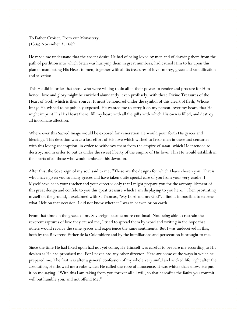To Father Croiset. From our Monastery. (133a) November 3, 1689

He made me understand that the ardent desire He had of being loved by men and of drawing them from the path of perdition into which Satan was hurrying them in great numbers, had caused Him to fix upon this plan of manifesting His Heart to men, together with all Its treasures of love, mercy, grace and sanctification and salvation.

This He did in order that those who were willing to do all in their power to render and procure for Him honor, love and glory might be enriched abundantly, even profusely, with these Divine Treasures of the Heart of God, which is their source. It must be honored under the symbol of this Heart of flesh, Whose Image He wished to be publicly exposed. He wanted me to carry it on my person, over my heart, that He might imprint His His Heart there, fill my heart with all the gifts with which His own is filled, and destroy all inordinate affection.

Where ever this Sacred Image would be exposed for veneration He would pour forth His graces and blessings. This devotion was as a last effort of His love which wished to favor men in these last centuries with this loving redemption, in order to withdraw them from the empire of satan, which He intended to destroy, and in order to put us under the sweet liberty of the empire of His love. This He would establish in the hearts of all those who would embrace this devotion.

After this, the Sovereign of my soul said to me: "These are the designs for which I have chosen you. That is why I have given you so many graces and have taken quite special care of you from your very cradle. I Myself have been your teacher and your director only that I might prepare you for the accomplishment of this great design and confide to you this great treasure which I am displaying to you here." Then prostrating myself on the ground, I exclaimed with St Thomas, "My Lord and my God". I find it impossible to express what I felt on that occasion. I did not know whether I was in heaven or on earth.

From that time on the graces of my Sovereign became more continual. Not being able to restrain the reverent raptures of love they caused me, I tried to spread them by word and writing in the hope that others would receive the same graces and experience the same sentiments. But I was undeceived in this, both by the Reverend Father de la Colombiere and by the humiliations and persecution it brought to me.

Since the time He had fixed upon had not yet come, He Himself was careful to prepare me according to His desires as He had promised me. For I never had any other director. Here are some of the ways in which he prepared me. The first was after a general confession of my whole very sinful and wicked life, right after the absolution, He showed me a robe which He called the robe of innocence. It was whiter than snow. He put it on me saying: "With this I am taking from you forever all ill will, so that hereafter the faults you commit will but humble you, and not offend Me."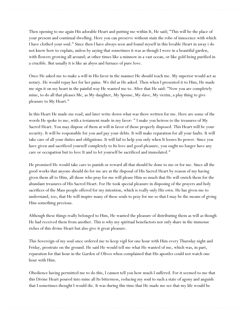Then opening to me again His adorable Heart and putting me within It, He said; "This will be the place of your present and continual dwelling. Here you can preserve without stain the robe of innocence with which I have clothed your soul." Since then I have always seen and found myself in this lovable Heart in away i do not know how to explain, unless by saying that sometimes it was as though I were in a beautiful garden, with flowers growing all around; at other times like a minnow in a vast ocean, or like gold being purified in a crucible. But usually it is like an abyss and furnace of pure love.

Once He asked me to make a will in His favor in the manner He should teach me. My superior would act as notary. He would repay her for her pains. We did as He asked. Then when I presented it to Him, He made me sign it on my heart in the painful way He wanted me to. After that He said: "Now you are completely mine, to do all that pleases Me, as My daughter, My Spouse, My slave, My victim, a play thing to give pleasure to My Heart."

In this Heart He made me read, and later write down what was there written for me. Here are some of the words He spoke to me, with a testament made in my favor: " I make you heiress to the treasures of My Sacred Heart. You may dispose of them at will in favor of those properly disposed. This Heart will be your security. It will be responsible for you and pay your debts. It will make reparation for all your faults. It will take care of all your duties and obligations. It will fail to help you only when It looses Its power. Since you have given and sacrificed yourself completely to Its love and good pleasure, you ought no longer have any care or occupation but to love It and to let yourself be sacrificed and immolated."

He promised He would take care to punish or reward all that should be done to me or for me. Since all the good works that anyone should do for me are at the disposal of His Sacred Heart by reason of my having given them all to Him, all those who pray for me will please Him so much that He will enrich them for the abundant treasures of His Sacred Heart. For He took special pleasure in disposing of the prayers and holy sacrifices of the Mass people offered for my intention, which is really only His own. He has given me to understand, too, that He will inspire many of these souls to pray for me so that I may be the means of giving Him something precious.

Although these things really belonged to Him, He wanted the pleasure of distributing them as will as though He had received them from another. This is why my spiritual benefactors not only share in the immense riches of this divine Heart but also give it great pleasure.

This Sovereign of my soul once ordered me to keep vigil for one hour with Him every Thursday night and Friday, prostrate on the ground. He said He would tell me what He wanted of me, which was, in part, reparation for that hour in the Garden of Olives when complained that His apostles could not watch one hour with Him.

Obedience having permitted me to do this, I cannot tell you how much I suffered. For it seemed to me that this Divine Heart poured into mine all Its bitterness, reducing my soul to such a state of agony and anguish that I sometimes thought I would die. It was during this time that He made me see that my life would be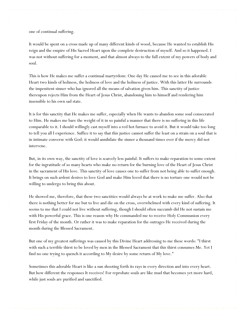one of continual suffering.

It would be spent on a cross made up of many different kinds of wood, because He wanted to establish His reign and the empire of His Sacred Heart upon the complete destruction of myself. And so it happened. I was not without suffering for a moment, and that almost always to the full extent of my powers of body and soul.

This is how He makes me suffer a continual martyrdom: One day He caused me to see in this adorable Heart two kinds of holiness, the holiness of love and the holiness of justice. With this latter He surrounds the impenitent sinner who has ignored all the means of salvation given him. This sanctity of justice thereupon rejects Him from the Heart of Jesus Christ, abandoning him to himself and rendering him insensible to his own sad state.

It is for this sanctity that He makes me suffer, especially when He wants to abandon some soul consecrated to Him. He makes me bare the weight of it in so painful a manner that there is no suffering in this life comparable to it. I should willingly cast myself into a red hot furnace to avoid it. But it would take too long to tell you all I experience. Suffice it to say that this justice cannot suffer the least on a strain on a soul that is in intimate converse with God: it would annihilate the sinner a thousand times over if the mercy did not intervene.

But, in its own way, the sanctity of love is scarcely less painful. It suffers to make reparation to some extent for the ingratitude of so many hearts who make no return for the burning love of the Heart of Jesus Christ in the sacrament of His love. This sanctity of love causes one to suffer from not being able to suffer enough. It brings on such ardent desires to love God and make Him loved that there is no torture one would not be willing to undergo to bring this about.

He showed me, therefore, that these two sanctities would always be at work to make me suffer. Also that there is nothing better for me but to live and die on the cross, overwhelmed with every kind of suffering. It seems to me that I could not live without suffering, though I should often succumb did He not sustain me with His powerful grace. This is one reason why He commanded me to receive Holy Communion every first Friday of the month. Or rather it was to make reparation for the outrages He received during the month during the Blessed Sacrament.

But one of my greatest sufferings was caused by this Divine Heart addressing to me these words: "I thirst with such a terrible thirst to be loved by men in the Blessed Sacrament that this thirst consumes Me. Yet I find no one trying to quench it according to My desire by some return of My love."

Sometimes this adorable Heart is like a sun shooting forth its rays in every direction and into every heart. But how different the responses It receives! For reprobate souls are like mud that becomes yet more hard, while just souls are purified and sanctified.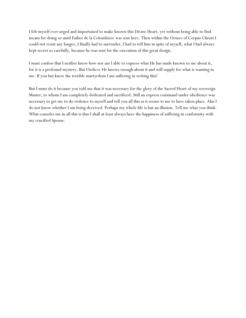I felt myself ever urged and importuned to make known this Divine Heart, yet without being able to find means for doing so until Father de la Colombiere was sent here. Then within the Octave of Corpus Christi I could not resist any longer, I finally had to surrender, I had to tell him in spite of myself, what I had always kept secret so carefully, because he was sent for the execution of this great design.

I must confess that I neither know how nor am I able to express what He has made known to me about it, for it is a profound mystery. But I believe He knows enough about it and will supply for what is wanting in me. If you but knew the terrible martyrdom I am suffering in writing this!

But I must do it because you told me that it was necessary for the glory of the Sacred Heart of my sovereign Master, to whom I am completely dedicated and sacrificed. Still an express command under obedience was necessary to get me to do violence to myself and tell you all this as it seems to me to have taken place. Alas I do not know whether I am being deceived. Perhaps my whole life is but an illusion. Tell me what you think. What consoles me in all this is that I shall at least always have the happiness of suffering in conformity with my crucified Spouse.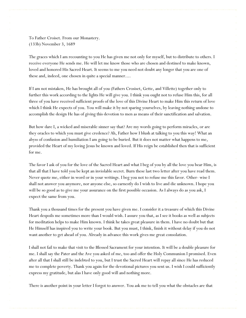To Father Croiset. From our Monastery. (133b) November 3, 1689

The graces which I am recounting to you He has given me not only for myself, but to distribute to others. I receive everyone He sends me. He will let me know those who are chosen and destined to make known, loved and honored His Sacred Heart. It seems to me you need not doubt any longer that you are one of these and, indeed, one chosen in quite a special manner....

If I am not mistaken, He has brought all of you (Fathers Crosiset, Gette, and Villette) together only to further this work according to the lights He will give you. I think you ought not to refuse Him this, for all three of you have received sufficient proofs of the love of this Divine Heart to make Him this return of love which I think He expects of you. You will make it by not sparing yourselves, by leaving nothing undone to accomplish the design He has of giving this devotion to men as means of their sanctification and salvation.

But how dare I, a wicked and miserable sinner say that? Are my words going to perform miracles, or are they oracles to which you must give credence? Ah, Father how I blush at talking to you this way! What an abyss of confusion and humiliation I am going to be buried. But it does not matter what happens to me, provided the Heart of my loving Jesus be known and loved. If His reign be established then that is sufficient for me.

The favor I ask of you for the love of the Sacred Heart and what I beg of you by all the love you bear Him, is that all that I have told you be kept an inviolable secret. Burn these last two letter after you have read them. Never quote me, either in word or in your writings. I beg you not to refuse me this favor. Other- wise I shall not answer you anymore, nor anyone else, so earnestly do I wish to live and die unknown. I hope you will be so good as to give me your assurance on the first possible occasion. As I always do as you ask, I expect the same from you.

Thank you a thousand times for the present you have given me. I consider it a treasure of which this Divine Heart despoils me sometimes more than I would wish. I assure you that, as I see it books as well as subjects for meditation helps to make Him known. I think he takes great pleasure in them. I have no doubt but that He Himself has inspired you to write your book. But you must, I think, finish it without delay if you do not want another to get ahead of you. Already in advance this work gives me great consolation.

I shall not fail to make that visit to the Blessed Sacrament for your intention. It will be a double pleasure for me. I shall say the Pater and the Ave you asked of me, too and offer the Holy Communion I promised. Even after all that I shall still be indebted to you, but I trust the Sacred Heart will repay all since He has reduced me to complete poverty. Thank you again for the devotional pictures you sent us. I wish I could sufficiently express my gratitude, but alas I have only good will and nothing more.

There is another point in your letter I forgot to answer. You ask me to tell you what the obstacles are that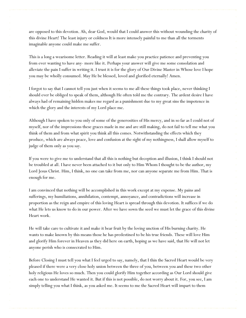are opposed to this devotion. Ah, dear God, would that I could answer this without wounding the charity of this divine Heart! The least injury or coldness It is more intensely painful to me than all the torments imaginable anyone could make me suffer.

This is a long a wearisome letter. Reading it will at least make you practice patience and preventing you from ever wanting to have any- more like it. Perhaps your answer will give me some consolation and alleviate the pain I suffer in writing it. I trust it is for the glory of Our Divine Master in Whose love I hope you may be wholly consumed. May He be blessed, loved and glorified eternally! Amen.

I forgot to say that I cannot tell you just when it seems to me all these things took place, never thinking I should ever be obliged to speak of them, although He often told me the contrary. The ardent desire I have always had of remaining hidden makes me regard as a punishment due to my great sins the impotence in which the glory and the interests of my Lord place me.

Although I have spoken to you only of some of the generosities of His mercy, and in so far as I could not of myself, nor of the impressions these graces made in me and are still making, do not fail to tell me what you think of them and from what spirit you think all this comes. Notwithstanding the effects which they produce, which are always peace, love and confusion at the sight of my nothingness, I shall allow myself to judge of them only as you say.

If you were to give me to understand that all this is nothing but deception and illusion, I think I should not be troubled at all. I have never been attached to it but only to Him Whom I thought to be the author, my Lord Jesus Christ. Him, I think, no one can take from me, nor can anyone separate me from Him. That is enough for me.

I am convinced that nothing will be accomplished in this work except at my expense. My pains and sufferings, my humiliations, annihilation, contempt, annoyance, and contradictions will increase in proportion as the reign and empire of this loving Heart is spread through this devotion. It suffices if we do what He lets us know to do in our power. After we have sown the seed we must let the grace of this divine Heart work.

He will take care to cultivate it and make it bear fruit by the loving unction of His burning charity. He wants to make known by this means those he has predestined to be his true friends. These will love Him and glorify Him forever in Heaven as they did here on earth, hoping as we have said, that He will not let anyone perish who is consecrated to Him.

Before Closing I must tell you what I feel urged to say, namely, that I thin the Sacred Heart would be very pleased if there were a very close holy union between the three of you, between you and these two other holy religious He loves so much. Then you could glorify Him together according as Our Lord should give each one to understand He wanted it. But if this is not possible, do not worry about it. For, you see, I am simply telling you what I think, as you asked me. It seems to me the Sacred Heart will impart to them